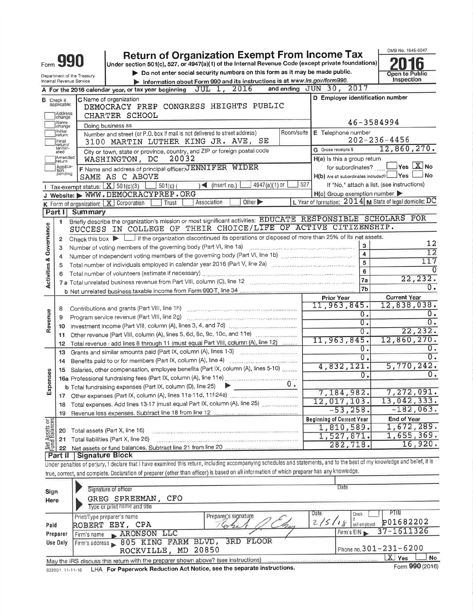|                                    |                                                                              |                            | <b>Return of Organization Exempt From Income Tax</b>                                                                                                                       |                                                                                                                                                                                                                                                                                                                                                                                                                                                                                                                                    |            |                                                              | OMB No. 1545-0047                                       |  |  |  |
|------------------------------------|------------------------------------------------------------------------------|----------------------------|----------------------------------------------------------------------------------------------------------------------------------------------------------------------------|------------------------------------------------------------------------------------------------------------------------------------------------------------------------------------------------------------------------------------------------------------------------------------------------------------------------------------------------------------------------------------------------------------------------------------------------------------------------------------------------------------------------------------|------------|--------------------------------------------------------------|---------------------------------------------------------|--|--|--|
|                                    |                                                                              |                            | Under section 501(c), 527, or 4947(a)(1) of the Internal Revenue Code (except private foundations)                                                                         |                                                                                                                                                                                                                                                                                                                                                                                                                                                                                                                                    |            |                                                              |                                                         |  |  |  |
|                                    |                                                                              | Department of the Treasury |                                                                                                                                                                            | Do not enter social security numbers on this form as it may be made public.<br>Information about Form 990 and its instructions is at www.irs.gov/form990.                                                                                                                                                                                                                                                                                                                                                                          |            |                                                              | Open to Public<br>Inspection                            |  |  |  |
|                                    |                                                                              | Internal Revenue Service   | A For the 2016 calendar year, or tax year beginning $JUL$ 1, $2016$                                                                                                        |                                                                                                                                                                                                                                                                                                                                                                                                                                                                                                                                    |            | and ending JUN 30, 2017                                      |                                                         |  |  |  |
|                                    |                                                                              |                            | C Name of organization                                                                                                                                                     |                                                                                                                                                                                                                                                                                                                                                                                                                                                                                                                                    |            | D Employer identification number                             |                                                         |  |  |  |
| в                                  | Check if<br>applicable:                                                      |                            | DEMOCRACY PREP CONGRESS HEIGHTS PUBLIC                                                                                                                                     |                                                                                                                                                                                                                                                                                                                                                                                                                                                                                                                                    |            |                                                              |                                                         |  |  |  |
|                                    | Address<br>change<br>Name                                                    |                            | CHARTER SCHOOL                                                                                                                                                             |                                                                                                                                                                                                                                                                                                                                                                                                                                                                                                                                    |            |                                                              | 46-3584994                                              |  |  |  |
|                                    | change<br>Initial                                                            |                            | Doing business as<br>Number and street (or P.O. box if mail is not delivered to street address)                                                                            |                                                                                                                                                                                                                                                                                                                                                                                                                                                                                                                                    | Room/suite | E Telephone number                                           |                                                         |  |  |  |
|                                    | return<br>Final                                                              |                            | 3100 MARTIN LUTHER KING JR. AVE, SE                                                                                                                                        |                                                                                                                                                                                                                                                                                                                                                                                                                                                                                                                                    |            |                                                              | $202 - 236 - 4456$                                      |  |  |  |
|                                    | return/<br>lermin-<br>ated                                                   |                            | City or town, state or province, country, and ZIP or foreign postal code                                                                                                   |                                                                                                                                                                                                                                                                                                                                                                                                                                                                                                                                    |            | G Gross receipts \$                                          | 12,860,270.                                             |  |  |  |
|                                    | Amended<br>H(a) Is this a group return<br>20032<br>WASHINGTON, DC<br>Irelurn |                            |                                                                                                                                                                            |                                                                                                                                                                                                                                                                                                                                                                                                                                                                                                                                    |            |                                                              |                                                         |  |  |  |
|                                    | Applica-<br>tion<br>pending                                                  |                            | F Name and address of principal officer: JENNIFER WIDER<br>SAME AS C ABOVE                                                                                                 |                                                                                                                                                                                                                                                                                                                                                                                                                                                                                                                                    |            | for subordinates?<br>H(b) Are all subordinates included? Ves | $\exists$ Yes $\boxed{\text{X}}$ No<br>J No             |  |  |  |
|                                    |                                                                              |                            | Tax-exempt status: $X$ 501(c)(3) $\Box$<br>$\frac{1}{2}$ 501(c) (                                                                                                          | 4947(a)(1) or<br>$\leq$ (insert no.)                                                                                                                                                                                                                                                                                                                                                                                                                                                                                               | 527        |                                                              | If "No," attach a list. (see instructions)              |  |  |  |
|                                    |                                                                              |                            | J Website: WWW.DEMOCRACYPREP.ORG                                                                                                                                           |                                                                                                                                                                                                                                                                                                                                                                                                                                                                                                                                    |            | $H(c)$ Group exemption number $\blacktriangleright$          |                                                         |  |  |  |
|                                    |                                                                              |                            | K Form of organization:   X   Corporation<br>Trust                                                                                                                         | Other $\blacktriangleright$<br>Association                                                                                                                                                                                                                                                                                                                                                                                                                                                                                         |            |                                                              | L Year of formation: 2014 M State of legal domicile: DC |  |  |  |
|                                    |                                                                              | Part I Summary             |                                                                                                                                                                            |                                                                                                                                                                                                                                                                                                                                                                                                                                                                                                                                    |            |                                                              |                                                         |  |  |  |
|                                    | 1                                                                            |                            | Briefly describe the organization's mission or most significant activities: EDUCATE RESPONSIBLE SCHOLARS FOR                                                               |                                                                                                                                                                                                                                                                                                                                                                                                                                                                                                                                    |            |                                                              |                                                         |  |  |  |
| <b>Activities &amp; Governance</b> |                                                                              |                            | SUCCESS IN COLLEGE OF THEIR CHOICE/LIFE OF ACTIVE CITIZENSHIP.                                                                                                             |                                                                                                                                                                                                                                                                                                                                                                                                                                                                                                                                    |            |                                                              |                                                         |  |  |  |
|                                    | 2                                                                            |                            | Check this box $\blacktriangleright$ $\Box$ if the organization discontinued its operations or disposed of more than 25% of its net assets.                                |                                                                                                                                                                                                                                                                                                                                                                                                                                                                                                                                    |            |                                                              |                                                         |  |  |  |
|                                    | з                                                                            |                            | Number of voting members of the governing body (Part VI, line 1a)                                                                                                          |                                                                                                                                                                                                                                                                                                                                                                                                                                                                                                                                    |            | 3                                                            | 12                                                      |  |  |  |
|                                    |                                                                              |                            | Number of independent voting members of the governing body (Part VI, line 1b)                                                                                              |                                                                                                                                                                                                                                                                                                                                                                                                                                                                                                                                    |            | $\overline{\mathbf{4}}$                                      | 12                                                      |  |  |  |
|                                    | 5                                                                            |                            | Total number of individuals employed in calendar year 2016 (Part V, line 2a) manuscription of individuals                                                                  |                                                                                                                                                                                                                                                                                                                                                                                                                                                                                                                                    |            | 5                                                            | 117                                                     |  |  |  |
|                                    |                                                                              |                            | Total number of volunteers (estimate if necessary) material contracts and the set of volunteers (estimate if necessary)                                                    |                                                                                                                                                                                                                                                                                                                                                                                                                                                                                                                                    |            | 6                                                            |                                                         |  |  |  |
|                                    |                                                                              |                            |                                                                                                                                                                            |                                                                                                                                                                                                                                                                                                                                                                                                                                                                                                                                    |            | 7a                                                           | 22,232.<br>0.                                           |  |  |  |
|                                    |                                                                              |                            |                                                                                                                                                                            |                                                                                                                                                                                                                                                                                                                                                                                                                                                                                                                                    |            | 7 <sub>b</sub>                                               |                                                         |  |  |  |
|                                    |                                                                              |                            |                                                                                                                                                                            |                                                                                                                                                                                                                                                                                                                                                                                                                                                                                                                                    |            | Prior Year<br>11,963,845.                                    | <b>Current Year</b><br>12,838,038.                      |  |  |  |
|                                    | 8                                                                            |                            | Contributions and grants (Part VIII, line 1h)                                                                                                                              | $\label{eq:3.1} \begin{minipage}{0.9\textwidth} \begin{minipage}{0.9\textwidth} \begin{itemize} \color{blue}{\textbf{0.9\textwidth} \begin{itemize} \color{blue}{\textbf{0.9\textwidth} \begin{itemize} \color{blue}{\textbf{0.9\textwidth} \begin{itemize} \color{blue}{\textbf{0.9\textwidth} \begin{itemize} \color{blue}{\textbf{0.9\textwidth} \begin{itemize} \color{blue}{\textbf{0.9\textwidth} \begin{itemize} \color{blue}{\textbf{0.9\textwidth} \begin{itemize} \color{blue}{\textbf{0.9\textwidth} \begin{itemize} \$ |            | Ο.                                                           | Ο.                                                      |  |  |  |
|                                    | 9                                                                            |                            |                                                                                                                                                                            |                                                                                                                                                                                                                                                                                                                                                                                                                                                                                                                                    |            | Ο.                                                           | $\overline{0}$ .                                        |  |  |  |
| Revenue                            | 10                                                                           |                            | Investment income (Part VIII, column (A), lines 3, 4, and 7d)                                                                                                              |                                                                                                                                                                                                                                                                                                                                                                                                                                                                                                                                    |            | Ο.                                                           | 22, 232.                                                |  |  |  |
|                                    | 11.                                                                          |                            | Other revenue (Part VIII, column (A), lines 5, 6d, 8c, 9c, 10c, and 11e)                                                                                                   |                                                                                                                                                                                                                                                                                                                                                                                                                                                                                                                                    |            | 11,963,845.                                                  | 12,860,270.                                             |  |  |  |
|                                    | $12 \,$                                                                      |                            | Total revenue - add lines 8 through 11 (must equal Part VIII, column (A), line 12)                                                                                         |                                                                                                                                                                                                                                                                                                                                                                                                                                                                                                                                    |            | ο.                                                           | 0.                                                      |  |  |  |
|                                    | 13                                                                           |                            | Grants and similar amounts paid (Part IX, column (A), lines 1-3) [14] [14] Crants and similar amounts paid (Part IX, column (A), lines 1-3)                                |                                                                                                                                                                                                                                                                                                                                                                                                                                                                                                                                    |            | 0.                                                           | $\overline{0}$ .                                        |  |  |  |
|                                    | 14                                                                           |                            |                                                                                                                                                                            |                                                                                                                                                                                                                                                                                                                                                                                                                                                                                                                                    |            | 4,832,121.                                                   | 5,770,242.                                              |  |  |  |
|                                    | 15                                                                           |                            | Salaries, other compensation, employee benefits (Part IX, column (A), lines 5-10)                                                                                          |                                                                                                                                                                                                                                                                                                                                                                                                                                                                                                                                    |            | 0.                                                           | $\overline{0}$ .                                        |  |  |  |
|                                    |                                                                              |                            | 16a Professional fundraising fees (Part IX, column (A), line 11e)                                                                                                          |                                                                                                                                                                                                                                                                                                                                                                                                                                                                                                                                    | υ.         |                                                              |                                                         |  |  |  |
| Expenses                           |                                                                              |                            | b Total fundraising expenses (Part IX, column (D), line 25)                                                                                                                |                                                                                                                                                                                                                                                                                                                                                                                                                                                                                                                                    |            | 7,184,982.                                                   | 7,272,091.                                              |  |  |  |
|                                    |                                                                              |                            | Total expenses. Add lines 13-17 (must equal Part IX, column (A), line 25)                                                                                                  |                                                                                                                                                                                                                                                                                                                                                                                                                                                                                                                                    |            | 12,017,103.                                                  | 13,042,333.                                             |  |  |  |
|                                    | 18                                                                           |                            |                                                                                                                                                                            |                                                                                                                                                                                                                                                                                                                                                                                                                                                                                                                                    |            | $-53, 258.$                                                  | $-182,063.$                                             |  |  |  |
|                                    | 19                                                                           |                            |                                                                                                                                                                            |                                                                                                                                                                                                                                                                                                                                                                                                                                                                                                                                    |            | <b>Beginning of Current Year</b>                             | <b>End of Year</b>                                      |  |  |  |
|                                    | 20                                                                           |                            | Total assets (Part X, line 16)                                                                                                                                             |                                                                                                                                                                                                                                                                                                                                                                                                                                                                                                                                    |            | 1,810,589.                                                   | 1,672,289.                                              |  |  |  |
|                                    | 21                                                                           |                            | Total liabilities (Part X, line 26)                                                                                                                                        |                                                                                                                                                                                                                                                                                                                                                                                                                                                                                                                                    |            | 1,527,871.                                                   | 1,655,369.                                              |  |  |  |
| Net Assets or                      | 22                                                                           |                            |                                                                                                                                                                            |                                                                                                                                                                                                                                                                                                                                                                                                                                                                                                                                    |            | 282,718.                                                     | 16,920.                                                 |  |  |  |
|                                    | Part II                                                                      | Signature Block            |                                                                                                                                                                            |                                                                                                                                                                                                                                                                                                                                                                                                                                                                                                                                    |            |                                                              |                                                         |  |  |  |
|                                    |                                                                              |                            | Under penalties of perjury, I declare that I have examined this return, including accompanying schedules and statements, and to the best of my knowledge and belief, it is |                                                                                                                                                                                                                                                                                                                                                                                                                                                                                                                                    |            |                                                              |                                                         |  |  |  |
|                                    |                                                                              |                            | true, correct, and complete. Declaration of preparer (other than officer) is based on all information of which preparer has any knowledge.                                 |                                                                                                                                                                                                                                                                                                                                                                                                                                                                                                                                    |            |                                                              |                                                         |  |  |  |
|                                    |                                                                              |                            |                                                                                                                                                                            |                                                                                                                                                                                                                                                                                                                                                                                                                                                                                                                                    |            |                                                              |                                                         |  |  |  |
| Sign                               |                                                                              |                            | Signature of officer                                                                                                                                                       |                                                                                                                                                                                                                                                                                                                                                                                                                                                                                                                                    |            | Date                                                         |                                                         |  |  |  |
| Here                               |                                                                              |                            | GREG SPREEMAN,<br>CFO                                                                                                                                                      |                                                                                                                                                                                                                                                                                                                                                                                                                                                                                                                                    |            |                                                              |                                                         |  |  |  |
|                                    |                                                                              |                            | Type or print name and title                                                                                                                                               |                                                                                                                                                                                                                                                                                                                                                                                                                                                                                                                                    |            |                                                              |                                                         |  |  |  |
|                                    |                                                                              |                            | Print/Type preparer's name                                                                                                                                                 | Preparer's signature                                                                                                                                                                                                                                                                                                                                                                                                                                                                                                               |            | Date<br>Check                                                | PTIN                                                    |  |  |  |
| Paid                               |                                                                              |                            | ROBERT EBY, CPA                                                                                                                                                            |                                                                                                                                                                                                                                                                                                                                                                                                                                                                                                                                    |            | 2/5/18<br>self-employed                                      | P01682202                                               |  |  |  |
|                                    | Preparer                                                                     | Firm's name                | ARONSON LLC                                                                                                                                                                |                                                                                                                                                                                                                                                                                                                                                                                                                                                                                                                                    |            | Firm's $EIN$                                                 | 37-1611326                                              |  |  |  |
|                                    | Use Only                                                                     |                            | Firm's address 805 KING FARM BLVD,                                                                                                                                         | 3RD FLOOR                                                                                                                                                                                                                                                                                                                                                                                                                                                                                                                          |            |                                                              |                                                         |  |  |  |
|                                    |                                                                              |                            | 20850<br>ROCKVILLE, MD                                                                                                                                                     |                                                                                                                                                                                                                                                                                                                                                                                                                                                                                                                                    |            |                                                              | Phone no. 301-231-6200                                  |  |  |  |
|                                    |                                                                              |                            | May the IRS discuss this return with the preparer shown above? (see instructions)                                                                                          |                                                                                                                                                                                                                                                                                                                                                                                                                                                                                                                                    |            |                                                              | X Yes<br>No                                             |  |  |  |
|                                    | 632001 11-11-16                                                              |                            | LHA For Paperwork Reduction Act Notice, see the separate instructions.                                                                                                     |                                                                                                                                                                                                                                                                                                                                                                                                                                                                                                                                    |            |                                                              | Form 990 (2016)                                         |  |  |  |

|                 | May the IRS discuss this return with the preparer shown above. (See mondotone) |
|-----------------|--------------------------------------------------------------------------------|
| 632001 11-11-16 | LHA For Paperwork Reduction Act Notice, see the separate instructions.         |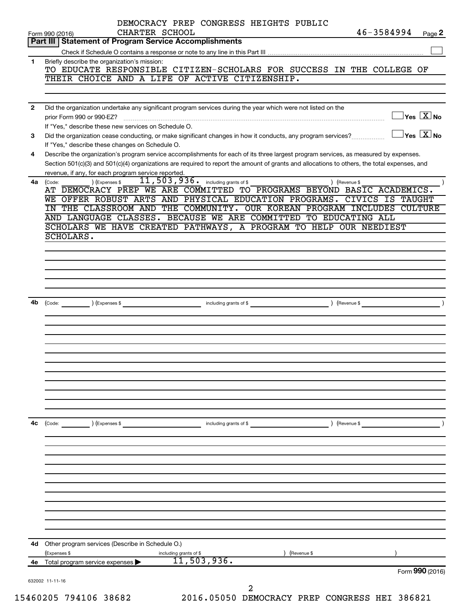|                | 46-3584994<br>CHARTER SCHOOL<br>Page 2<br>Form 990 (2016)                                                                                                                                                       |
|----------------|-----------------------------------------------------------------------------------------------------------------------------------------------------------------------------------------------------------------|
|                | Part III   Statement of Program Service Accomplishments                                                                                                                                                         |
| 1              |                                                                                                                                                                                                                 |
|                | Briefly describe the organization's mission:<br>TO EDUCATE RESPONSIBLE CITIZEN-SCHOLARS FOR SUCCESS IN THE COLLEGE OF                                                                                           |
|                | THEIR CHOICE AND A LIFE OF ACTIVE CITIZENSHIP.                                                                                                                                                                  |
|                |                                                                                                                                                                                                                 |
|                |                                                                                                                                                                                                                 |
| $\overline{2}$ | Did the organization undertake any significant program services during the year which were not listed on the                                                                                                    |
|                | $\exists$ Yes $\boxed{\text{X}}$ No<br>prior Form 990 or 990-EZ?                                                                                                                                                |
| З              | If "Yes," describe these new services on Schedule O.<br>$\Box$ Yes $[\overline{\mathrm{X}}]$ No<br>Did the organization cease conducting, or make significant changes in how it conducts, any program services? |
|                | If "Yes," describe these changes on Schedule O.                                                                                                                                                                 |
| 4              | Describe the organization's program service accomplishments for each of its three largest program services, as measured by expenses.                                                                            |
|                | Section 501(c)(3) and 501(c)(4) organizations are required to report the amount of grants and allocations to others, the total expenses, and                                                                    |
|                | revenue, if any, for each program service reported.                                                                                                                                                             |
| 4a             | 11, 503, 936. including grants of \$<br>) (Expenses \$<br>) (Revenue \$<br>(Code:                                                                                                                               |
|                | AT DEMOCRACY PREP WE ARE COMMITTED TO PROGRAMS BEYOND BASIC ACADEMICS.                                                                                                                                          |
|                | WE OFFER ROBUST ARTS AND PHYSICAL EDUCATION PROGRAMS.<br>CIVICS IS TAUGHT                                                                                                                                       |
|                | IN THE CLASSROOM AND THE COMMUNITY. OUR KOREAN PROGRAM INCLUDES<br><b>CULTURE</b>                                                                                                                               |
|                | AND LANGUAGE CLASSES. BECAUSE WE ARE COMMITTED TO EDUCATING ALL<br>SCHOLARS WE HAVE CREATED PATHWAYS, A PROGRAM TO HELP OUR NEEDIEST                                                                            |
|                | SCHOLARS.                                                                                                                                                                                                       |
|                |                                                                                                                                                                                                                 |
|                |                                                                                                                                                                                                                 |
|                |                                                                                                                                                                                                                 |
|                |                                                                                                                                                                                                                 |
|                |                                                                                                                                                                                                                 |
|                |                                                                                                                                                                                                                 |
|                | <b>4b</b> $\left(\text{Code:}\right)$ $\left(\text{Expenses $}\right)$                                                                                                                                          |
|                |                                                                                                                                                                                                                 |
|                |                                                                                                                                                                                                                 |
|                |                                                                                                                                                                                                                 |
|                |                                                                                                                                                                                                                 |
|                |                                                                                                                                                                                                                 |
|                |                                                                                                                                                                                                                 |
|                |                                                                                                                                                                                                                 |
|                |                                                                                                                                                                                                                 |
|                |                                                                                                                                                                                                                 |
|                |                                                                                                                                                                                                                 |
|                |                                                                                                                                                                                                                 |
| 4с             | $\begin{pmatrix} \text{Code:} & \text{I} & \text{I} \end{pmatrix}$ (Expenses \$<br>including grants of \$<br>) (Revenue \$                                                                                      |
|                |                                                                                                                                                                                                                 |
|                |                                                                                                                                                                                                                 |
|                |                                                                                                                                                                                                                 |
|                |                                                                                                                                                                                                                 |
|                |                                                                                                                                                                                                                 |
|                |                                                                                                                                                                                                                 |
|                |                                                                                                                                                                                                                 |
|                |                                                                                                                                                                                                                 |
|                |                                                                                                                                                                                                                 |
|                |                                                                                                                                                                                                                 |
|                | 4d Other program services (Describe in Schedule O.)                                                                                                                                                             |
|                | (Expenses \$<br>) (Revenue \$<br>including grants of \$                                                                                                                                                         |
|                |                                                                                                                                                                                                                 |
| 4е             | 11, 503, 936.<br>Total program service expenses                                                                                                                                                                 |
|                | Form 990 (2016)                                                                                                                                                                                                 |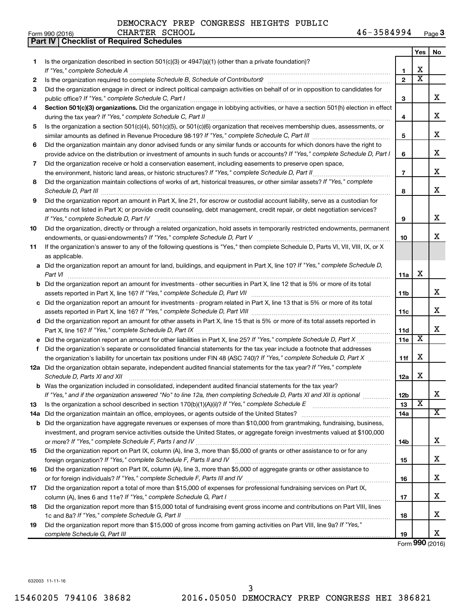|    | Part IV   Checklist of Required Schedules                                                                                                                                                                                           |                 |                         |                      |
|----|-------------------------------------------------------------------------------------------------------------------------------------------------------------------------------------------------------------------------------------|-----------------|-------------------------|----------------------|
|    |                                                                                                                                                                                                                                     |                 | Yes                     | No                   |
| 1  | Is the organization described in section $501(c)(3)$ or $4947(a)(1)$ (other than a private foundation)?                                                                                                                             |                 |                         |                      |
|    |                                                                                                                                                                                                                                     | 1               | х                       |                      |
| 2  |                                                                                                                                                                                                                                     | $\overline{2}$  | $\overline{\text{x}}$   |                      |
| З  | Did the organization engage in direct or indirect political campaign activities on behalf of or in opposition to candidates for                                                                                                     |                 |                         |                      |
|    |                                                                                                                                                                                                                                     | 3               |                         | x                    |
| 4  | Section 501(c)(3) organizations. Did the organization engage in lobbying activities, or have a section 501(h) election in effect                                                                                                    |                 |                         |                      |
|    |                                                                                                                                                                                                                                     | 4               |                         | X                    |
| 5  | Is the organization a section 501(c)(4), 501(c)(5), or 501(c)(6) organization that receives membership dues, assessments, or                                                                                                        |                 |                         |                      |
|    |                                                                                                                                                                                                                                     | 5               |                         | X                    |
| 6  | Did the organization maintain any donor advised funds or any similar funds or accounts for which donors have the right to                                                                                                           |                 |                         |                      |
|    | provide advice on the distribution or investment of amounts in such funds or accounts? If "Yes," complete Schedule D, Part I                                                                                                        | 6               |                         | X                    |
| 7  | Did the organization receive or hold a conservation easement, including easements to preserve open space,                                                                                                                           |                 |                         |                      |
|    |                                                                                                                                                                                                                                     | $\overline{7}$  |                         | x                    |
|    | Did the organization maintain collections of works of art, historical treasures, or other similar assets? If "Yes," complete                                                                                                        |                 |                         |                      |
| 8  |                                                                                                                                                                                                                                     |                 |                         | x                    |
|    | Schedule D, Part III <b>Marting Communities</b> and the contract of the contract of the contract of the contract of the contract of the contract of the contract of the contract of the contract of the contract of the contract of | 8               |                         |                      |
| 9  | Did the organization report an amount in Part X, line 21, for escrow or custodial account liability, serve as a custodian for                                                                                                       |                 |                         |                      |
|    | amounts not listed in Part X; or provide credit counseling, debt management, credit repair, or debt negotiation services?                                                                                                           |                 |                         | X                    |
|    | If "Yes," complete Schedule D, Part IV                                                                                                                                                                                              | 9               |                         |                      |
| 10 | Did the organization, directly or through a related organization, hold assets in temporarily restricted endowments, permanent                                                                                                       |                 |                         | x                    |
|    |                                                                                                                                                                                                                                     | 10              |                         |                      |
| 11 | If the organization's answer to any of the following questions is "Yes," then complete Schedule D, Parts VI, VII, VIII, IX, or X                                                                                                    |                 |                         |                      |
|    | as applicable.                                                                                                                                                                                                                      |                 |                         |                      |
|    | a Did the organization report an amount for land, buildings, and equipment in Part X, line 10? If "Yes," complete Schedule D,                                                                                                       |                 |                         |                      |
|    | Part VI                                                                                                                                                                                                                             | 11a             | х                       |                      |
|    | <b>b</b> Did the organization report an amount for investments - other securities in Part X, line 12 that is 5% or more of its total                                                                                                |                 |                         |                      |
|    |                                                                                                                                                                                                                                     | 11 <sub>b</sub> |                         | x                    |
|    | c Did the organization report an amount for investments - program related in Part X, line 13 that is 5% or more of its total                                                                                                        |                 |                         |                      |
|    |                                                                                                                                                                                                                                     | 11c             |                         | x                    |
|    | d Did the organization report an amount for other assets in Part X, line 15 that is 5% or more of its total assets reported in                                                                                                      |                 |                         |                      |
|    |                                                                                                                                                                                                                                     | 11d             |                         | х                    |
|    | e Did the organization report an amount for other liabilities in Part X, line 25? If "Yes," complete Schedule D, Part X                                                                                                             | 11e             | X                       |                      |
| f  | Did the organization's separate or consolidated financial statements for the tax year include a footnote that addresses                                                                                                             |                 |                         |                      |
|    | the organization's liability for uncertain tax positions under FIN 48 (ASC 740)? If "Yes," complete Schedule D, Part X                                                                                                              | 11f             | х                       |                      |
|    | 12a Did the organization obtain separate, independent audited financial statements for the tax year? If "Yes," complete                                                                                                             |                 |                         |                      |
|    | Schedule D, Parts XI and XII <b>continuum continuum continuum continuum continuum continuum continuum continuum</b> continuum continuum continuum continuum continuum continuum continuum continuum continuum continuum continuum c | 12a             | х                       |                      |
|    | b Was the organization included in consolidated, independent audited financial statements for the tax year?                                                                                                                         |                 |                         |                      |
|    | If "Yes," and if the organization answered "No" to line 12a, then completing Schedule D, Parts XI and XII is optional                                                                                                               | 12b             |                         | х                    |
| 13 |                                                                                                                                                                                                                                     | 13              | $\overline{\textbf{x}}$ |                      |
|    |                                                                                                                                                                                                                                     | 14a             |                         | х                    |
|    | <b>b</b> Did the organization have aggregate revenues or expenses of more than \$10,000 from grantmaking, fundraising, business,                                                                                                    |                 |                         |                      |
|    | investment, and program service activities outside the United States, or aggregate foreign investments valued at \$100,000                                                                                                          |                 |                         |                      |
|    |                                                                                                                                                                                                                                     | 14b             |                         | x                    |
| 15 | Did the organization report on Part IX, column (A), line 3, more than \$5,000 of grants or other assistance to or for any                                                                                                           |                 |                         |                      |
|    |                                                                                                                                                                                                                                     | 15              |                         | х                    |
| 16 | Did the organization report on Part IX, column (A), line 3, more than \$5,000 of aggregate grants or other assistance to                                                                                                            |                 |                         |                      |
|    |                                                                                                                                                                                                                                     | 16              |                         | х                    |
| 17 | Did the organization report a total of more than \$15,000 of expenses for professional fundraising services on Part IX,                                                                                                             |                 |                         |                      |
|    |                                                                                                                                                                                                                                     | 17              |                         | х                    |
| 18 | Did the organization report more than \$15,000 total of fundraising event gross income and contributions on Part VIII, lines                                                                                                        |                 |                         |                      |
|    |                                                                                                                                                                                                                                     | 18              |                         | х                    |
| 19 | Did the organization report more than \$15,000 of gross income from gaming activities on Part VIII, line 9a? If "Yes,"                                                                                                              |                 |                         |                      |
|    |                                                                                                                                                                                                                                     | 19              |                         | х                    |
|    |                                                                                                                                                                                                                                     |                 |                         | $000 \times 10^{-1}$ |

Form (2016) **990**

632003 11-11-16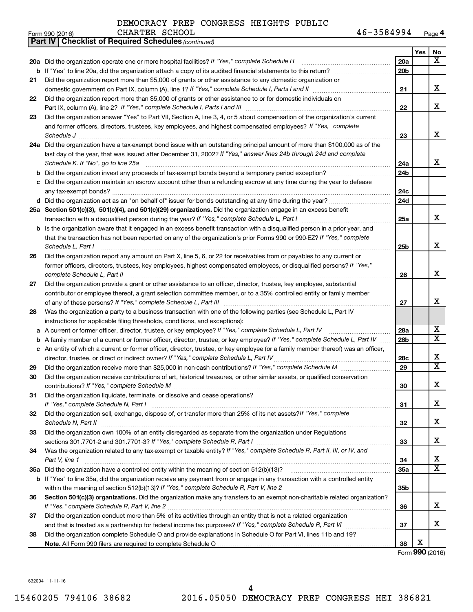|    | 46-3584994<br>CHARTER SCHOOL<br>Form 990 (2016)                                                                                                                                                                                      |                 |     | Page 4                       |
|----|--------------------------------------------------------------------------------------------------------------------------------------------------------------------------------------------------------------------------------------|-----------------|-----|------------------------------|
|    | <b>Part IV   Checklist of Required Schedules (continued)</b>                                                                                                                                                                         |                 |     |                              |
|    |                                                                                                                                                                                                                                      |                 | Yes | No                           |
|    | 20a Did the organization operate one or more hospital facilities? If "Yes," complete Schedule H                                                                                                                                      | 20a             |     | $\overline{\mathbf{x}}$      |
|    |                                                                                                                                                                                                                                      | 20 <sub>b</sub> |     |                              |
| 21 | Did the organization report more than \$5,000 of grants or other assistance to any domestic organization or                                                                                                                          |                 |     |                              |
|    |                                                                                                                                                                                                                                      | 21              |     | X                            |
| 22 | Did the organization report more than \$5,000 of grants or other assistance to or for domestic individuals on                                                                                                                        |                 |     |                              |
|    |                                                                                                                                                                                                                                      | 22              |     | X                            |
| 23 | Did the organization answer "Yes" to Part VII, Section A, line 3, 4, or 5 about compensation of the organization's current                                                                                                           |                 |     |                              |
|    | and former officers, directors, trustees, key employees, and highest compensated employees? If "Yes," complete                                                                                                                       |                 |     |                              |
|    | Schedule J <b>Martin Communication Contract Contract Contract Contract Contract Contract Contract Contract Contract Contract Contract Contract Contract Contract Contract Contract Contract Contract Contract Contract Contract </b> | 23              |     | X                            |
|    | 24a Did the organization have a tax-exempt bond issue with an outstanding principal amount of more than \$100,000 as of the                                                                                                          |                 |     |                              |
|    | last day of the year, that was issued after December 31, 2002? If "Yes," answer lines 24b through 24d and complete                                                                                                                   |                 |     |                              |
|    | Schedule K. If "No", go to line 25a                                                                                                                                                                                                  | 24a             |     | x                            |
| b  |                                                                                                                                                                                                                                      | 24 <sub>b</sub> |     |                              |
|    | c Did the organization maintain an escrow account other than a refunding escrow at any time during the year to defease                                                                                                               |                 |     |                              |
|    |                                                                                                                                                                                                                                      | 24c             |     |                              |
|    |                                                                                                                                                                                                                                      | 24d             |     |                              |
|    | 25a Section 501(c)(3), 501(c)(4), and 501(c)(29) organizations. Did the organization engage in an excess benefit                                                                                                                     |                 |     |                              |
|    |                                                                                                                                                                                                                                      | 25a             |     | X                            |
|    | b Is the organization aware that it engaged in an excess benefit transaction with a disqualified person in a prior year, and                                                                                                         |                 |     |                              |
|    | that the transaction has not been reported on any of the organization's prior Forms 990 or 990-EZ? If "Yes," complete                                                                                                                |                 |     |                              |
|    | Schedule L, Part I                                                                                                                                                                                                                   | 25b             |     | X                            |
| 26 | Did the organization report any amount on Part X, line 5, 6, or 22 for receivables from or payables to any current or                                                                                                                |                 |     |                              |
|    | former officers, directors, trustees, key employees, highest compensated employees, or disqualified persons? If "Yes,"                                                                                                               |                 |     |                              |
|    | complete Schedule L, Part II                                                                                                                                                                                                         | 26              |     | X                            |
| 27 | Did the organization provide a grant or other assistance to an officer, director, trustee, key employee, substantial                                                                                                                 |                 |     |                              |
|    | contributor or employee thereof, a grant selection committee member, or to a 35% controlled entity or family member                                                                                                                  |                 |     |                              |
|    |                                                                                                                                                                                                                                      | 27              |     | х                            |
| 28 | Was the organization a party to a business transaction with one of the following parties (see Schedule L, Part IV                                                                                                                    |                 |     |                              |
|    | instructions for applicable filing thresholds, conditions, and exceptions):                                                                                                                                                          |                 |     |                              |
|    | a A current or former officer, director, trustee, or key employee? If "Yes," complete Schedule L, Part IV                                                                                                                            | 28a             |     | х                            |
|    | b A family member of a current or former officer, director, trustee, or key employee? If "Yes," complete Schedule L, Part IV                                                                                                         | 28 <sub>b</sub> |     | $\overline{X}$               |
|    | c An entity of which a current or former officer, director, trustee, or key employee (or a family member thereof) was an officer,                                                                                                    |                 |     |                              |
|    | director, trustee, or direct or indirect owner? If "Yes," complete Schedule L, Part IV                                                                                                                                               | 28c             |     | X                            |
| 29 |                                                                                                                                                                                                                                      | 29              |     | $\overline{X}$               |
| 30 | Did the organization receive contributions of art, historical treasures, or other similar assets, or qualified conservation                                                                                                          |                 |     |                              |
|    |                                                                                                                                                                                                                                      | 30              |     | X                            |
| 31 | Did the organization liquidate, terminate, or dissolve and cease operations?                                                                                                                                                         |                 |     |                              |
|    |                                                                                                                                                                                                                                      | 31              |     | x                            |
| 32 | Did the organization sell, exchange, dispose of, or transfer more than 25% of its net assets? If "Yes," complete                                                                                                                     |                 |     |                              |
|    | Schedule N, Part II                                                                                                                                                                                                                  | 32              |     | x                            |
| 33 | Did the organization own 100% of an entity disregarded as separate from the organization under Regulations                                                                                                                           |                 |     |                              |
|    |                                                                                                                                                                                                                                      | 33              |     | x                            |
| 34 | Was the organization related to any tax-exempt or taxable entity? If "Yes," complete Schedule R, Part II, III, or IV, and                                                                                                            |                 |     |                              |
|    | Part V, line 1                                                                                                                                                                                                                       | 34              |     | х<br>$\overline{\mathbf{x}}$ |
|    |                                                                                                                                                                                                                                      | 35a             |     |                              |
|    | b If "Yes" to line 35a, did the organization receive any payment from or engage in any transaction with a controlled entity                                                                                                          |                 |     |                              |
|    |                                                                                                                                                                                                                                      | 35 <sub>b</sub> |     |                              |
| 36 | Section 501(c)(3) organizations. Did the organization make any transfers to an exempt non-charitable related organization?                                                                                                           |                 |     |                              |
|    | If "Yes," complete Schedule R, Part V, line 2                                                                                                                                                                                        | 36              |     | x                            |
| 37 | Did the organization conduct more than 5% of its activities through an entity that is not a related organization                                                                                                                     |                 |     |                              |
|    |                                                                                                                                                                                                                                      | 37              |     | x                            |
| 38 | Did the organization complete Schedule O and provide explanations in Schedule O for Part VI, lines 11b and 19?                                                                                                                       |                 | х   |                              |
|    |                                                                                                                                                                                                                                      | 38              |     |                              |
|    |                                                                                                                                                                                                                                      |                 |     | Form 990 (2016)              |

632004 11-11-16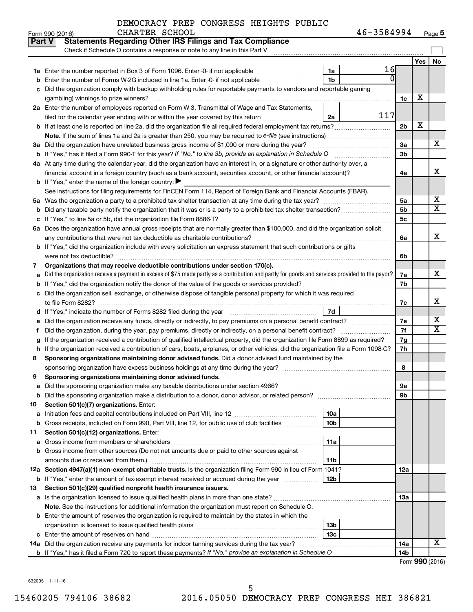| Form 990 (2016) | CHARTER SCHOOL | 46-3584994<br>Page 5 |
|-----------------|----------------|----------------------|
|-----------------|----------------|----------------------|

| <b>Part V</b> | <b>Statements Regarding Other IRS Filings and Tax Compliance</b>                                                                                                                                      |                      |     |                         |  |  |  |  |  |  |
|---------------|-------------------------------------------------------------------------------------------------------------------------------------------------------------------------------------------------------|----------------------|-----|-------------------------|--|--|--|--|--|--|
|               | Check if Schedule O contains a response or note to any line in this Part V                                                                                                                            |                      |     |                         |  |  |  |  |  |  |
|               |                                                                                                                                                                                                       |                      | Yes | No                      |  |  |  |  |  |  |
|               | 16<br>1a                                                                                                                                                                                              |                      |     |                         |  |  |  |  |  |  |
|               | $\Omega$<br><b>b</b> Enter the number of Forms W-2G included in line 1a. Enter -0- if not applicable <i>manumumumum</i><br>1 <sub>b</sub>                                                             |                      |     |                         |  |  |  |  |  |  |
|               | c Did the organization comply with backup withholding rules for reportable payments to vendors and reportable gaming                                                                                  |                      |     |                         |  |  |  |  |  |  |
|               |                                                                                                                                                                                                       | 1c                   | х   |                         |  |  |  |  |  |  |
|               | 2a Enter the number of employees reported on Form W-3, Transmittal of Wage and Tax Statements,                                                                                                        |                      |     |                         |  |  |  |  |  |  |
|               | 117<br>2a<br>filed for the calendar year ending with or within the year covered by this return                                                                                                        |                      | х   |                         |  |  |  |  |  |  |
|               |                                                                                                                                                                                                       |                      |     |                         |  |  |  |  |  |  |
|               | <b>Note.</b> If the sum of lines 1a and 2a is greater than 250, you may be required to e-file (see instructions)                                                                                      |                      |     |                         |  |  |  |  |  |  |
|               | 3a Did the organization have unrelated business gross income of \$1,000 or more during the year?                                                                                                      | 3a                   |     | x                       |  |  |  |  |  |  |
|               | <b>b</b> If "Yes," has it filed a Form 990 T for this year? If "No," to line 3b, provide an explanation in Schedule O                                                                                 | 3 <sub>b</sub>       |     |                         |  |  |  |  |  |  |
|               | 4a At any time during the calendar year, did the organization have an interest in, or a signature or other authority over, a                                                                          |                      |     |                         |  |  |  |  |  |  |
|               | financial account in a foreign country (such as a bank account, securities account, or other financial account)?                                                                                      | 4a                   |     | x                       |  |  |  |  |  |  |
|               | <b>b</b> If "Yes," enter the name of the foreign country: $\blacktriangleright$                                                                                                                       |                      |     |                         |  |  |  |  |  |  |
|               | See instructions for filing requirements for FinCEN Form 114, Report of Foreign Bank and Financial Accounts (FBAR).                                                                                   |                      |     | х                       |  |  |  |  |  |  |
|               |                                                                                                                                                                                                       | 5a<br>5 <sub>b</sub> |     | $\overline{\mathbf{X}}$ |  |  |  |  |  |  |
|               | <b>b</b> Did any taxable party notify the organization that it was or is a party to a prohibited tax shelter transaction?                                                                             | 5c                   |     |                         |  |  |  |  |  |  |
|               |                                                                                                                                                                                                       |                      |     |                         |  |  |  |  |  |  |
|               | 6a Does the organization have annual gross receipts that are normally greater than \$100,000, and did the organization solicit                                                                        | 6a                   |     | x                       |  |  |  |  |  |  |
|               | any contributions that were not tax deductible as charitable contributions?<br>b If "Yes," did the organization include with every solicitation an express statement that such contributions or gifts |                      |     |                         |  |  |  |  |  |  |
|               |                                                                                                                                                                                                       | 6b                   |     |                         |  |  |  |  |  |  |
| 7.            | Organizations that may receive deductible contributions under section 170(c).                                                                                                                         |                      |     |                         |  |  |  |  |  |  |
|               | a Did the organization receive a payment in excess of \$75 made partly as a contribution and partly for goods and services provided to the payor?                                                     |                      |     |                         |  |  |  |  |  |  |
|               |                                                                                                                                                                                                       |                      |     |                         |  |  |  |  |  |  |
|               | c Did the organization sell, exchange, or otherwise dispose of tangible personal property for which it was required                                                                                   |                      |     |                         |  |  |  |  |  |  |
|               | to file Form 8282?                                                                                                                                                                                    |                      |     |                         |  |  |  |  |  |  |
|               | 7d                                                                                                                                                                                                    |                      |     |                         |  |  |  |  |  |  |
|               | e Did the organization receive any funds, directly or indirectly, to pay premiums on a personal benefit contract?                                                                                     |                      |     |                         |  |  |  |  |  |  |
| f             | Did the organization, during the year, pay premiums, directly or indirectly, on a personal benefit contract?                                                                                          | 7f                   |     | $\overline{\textbf{X}}$ |  |  |  |  |  |  |
| g             | If the organization received a contribution of qualified intellectual property, did the organization file Form 8899 as required?                                                                      | 7g                   |     |                         |  |  |  |  |  |  |
|               | h If the organization received a contribution of cars, boats, airplanes, or other vehicles, did the organization file a Form 1098-C?                                                                  | 7h                   |     |                         |  |  |  |  |  |  |
| 8             | Sponsoring organizations maintaining donor advised funds. Did a donor advised fund maintained by the                                                                                                  |                      |     |                         |  |  |  |  |  |  |
|               | sponsoring organization have excess business holdings at any time during the year?                                                                                                                    | 8                    |     |                         |  |  |  |  |  |  |
| 9             | Sponsoring organizations maintaining donor advised funds.                                                                                                                                             |                      |     |                         |  |  |  |  |  |  |
|               | a Did the sponsoring organization make any taxable distributions under section 4966?                                                                                                                  | 9а                   |     |                         |  |  |  |  |  |  |
|               |                                                                                                                                                                                                       | 9b                   |     |                         |  |  |  |  |  |  |
| 10            | Section 501(c)(7) organizations. Enter:                                                                                                                                                               |                      |     |                         |  |  |  |  |  |  |
| а             | 10a                                                                                                                                                                                                   |                      |     |                         |  |  |  |  |  |  |
|               | <b>b</b> Gross receipts, included on Form 990, Part VIII, line 12, for public use of club facilities<br>10 <sub>b</sub>                                                                               |                      |     |                         |  |  |  |  |  |  |
| 11            | Section 501(c)(12) organizations. Enter:                                                                                                                                                              |                      |     |                         |  |  |  |  |  |  |
|               | 11a                                                                                                                                                                                                   |                      |     |                         |  |  |  |  |  |  |
|               | b Gross income from other sources (Do not net amounts due or paid to other sources against                                                                                                            |                      |     |                         |  |  |  |  |  |  |
|               | amounts due or received from them.)<br>11b<br>12a Section 4947(a)(1) non-exempt charitable trusts. Is the organization filing Form 990 in lieu of Form 1041?                                          |                      |     |                         |  |  |  |  |  |  |
|               | <b>b</b> If "Yes," enter the amount of tax-exempt interest received or accrued during the year<br>12b                                                                                                 | 12a                  |     |                         |  |  |  |  |  |  |
| 13            | Section 501(c)(29) qualified nonprofit health insurance issuers.                                                                                                                                      |                      |     |                         |  |  |  |  |  |  |
|               |                                                                                                                                                                                                       | 13a                  |     |                         |  |  |  |  |  |  |
|               | <b>Note.</b> See the instructions for additional information the organization must report on Schedule O.                                                                                              |                      |     |                         |  |  |  |  |  |  |
|               | <b>b</b> Enter the amount of reserves the organization is required to maintain by the states in which the                                                                                             |                      |     |                         |  |  |  |  |  |  |
|               | 13b                                                                                                                                                                                                   |                      |     |                         |  |  |  |  |  |  |
|               | 13c                                                                                                                                                                                                   |                      |     |                         |  |  |  |  |  |  |
|               | 14a Did the organization receive any payments for indoor tanning services during the tax year?                                                                                                        | 14a                  |     | х                       |  |  |  |  |  |  |
|               |                                                                                                                                                                                                       | 14b                  |     |                         |  |  |  |  |  |  |
|               |                                                                                                                                                                                                       |                      |     |                         |  |  |  |  |  |  |

632005 11-11-16

15460205 794106 38682 2016.05050 DEMOCRACY PREP CONGRESS HEI 386821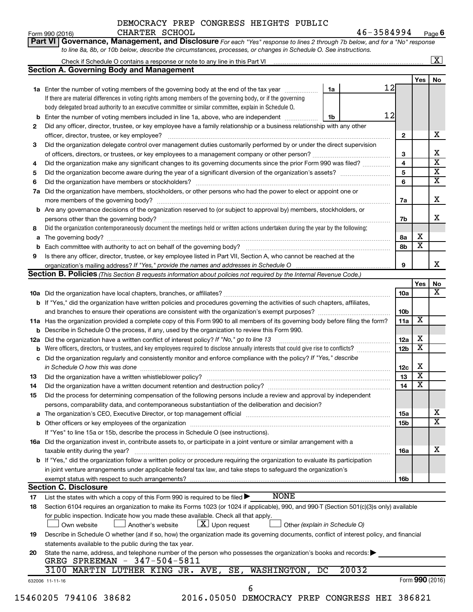#### Form 990 (2016)  $CHARTER$   $SCHOOL$   $46-3584994$   $Page$ DEMOCRACY PREP CONGRESS HEIGHTS PUBLIC

**Part VI** Governance, Management, and Disclosure For each "Yes" response to lines 2 through 7b below, and for a "No" response

| 2<br>3<br>4<br>5<br>6<br>7a<br>8<br>a<br>9 | 1a Enter the number of voting members of the governing body at the end of the tax year<br>If there are material differences in voting rights among members of the governing body, or if the governing<br>body delegated broad authority to an executive committee or similar committee, explain in Schedule O.<br>Enter the number of voting members included in line 1a, above, who are independent <i>manamer</i> .<br>Did any officer, director, trustee, or key employee have a family relationship or a business relationship with any other<br>officer, director, trustee, or key employee?<br>Did the organization delegate control over management duties customarily performed by or under the direct supervision<br>Did the organization make any significant changes to its governing documents since the prior Form 990 was filed?<br>Did the organization have members, stockholders, or other persons who had the power to elect or appoint one or<br><b>b</b> Are any governance decisions of the organization reserved to (or subject to approval by) members, stockholders, or<br>Did the organization contemporaneously document the meetings held or written actions undertaken during the year by the following:<br>Is there any officer, director, trustee, or key employee listed in Part VII, Section A, who cannot be reached at the<br>Section B. Policies (This Section B requests information about policies not required by the Internal Revenue Code.) | 1a<br>1b                      | 12<br>12<br>$\mathbf{2}$<br>3<br>4<br>5<br>6<br>7a<br>7b<br>8а<br>8b | Yes                     |
|--------------------------------------------|-------------------------------------------------------------------------------------------------------------------------------------------------------------------------------------------------------------------------------------------------------------------------------------------------------------------------------------------------------------------------------------------------------------------------------------------------------------------------------------------------------------------------------------------------------------------------------------------------------------------------------------------------------------------------------------------------------------------------------------------------------------------------------------------------------------------------------------------------------------------------------------------------------------------------------------------------------------------------------------------------------------------------------------------------------------------------------------------------------------------------------------------------------------------------------------------------------------------------------------------------------------------------------------------------------------------------------------------------------------------------------------------------------------------------------------------------------------------------------------|-------------------------------|----------------------------------------------------------------------|-------------------------|
|                                            |                                                                                                                                                                                                                                                                                                                                                                                                                                                                                                                                                                                                                                                                                                                                                                                                                                                                                                                                                                                                                                                                                                                                                                                                                                                                                                                                                                                                                                                                                     |                               |                                                                      |                         |
|                                            |                                                                                                                                                                                                                                                                                                                                                                                                                                                                                                                                                                                                                                                                                                                                                                                                                                                                                                                                                                                                                                                                                                                                                                                                                                                                                                                                                                                                                                                                                     |                               |                                                                      |                         |
|                                            |                                                                                                                                                                                                                                                                                                                                                                                                                                                                                                                                                                                                                                                                                                                                                                                                                                                                                                                                                                                                                                                                                                                                                                                                                                                                                                                                                                                                                                                                                     |                               |                                                                      |                         |
|                                            |                                                                                                                                                                                                                                                                                                                                                                                                                                                                                                                                                                                                                                                                                                                                                                                                                                                                                                                                                                                                                                                                                                                                                                                                                                                                                                                                                                                                                                                                                     |                               |                                                                      |                         |
|                                            |                                                                                                                                                                                                                                                                                                                                                                                                                                                                                                                                                                                                                                                                                                                                                                                                                                                                                                                                                                                                                                                                                                                                                                                                                                                                                                                                                                                                                                                                                     |                               |                                                                      |                         |
|                                            |                                                                                                                                                                                                                                                                                                                                                                                                                                                                                                                                                                                                                                                                                                                                                                                                                                                                                                                                                                                                                                                                                                                                                                                                                                                                                                                                                                                                                                                                                     |                               |                                                                      |                         |
|                                            |                                                                                                                                                                                                                                                                                                                                                                                                                                                                                                                                                                                                                                                                                                                                                                                                                                                                                                                                                                                                                                                                                                                                                                                                                                                                                                                                                                                                                                                                                     |                               |                                                                      |                         |
|                                            |                                                                                                                                                                                                                                                                                                                                                                                                                                                                                                                                                                                                                                                                                                                                                                                                                                                                                                                                                                                                                                                                                                                                                                                                                                                                                                                                                                                                                                                                                     |                               |                                                                      |                         |
|                                            |                                                                                                                                                                                                                                                                                                                                                                                                                                                                                                                                                                                                                                                                                                                                                                                                                                                                                                                                                                                                                                                                                                                                                                                                                                                                                                                                                                                                                                                                                     |                               |                                                                      |                         |
|                                            |                                                                                                                                                                                                                                                                                                                                                                                                                                                                                                                                                                                                                                                                                                                                                                                                                                                                                                                                                                                                                                                                                                                                                                                                                                                                                                                                                                                                                                                                                     |                               |                                                                      |                         |
|                                            |                                                                                                                                                                                                                                                                                                                                                                                                                                                                                                                                                                                                                                                                                                                                                                                                                                                                                                                                                                                                                                                                                                                                                                                                                                                                                                                                                                                                                                                                                     |                               |                                                                      |                         |
|                                            |                                                                                                                                                                                                                                                                                                                                                                                                                                                                                                                                                                                                                                                                                                                                                                                                                                                                                                                                                                                                                                                                                                                                                                                                                                                                                                                                                                                                                                                                                     |                               |                                                                      |                         |
|                                            |                                                                                                                                                                                                                                                                                                                                                                                                                                                                                                                                                                                                                                                                                                                                                                                                                                                                                                                                                                                                                                                                                                                                                                                                                                                                                                                                                                                                                                                                                     |                               |                                                                      |                         |
|                                            |                                                                                                                                                                                                                                                                                                                                                                                                                                                                                                                                                                                                                                                                                                                                                                                                                                                                                                                                                                                                                                                                                                                                                                                                                                                                                                                                                                                                                                                                                     |                               |                                                                      |                         |
|                                            |                                                                                                                                                                                                                                                                                                                                                                                                                                                                                                                                                                                                                                                                                                                                                                                                                                                                                                                                                                                                                                                                                                                                                                                                                                                                                                                                                                                                                                                                                     |                               |                                                                      |                         |
|                                            |                                                                                                                                                                                                                                                                                                                                                                                                                                                                                                                                                                                                                                                                                                                                                                                                                                                                                                                                                                                                                                                                                                                                                                                                                                                                                                                                                                                                                                                                                     |                               |                                                                      |                         |
|                                            |                                                                                                                                                                                                                                                                                                                                                                                                                                                                                                                                                                                                                                                                                                                                                                                                                                                                                                                                                                                                                                                                                                                                                                                                                                                                                                                                                                                                                                                                                     |                               |                                                                      |                         |
|                                            |                                                                                                                                                                                                                                                                                                                                                                                                                                                                                                                                                                                                                                                                                                                                                                                                                                                                                                                                                                                                                                                                                                                                                                                                                                                                                                                                                                                                                                                                                     |                               |                                                                      |                         |
|                                            |                                                                                                                                                                                                                                                                                                                                                                                                                                                                                                                                                                                                                                                                                                                                                                                                                                                                                                                                                                                                                                                                                                                                                                                                                                                                                                                                                                                                                                                                                     |                               |                                                                      |                         |
|                                            |                                                                                                                                                                                                                                                                                                                                                                                                                                                                                                                                                                                                                                                                                                                                                                                                                                                                                                                                                                                                                                                                                                                                                                                                                                                                                                                                                                                                                                                                                     |                               |                                                                      | х                       |
|                                            |                                                                                                                                                                                                                                                                                                                                                                                                                                                                                                                                                                                                                                                                                                                                                                                                                                                                                                                                                                                                                                                                                                                                                                                                                                                                                                                                                                                                                                                                                     |                               |                                                                      | $\overline{\textbf{x}}$ |
|                                            |                                                                                                                                                                                                                                                                                                                                                                                                                                                                                                                                                                                                                                                                                                                                                                                                                                                                                                                                                                                                                                                                                                                                                                                                                                                                                                                                                                                                                                                                                     |                               |                                                                      |                         |
|                                            |                                                                                                                                                                                                                                                                                                                                                                                                                                                                                                                                                                                                                                                                                                                                                                                                                                                                                                                                                                                                                                                                                                                                                                                                                                                                                                                                                                                                                                                                                     |                               | 9                                                                    |                         |
|                                            |                                                                                                                                                                                                                                                                                                                                                                                                                                                                                                                                                                                                                                                                                                                                                                                                                                                                                                                                                                                                                                                                                                                                                                                                                                                                                                                                                                                                                                                                                     |                               |                                                                      |                         |
|                                            |                                                                                                                                                                                                                                                                                                                                                                                                                                                                                                                                                                                                                                                                                                                                                                                                                                                                                                                                                                                                                                                                                                                                                                                                                                                                                                                                                                                                                                                                                     |                               |                                                                      | Yes                     |
|                                            |                                                                                                                                                                                                                                                                                                                                                                                                                                                                                                                                                                                                                                                                                                                                                                                                                                                                                                                                                                                                                                                                                                                                                                                                                                                                                                                                                                                                                                                                                     |                               | 10a                                                                  |                         |
|                                            |                                                                                                                                                                                                                                                                                                                                                                                                                                                                                                                                                                                                                                                                                                                                                                                                                                                                                                                                                                                                                                                                                                                                                                                                                                                                                                                                                                                                                                                                                     |                               |                                                                      |                         |
|                                            | b If "Yes," did the organization have written policies and procedures governing the activities of such chapters, affiliates,                                                                                                                                                                                                                                                                                                                                                                                                                                                                                                                                                                                                                                                                                                                                                                                                                                                                                                                                                                                                                                                                                                                                                                                                                                                                                                                                                        |                               |                                                                      |                         |
|                                            |                                                                                                                                                                                                                                                                                                                                                                                                                                                                                                                                                                                                                                                                                                                                                                                                                                                                                                                                                                                                                                                                                                                                                                                                                                                                                                                                                                                                                                                                                     |                               | 10b                                                                  |                         |
|                                            | 11a Has the organization provided a complete copy of this Form 990 to all members of its governing body before filing the form?                                                                                                                                                                                                                                                                                                                                                                                                                                                                                                                                                                                                                                                                                                                                                                                                                                                                                                                                                                                                                                                                                                                                                                                                                                                                                                                                                     |                               | 11a                                                                  | X                       |
|                                            | <b>b</b> Describe in Schedule O the process, if any, used by the organization to review this Form 990.                                                                                                                                                                                                                                                                                                                                                                                                                                                                                                                                                                                                                                                                                                                                                                                                                                                                                                                                                                                                                                                                                                                                                                                                                                                                                                                                                                              |                               |                                                                      |                         |
| 12a                                        | Did the organization have a written conflict of interest policy? If "No," go to line 13                                                                                                                                                                                                                                                                                                                                                                                                                                                                                                                                                                                                                                                                                                                                                                                                                                                                                                                                                                                                                                                                                                                                                                                                                                                                                                                                                                                             |                               | 12a                                                                  | х                       |
|                                            | Were officers, directors, or trustees, and key employees required to disclose annually interests that could give rise to conflicts?                                                                                                                                                                                                                                                                                                                                                                                                                                                                                                                                                                                                                                                                                                                                                                                                                                                                                                                                                                                                                                                                                                                                                                                                                                                                                                                                                 |                               | 12 <sub>b</sub>                                                      | $\overline{\mathbf{X}}$ |
| с                                          | Did the organization regularly and consistently monitor and enforce compliance with the policy? If "Yes," describe                                                                                                                                                                                                                                                                                                                                                                                                                                                                                                                                                                                                                                                                                                                                                                                                                                                                                                                                                                                                                                                                                                                                                                                                                                                                                                                                                                  |                               |                                                                      |                         |
|                                            |                                                                                                                                                                                                                                                                                                                                                                                                                                                                                                                                                                                                                                                                                                                                                                                                                                                                                                                                                                                                                                                                                                                                                                                                                                                                                                                                                                                                                                                                                     |                               | 12c                                                                  | х                       |
|                                            | in Schedule O how this was done manufactured and continuum and contact the was done manufactured and contact t                                                                                                                                                                                                                                                                                                                                                                                                                                                                                                                                                                                                                                                                                                                                                                                                                                                                                                                                                                                                                                                                                                                                                                                                                                                                                                                                                                      |                               |                                                                      | $\overline{\mathbf{X}}$ |
| 13                                         |                                                                                                                                                                                                                                                                                                                                                                                                                                                                                                                                                                                                                                                                                                                                                                                                                                                                                                                                                                                                                                                                                                                                                                                                                                                                                                                                                                                                                                                                                     |                               | 13                                                                   |                         |
| 14                                         |                                                                                                                                                                                                                                                                                                                                                                                                                                                                                                                                                                                                                                                                                                                                                                                                                                                                                                                                                                                                                                                                                                                                                                                                                                                                                                                                                                                                                                                                                     |                               | 14                                                                   | $\overline{\mathbf{X}}$ |
| 15                                         | Did the process for determining compensation of the following persons include a review and approval by independent                                                                                                                                                                                                                                                                                                                                                                                                                                                                                                                                                                                                                                                                                                                                                                                                                                                                                                                                                                                                                                                                                                                                                                                                                                                                                                                                                                  |                               |                                                                      |                         |
|                                            | persons, comparability data, and contemporaneous substantiation of the deliberation and decision?                                                                                                                                                                                                                                                                                                                                                                                                                                                                                                                                                                                                                                                                                                                                                                                                                                                                                                                                                                                                                                                                                                                                                                                                                                                                                                                                                                                   |                               |                                                                      |                         |
|                                            |                                                                                                                                                                                                                                                                                                                                                                                                                                                                                                                                                                                                                                                                                                                                                                                                                                                                                                                                                                                                                                                                                                                                                                                                                                                                                                                                                                                                                                                                                     |                               | 15a                                                                  |                         |
|                                            |                                                                                                                                                                                                                                                                                                                                                                                                                                                                                                                                                                                                                                                                                                                                                                                                                                                                                                                                                                                                                                                                                                                                                                                                                                                                                                                                                                                                                                                                                     |                               | 15b                                                                  |                         |
|                                            | If "Yes" to line 15a or 15b, describe the process in Schedule O (see instructions).                                                                                                                                                                                                                                                                                                                                                                                                                                                                                                                                                                                                                                                                                                                                                                                                                                                                                                                                                                                                                                                                                                                                                                                                                                                                                                                                                                                                 |                               |                                                                      |                         |
|                                            |                                                                                                                                                                                                                                                                                                                                                                                                                                                                                                                                                                                                                                                                                                                                                                                                                                                                                                                                                                                                                                                                                                                                                                                                                                                                                                                                                                                                                                                                                     |                               |                                                                      |                         |
|                                            | 16a Did the organization invest in, contribute assets to, or participate in a joint venture or similar arrangement with a                                                                                                                                                                                                                                                                                                                                                                                                                                                                                                                                                                                                                                                                                                                                                                                                                                                                                                                                                                                                                                                                                                                                                                                                                                                                                                                                                           |                               |                                                                      |                         |
|                                            | taxable entity during the year?                                                                                                                                                                                                                                                                                                                                                                                                                                                                                                                                                                                                                                                                                                                                                                                                                                                                                                                                                                                                                                                                                                                                                                                                                                                                                                                                                                                                                                                     |                               | 16a                                                                  |                         |
|                                            | b If "Yes," did the organization follow a written policy or procedure requiring the organization to evaluate its participation                                                                                                                                                                                                                                                                                                                                                                                                                                                                                                                                                                                                                                                                                                                                                                                                                                                                                                                                                                                                                                                                                                                                                                                                                                                                                                                                                      |                               |                                                                      |                         |
|                                            | in joint venture arrangements under applicable federal tax law, and take steps to safeguard the organization's                                                                                                                                                                                                                                                                                                                                                                                                                                                                                                                                                                                                                                                                                                                                                                                                                                                                                                                                                                                                                                                                                                                                                                                                                                                                                                                                                                      |                               |                                                                      |                         |
|                                            | exempt status with respect to such arrangements?                                                                                                                                                                                                                                                                                                                                                                                                                                                                                                                                                                                                                                                                                                                                                                                                                                                                                                                                                                                                                                                                                                                                                                                                                                                                                                                                                                                                                                    |                               | 16b                                                                  |                         |
|                                            | <b>Section C. Disclosure</b>                                                                                                                                                                                                                                                                                                                                                                                                                                                                                                                                                                                                                                                                                                                                                                                                                                                                                                                                                                                                                                                                                                                                                                                                                                                                                                                                                                                                                                                        |                               |                                                                      |                         |
| 17                                         | <b>NONE</b><br>List the states with which a copy of this Form 990 is required to be filed $\blacktriangleright$                                                                                                                                                                                                                                                                                                                                                                                                                                                                                                                                                                                                                                                                                                                                                                                                                                                                                                                                                                                                                                                                                                                                                                                                                                                                                                                                                                     |                               |                                                                      |                         |
| 18                                         | Section 6104 requires an organization to make its Forms 1023 (or 1024 if applicable), 990, and 990-T (Section 501(c)(3)s only) available                                                                                                                                                                                                                                                                                                                                                                                                                                                                                                                                                                                                                                                                                                                                                                                                                                                                                                                                                                                                                                                                                                                                                                                                                                                                                                                                            |                               |                                                                      |                         |
|                                            |                                                                                                                                                                                                                                                                                                                                                                                                                                                                                                                                                                                                                                                                                                                                                                                                                                                                                                                                                                                                                                                                                                                                                                                                                                                                                                                                                                                                                                                                                     |                               |                                                                      |                         |
|                                            | for public inspection. Indicate how you made these available. Check all that apply.                                                                                                                                                                                                                                                                                                                                                                                                                                                                                                                                                                                                                                                                                                                                                                                                                                                                                                                                                                                                                                                                                                                                                                                                                                                                                                                                                                                                 |                               |                                                                      |                         |
|                                            | $\lfloor x \rfloor$ Upon request<br>Own website<br>Another's website                                                                                                                                                                                                                                                                                                                                                                                                                                                                                                                                                                                                                                                                                                                                                                                                                                                                                                                                                                                                                                                                                                                                                                                                                                                                                                                                                                                                                | Other (explain in Schedule O) |                                                                      |                         |
| 19                                         | Describe in Schedule O whether (and if so, how) the organization made its governing documents, conflict of interest policy, and financial                                                                                                                                                                                                                                                                                                                                                                                                                                                                                                                                                                                                                                                                                                                                                                                                                                                                                                                                                                                                                                                                                                                                                                                                                                                                                                                                           |                               |                                                                      |                         |
|                                            | statements available to the public during the tax year.                                                                                                                                                                                                                                                                                                                                                                                                                                                                                                                                                                                                                                                                                                                                                                                                                                                                                                                                                                                                                                                                                                                                                                                                                                                                                                                                                                                                                             |                               |                                                                      |                         |
| 20                                         | State the name, address, and telephone number of the person who possesses the organization's books and records:                                                                                                                                                                                                                                                                                                                                                                                                                                                                                                                                                                                                                                                                                                                                                                                                                                                                                                                                                                                                                                                                                                                                                                                                                                                                                                                                                                     |                               |                                                                      |                         |
|                                            | GREG SPREEMAN - 347-504-5811                                                                                                                                                                                                                                                                                                                                                                                                                                                                                                                                                                                                                                                                                                                                                                                                                                                                                                                                                                                                                                                                                                                                                                                                                                                                                                                                                                                                                                                        |                               |                                                                      |                         |
|                                            | 3100 MARTIN LUTHER KING JR. AVE, SE, WASHINGTON,                                                                                                                                                                                                                                                                                                                                                                                                                                                                                                                                                                                                                                                                                                                                                                                                                                                                                                                                                                                                                                                                                                                                                                                                                                                                                                                                                                                                                                    | 20032<br>$\overline{DC}$      |                                                                      |                         |
| 632006 11-11-16                            |                                                                                                                                                                                                                                                                                                                                                                                                                                                                                                                                                                                                                                                                                                                                                                                                                                                                                                                                                                                                                                                                                                                                                                                                                                                                                                                                                                                                                                                                                     |                               |                                                                      | Form 990 (2016)         |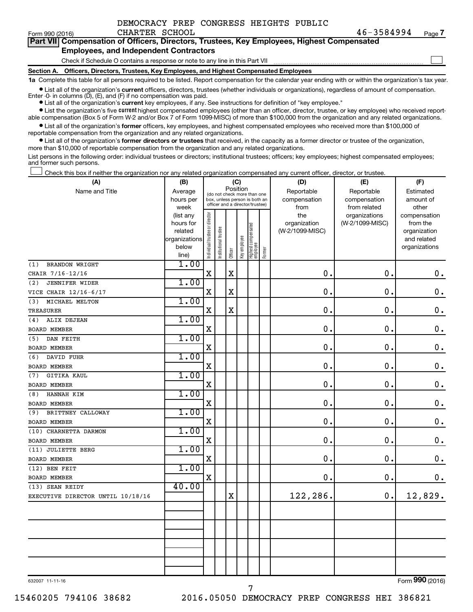$\Box$ 

|  | Part VII Compensation of Officers, Directors, Trustees, Key Employees, Highest Compensated |  |  |  |  |
|--|--------------------------------------------------------------------------------------------|--|--|--|--|
|  | <b>Employees, and Independent Contractors</b>                                              |  |  |  |  |

Check if Schedule O contains a response or note to any line in this Part VII

**Section A. Officers, Directors, Trustees, Key Employees, and Highest Compensated Employees**

**1a**  Complete this table for all persons required to be listed. Report compensation for the calendar year ending with or within the organization's tax year.

**•** List all of the organization's current officers, directors, trustees (whether individuals or organizations), regardless of amount of compensation.

**•** List all of the organization's **current** key employees, if any. See instructions for definition of "key employee." Enter -0- in columns  $(D)$ ,  $(E)$ , and  $(F)$  if no compensation was paid.

**•** List the organization's five current highest compensated employees (other than an officer, director, trustee, or key employee) who received report-

**•** List all of the organization's former officers, key employees, and highest compensated employees who received more than \$100,000 of able compensation (Box 5 of Form W-2 and/or Box 7 of Form 1099-MISC) of more than \$100,000 from the organization and any related organizations. reportable compensation from the organization and any related organizations.

**•** List all of the organization's former directors or trustees that received, in the capacity as a former director or trustee of the organization, more than \$10,000 of reportable compensation from the organization and any related organizations.

List persons in the following order: individual trustees or directors; institutional trustees; officers; key employees; highest compensated employees; and former such persons.

Check this box if neither the organization nor any related organization compensated any current officer, director, or trustee.  $\Box$ 

| Name and Title<br>Reportable<br>Reportable<br>Average<br>Estimated<br>(do not check more than one<br>compensation<br>compensation<br>hours per<br>box, unless person is both an<br>amount of<br>officer and a director/trustee)<br>week<br>from<br>from related<br>other<br>Individual trustee or director<br>the<br>organizations<br>(list any<br>compensation<br>(W-2/1099-MISC)<br>hours for<br>organization<br>from the<br>Highest compensated<br>employee<br>Institutional trustee<br>(W-2/1099-MISC)<br>related<br>organization<br>Key employee<br>organizations<br>and related<br>below<br>organizations<br>Former<br>Officer<br>line)<br>1.00<br><b>BRANDON WRIGHT</b><br>(1)<br>$\mathbf X$<br>$\mathbf X$<br>$\mathbf 0$ .<br>$\mathbf 0$ .<br>$\mathbf 0$ .<br>CHAIR 7/16-12/16<br>1.00<br>(2)<br><b>JENNIFER WIDER</b><br>$\mathbf X$<br>$\mathbf X$<br>0<br>$\mathbf 0$ .<br>$\mathbf 0$ .<br>VICE CHAIR 12/16-6/17<br>1.00<br>MICHAEL MELTON<br>(3)<br>$\mathbf 0$<br>$\mathbf 0$<br>$\mathbf 0$ .<br>$\mathbf X$<br>$\mathbf X$<br>TREASURER<br>1.00<br>ALIX DEJEAN<br>(4)<br>$\mathbf 0$ .<br>X<br>0.<br>$\mathbf 0$ .<br><b>BOARD MEMBER</b><br>1.00<br>DAN FEITH<br>(5)<br>$\mathbf 0$ .<br>$\mathbf X$<br>$\mathbf 0$<br>$\mathbf 0$ .<br>BOARD MEMBER<br>1.00<br>(6)<br>DAVID FUHR<br>$\mathbf 0$ .<br>X<br>0<br>$\mathbf 0$ .<br><b>BOARD MEMBER</b><br>1.00<br><b>GITIKA KAUL</b><br>(7)<br>$\mathbf 0$<br>0.<br>$\mathbf 0$ .<br>X<br><b>BOARD MEMBER</b><br>1.00<br>HANNAH KIM<br>(8)<br>$\mathbf 0$ .<br>X<br>0.<br>$\mathbf 0$ .<br><b>BOARD MEMBER</b><br>1.00<br>BRITTNEY CALLOWAY<br>(9)<br>0.<br>$\mathbf 0$ .<br>$\mathbf X$<br>0.<br><b>BOARD MEMBER</b><br>1.00<br>(10) CHARNETTA DARMON<br>0.<br>$\mathbf 0$ .<br>X<br>0<br><b>BOARD MEMBER</b><br>1.00<br>(11) JULIETTE BERG<br>0<br>0.<br>$\mathbf 0$ .<br>X<br><b>BOARD MEMBER</b><br>1.00<br>(12) BEN FEIT<br>$\mathbf 0$ .<br>X<br>0.<br>0.<br><b>BOARD MEMBER</b><br>40.00<br>(13) SEAN REIDY<br>12,829.<br>122,286.<br>$\mathbf X$<br>$\mathbf 0$ .<br>EXECUTIVE DIRECTOR UNTIL 10/18/16 | (A) | (B) |          |  |  | (C) |  |  | (D) | (E) | (F) |
|-----------------------------------------------------------------------------------------------------------------------------------------------------------------------------------------------------------------------------------------------------------------------------------------------------------------------------------------------------------------------------------------------------------------------------------------------------------------------------------------------------------------------------------------------------------------------------------------------------------------------------------------------------------------------------------------------------------------------------------------------------------------------------------------------------------------------------------------------------------------------------------------------------------------------------------------------------------------------------------------------------------------------------------------------------------------------------------------------------------------------------------------------------------------------------------------------------------------------------------------------------------------------------------------------------------------------------------------------------------------------------------------------------------------------------------------------------------------------------------------------------------------------------------------------------------------------------------------------------------------------------------------------------------------------------------------------------------------------------------------------------------------------------------------------------------------------------------------------------------------------------------------------------------------------------------------------------------------------------------------------------------------------------------------------------------------------------------|-----|-----|----------|--|--|-----|--|--|-----|-----|-----|
|                                                                                                                                                                                                                                                                                                                                                                                                                                                                                                                                                                                                                                                                                                                                                                                                                                                                                                                                                                                                                                                                                                                                                                                                                                                                                                                                                                                                                                                                                                                                                                                                                                                                                                                                                                                                                                                                                                                                                                                                                                                                                   |     |     | Position |  |  |     |  |  |     |     |     |
|                                                                                                                                                                                                                                                                                                                                                                                                                                                                                                                                                                                                                                                                                                                                                                                                                                                                                                                                                                                                                                                                                                                                                                                                                                                                                                                                                                                                                                                                                                                                                                                                                                                                                                                                                                                                                                                                                                                                                                                                                                                                                   |     |     |          |  |  |     |  |  |     |     |     |
|                                                                                                                                                                                                                                                                                                                                                                                                                                                                                                                                                                                                                                                                                                                                                                                                                                                                                                                                                                                                                                                                                                                                                                                                                                                                                                                                                                                                                                                                                                                                                                                                                                                                                                                                                                                                                                                                                                                                                                                                                                                                                   |     |     |          |  |  |     |  |  |     |     |     |
|                                                                                                                                                                                                                                                                                                                                                                                                                                                                                                                                                                                                                                                                                                                                                                                                                                                                                                                                                                                                                                                                                                                                                                                                                                                                                                                                                                                                                                                                                                                                                                                                                                                                                                                                                                                                                                                                                                                                                                                                                                                                                   |     |     |          |  |  |     |  |  |     |     |     |
|                                                                                                                                                                                                                                                                                                                                                                                                                                                                                                                                                                                                                                                                                                                                                                                                                                                                                                                                                                                                                                                                                                                                                                                                                                                                                                                                                                                                                                                                                                                                                                                                                                                                                                                                                                                                                                                                                                                                                                                                                                                                                   |     |     |          |  |  |     |  |  |     |     |     |
|                                                                                                                                                                                                                                                                                                                                                                                                                                                                                                                                                                                                                                                                                                                                                                                                                                                                                                                                                                                                                                                                                                                                                                                                                                                                                                                                                                                                                                                                                                                                                                                                                                                                                                                                                                                                                                                                                                                                                                                                                                                                                   |     |     |          |  |  |     |  |  |     |     |     |
|                                                                                                                                                                                                                                                                                                                                                                                                                                                                                                                                                                                                                                                                                                                                                                                                                                                                                                                                                                                                                                                                                                                                                                                                                                                                                                                                                                                                                                                                                                                                                                                                                                                                                                                                                                                                                                                                                                                                                                                                                                                                                   |     |     |          |  |  |     |  |  |     |     |     |
|                                                                                                                                                                                                                                                                                                                                                                                                                                                                                                                                                                                                                                                                                                                                                                                                                                                                                                                                                                                                                                                                                                                                                                                                                                                                                                                                                                                                                                                                                                                                                                                                                                                                                                                                                                                                                                                                                                                                                                                                                                                                                   |     |     |          |  |  |     |  |  |     |     |     |
|                                                                                                                                                                                                                                                                                                                                                                                                                                                                                                                                                                                                                                                                                                                                                                                                                                                                                                                                                                                                                                                                                                                                                                                                                                                                                                                                                                                                                                                                                                                                                                                                                                                                                                                                                                                                                                                                                                                                                                                                                                                                                   |     |     |          |  |  |     |  |  |     |     |     |
|                                                                                                                                                                                                                                                                                                                                                                                                                                                                                                                                                                                                                                                                                                                                                                                                                                                                                                                                                                                                                                                                                                                                                                                                                                                                                                                                                                                                                                                                                                                                                                                                                                                                                                                                                                                                                                                                                                                                                                                                                                                                                   |     |     |          |  |  |     |  |  |     |     |     |
|                                                                                                                                                                                                                                                                                                                                                                                                                                                                                                                                                                                                                                                                                                                                                                                                                                                                                                                                                                                                                                                                                                                                                                                                                                                                                                                                                                                                                                                                                                                                                                                                                                                                                                                                                                                                                                                                                                                                                                                                                                                                                   |     |     |          |  |  |     |  |  |     |     |     |
|                                                                                                                                                                                                                                                                                                                                                                                                                                                                                                                                                                                                                                                                                                                                                                                                                                                                                                                                                                                                                                                                                                                                                                                                                                                                                                                                                                                                                                                                                                                                                                                                                                                                                                                                                                                                                                                                                                                                                                                                                                                                                   |     |     |          |  |  |     |  |  |     |     |     |
|                                                                                                                                                                                                                                                                                                                                                                                                                                                                                                                                                                                                                                                                                                                                                                                                                                                                                                                                                                                                                                                                                                                                                                                                                                                                                                                                                                                                                                                                                                                                                                                                                                                                                                                                                                                                                                                                                                                                                                                                                                                                                   |     |     |          |  |  |     |  |  |     |     |     |
|                                                                                                                                                                                                                                                                                                                                                                                                                                                                                                                                                                                                                                                                                                                                                                                                                                                                                                                                                                                                                                                                                                                                                                                                                                                                                                                                                                                                                                                                                                                                                                                                                                                                                                                                                                                                                                                                                                                                                                                                                                                                                   |     |     |          |  |  |     |  |  |     |     |     |
|                                                                                                                                                                                                                                                                                                                                                                                                                                                                                                                                                                                                                                                                                                                                                                                                                                                                                                                                                                                                                                                                                                                                                                                                                                                                                                                                                                                                                                                                                                                                                                                                                                                                                                                                                                                                                                                                                                                                                                                                                                                                                   |     |     |          |  |  |     |  |  |     |     |     |
|                                                                                                                                                                                                                                                                                                                                                                                                                                                                                                                                                                                                                                                                                                                                                                                                                                                                                                                                                                                                                                                                                                                                                                                                                                                                                                                                                                                                                                                                                                                                                                                                                                                                                                                                                                                                                                                                                                                                                                                                                                                                                   |     |     |          |  |  |     |  |  |     |     |     |
|                                                                                                                                                                                                                                                                                                                                                                                                                                                                                                                                                                                                                                                                                                                                                                                                                                                                                                                                                                                                                                                                                                                                                                                                                                                                                                                                                                                                                                                                                                                                                                                                                                                                                                                                                                                                                                                                                                                                                                                                                                                                                   |     |     |          |  |  |     |  |  |     |     |     |
|                                                                                                                                                                                                                                                                                                                                                                                                                                                                                                                                                                                                                                                                                                                                                                                                                                                                                                                                                                                                                                                                                                                                                                                                                                                                                                                                                                                                                                                                                                                                                                                                                                                                                                                                                                                                                                                                                                                                                                                                                                                                                   |     |     |          |  |  |     |  |  |     |     |     |
|                                                                                                                                                                                                                                                                                                                                                                                                                                                                                                                                                                                                                                                                                                                                                                                                                                                                                                                                                                                                                                                                                                                                                                                                                                                                                                                                                                                                                                                                                                                                                                                                                                                                                                                                                                                                                                                                                                                                                                                                                                                                                   |     |     |          |  |  |     |  |  |     |     |     |
|                                                                                                                                                                                                                                                                                                                                                                                                                                                                                                                                                                                                                                                                                                                                                                                                                                                                                                                                                                                                                                                                                                                                                                                                                                                                                                                                                                                                                                                                                                                                                                                                                                                                                                                                                                                                                                                                                                                                                                                                                                                                                   |     |     |          |  |  |     |  |  |     |     |     |
|                                                                                                                                                                                                                                                                                                                                                                                                                                                                                                                                                                                                                                                                                                                                                                                                                                                                                                                                                                                                                                                                                                                                                                                                                                                                                                                                                                                                                                                                                                                                                                                                                                                                                                                                                                                                                                                                                                                                                                                                                                                                                   |     |     |          |  |  |     |  |  |     |     |     |
|                                                                                                                                                                                                                                                                                                                                                                                                                                                                                                                                                                                                                                                                                                                                                                                                                                                                                                                                                                                                                                                                                                                                                                                                                                                                                                                                                                                                                                                                                                                                                                                                                                                                                                                                                                                                                                                                                                                                                                                                                                                                                   |     |     |          |  |  |     |  |  |     |     |     |
|                                                                                                                                                                                                                                                                                                                                                                                                                                                                                                                                                                                                                                                                                                                                                                                                                                                                                                                                                                                                                                                                                                                                                                                                                                                                                                                                                                                                                                                                                                                                                                                                                                                                                                                                                                                                                                                                                                                                                                                                                                                                                   |     |     |          |  |  |     |  |  |     |     |     |
|                                                                                                                                                                                                                                                                                                                                                                                                                                                                                                                                                                                                                                                                                                                                                                                                                                                                                                                                                                                                                                                                                                                                                                                                                                                                                                                                                                                                                                                                                                                                                                                                                                                                                                                                                                                                                                                                                                                                                                                                                                                                                   |     |     |          |  |  |     |  |  |     |     |     |
|                                                                                                                                                                                                                                                                                                                                                                                                                                                                                                                                                                                                                                                                                                                                                                                                                                                                                                                                                                                                                                                                                                                                                                                                                                                                                                                                                                                                                                                                                                                                                                                                                                                                                                                                                                                                                                                                                                                                                                                                                                                                                   |     |     |          |  |  |     |  |  |     |     |     |
|                                                                                                                                                                                                                                                                                                                                                                                                                                                                                                                                                                                                                                                                                                                                                                                                                                                                                                                                                                                                                                                                                                                                                                                                                                                                                                                                                                                                                                                                                                                                                                                                                                                                                                                                                                                                                                                                                                                                                                                                                                                                                   |     |     |          |  |  |     |  |  |     |     |     |
|                                                                                                                                                                                                                                                                                                                                                                                                                                                                                                                                                                                                                                                                                                                                                                                                                                                                                                                                                                                                                                                                                                                                                                                                                                                                                                                                                                                                                                                                                                                                                                                                                                                                                                                                                                                                                                                                                                                                                                                                                                                                                   |     |     |          |  |  |     |  |  |     |     |     |
|                                                                                                                                                                                                                                                                                                                                                                                                                                                                                                                                                                                                                                                                                                                                                                                                                                                                                                                                                                                                                                                                                                                                                                                                                                                                                                                                                                                                                                                                                                                                                                                                                                                                                                                                                                                                                                                                                                                                                                                                                                                                                   |     |     |          |  |  |     |  |  |     |     |     |
|                                                                                                                                                                                                                                                                                                                                                                                                                                                                                                                                                                                                                                                                                                                                                                                                                                                                                                                                                                                                                                                                                                                                                                                                                                                                                                                                                                                                                                                                                                                                                                                                                                                                                                                                                                                                                                                                                                                                                                                                                                                                                   |     |     |          |  |  |     |  |  |     |     |     |
|                                                                                                                                                                                                                                                                                                                                                                                                                                                                                                                                                                                                                                                                                                                                                                                                                                                                                                                                                                                                                                                                                                                                                                                                                                                                                                                                                                                                                                                                                                                                                                                                                                                                                                                                                                                                                                                                                                                                                                                                                                                                                   |     |     |          |  |  |     |  |  |     |     |     |
|                                                                                                                                                                                                                                                                                                                                                                                                                                                                                                                                                                                                                                                                                                                                                                                                                                                                                                                                                                                                                                                                                                                                                                                                                                                                                                                                                                                                                                                                                                                                                                                                                                                                                                                                                                                                                                                                                                                                                                                                                                                                                   |     |     |          |  |  |     |  |  |     |     |     |
|                                                                                                                                                                                                                                                                                                                                                                                                                                                                                                                                                                                                                                                                                                                                                                                                                                                                                                                                                                                                                                                                                                                                                                                                                                                                                                                                                                                                                                                                                                                                                                                                                                                                                                                                                                                                                                                                                                                                                                                                                                                                                   |     |     |          |  |  |     |  |  |     |     |     |
|                                                                                                                                                                                                                                                                                                                                                                                                                                                                                                                                                                                                                                                                                                                                                                                                                                                                                                                                                                                                                                                                                                                                                                                                                                                                                                                                                                                                                                                                                                                                                                                                                                                                                                                                                                                                                                                                                                                                                                                                                                                                                   |     |     |          |  |  |     |  |  |     |     |     |
|                                                                                                                                                                                                                                                                                                                                                                                                                                                                                                                                                                                                                                                                                                                                                                                                                                                                                                                                                                                                                                                                                                                                                                                                                                                                                                                                                                                                                                                                                                                                                                                                                                                                                                                                                                                                                                                                                                                                                                                                                                                                                   |     |     |          |  |  |     |  |  |     |     |     |
|                                                                                                                                                                                                                                                                                                                                                                                                                                                                                                                                                                                                                                                                                                                                                                                                                                                                                                                                                                                                                                                                                                                                                                                                                                                                                                                                                                                                                                                                                                                                                                                                                                                                                                                                                                                                                                                                                                                                                                                                                                                                                   |     |     |          |  |  |     |  |  |     |     |     |
|                                                                                                                                                                                                                                                                                                                                                                                                                                                                                                                                                                                                                                                                                                                                                                                                                                                                                                                                                                                                                                                                                                                                                                                                                                                                                                                                                                                                                                                                                                                                                                                                                                                                                                                                                                                                                                                                                                                                                                                                                                                                                   |     |     |          |  |  |     |  |  |     |     |     |
|                                                                                                                                                                                                                                                                                                                                                                                                                                                                                                                                                                                                                                                                                                                                                                                                                                                                                                                                                                                                                                                                                                                                                                                                                                                                                                                                                                                                                                                                                                                                                                                                                                                                                                                                                                                                                                                                                                                                                                                                                                                                                   |     |     |          |  |  |     |  |  |     |     |     |
|                                                                                                                                                                                                                                                                                                                                                                                                                                                                                                                                                                                                                                                                                                                                                                                                                                                                                                                                                                                                                                                                                                                                                                                                                                                                                                                                                                                                                                                                                                                                                                                                                                                                                                                                                                                                                                                                                                                                                                                                                                                                                   |     |     |          |  |  |     |  |  |     |     |     |
|                                                                                                                                                                                                                                                                                                                                                                                                                                                                                                                                                                                                                                                                                                                                                                                                                                                                                                                                                                                                                                                                                                                                                                                                                                                                                                                                                                                                                                                                                                                                                                                                                                                                                                                                                                                                                                                                                                                                                                                                                                                                                   |     |     |          |  |  |     |  |  |     |     |     |
|                                                                                                                                                                                                                                                                                                                                                                                                                                                                                                                                                                                                                                                                                                                                                                                                                                                                                                                                                                                                                                                                                                                                                                                                                                                                                                                                                                                                                                                                                                                                                                                                                                                                                                                                                                                                                                                                                                                                                                                                                                                                                   |     |     |          |  |  |     |  |  |     |     |     |
|                                                                                                                                                                                                                                                                                                                                                                                                                                                                                                                                                                                                                                                                                                                                                                                                                                                                                                                                                                                                                                                                                                                                                                                                                                                                                                                                                                                                                                                                                                                                                                                                                                                                                                                                                                                                                                                                                                                                                                                                                                                                                   |     |     |          |  |  |     |  |  |     |     |     |
|                                                                                                                                                                                                                                                                                                                                                                                                                                                                                                                                                                                                                                                                                                                                                                                                                                                                                                                                                                                                                                                                                                                                                                                                                                                                                                                                                                                                                                                                                                                                                                                                                                                                                                                                                                                                                                                                                                                                                                                                                                                                                   |     |     |          |  |  |     |  |  |     |     |     |

632007 11-11-16

Form (2016) **990**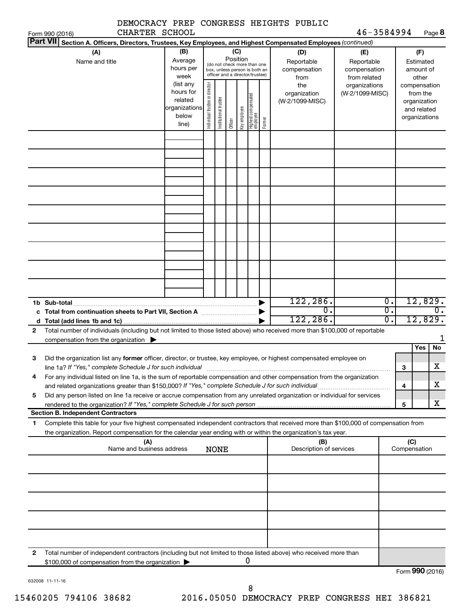|                                                                                                                                                                                                                                             |                                                                                                                                                                                                                                                                                       |  |                                                                                                                    |  |  |   | DEMOCRACY PREP CONGRESS HEIGHTS PUBLIC                                   |                                                   |                                                 |              |                                        |                       |
|---------------------------------------------------------------------------------------------------------------------------------------------------------------------------------------------------------------------------------------------|---------------------------------------------------------------------------------------------------------------------------------------------------------------------------------------------------------------------------------------------------------------------------------------|--|--------------------------------------------------------------------------------------------------------------------|--|--|---|--------------------------------------------------------------------------|---------------------------------------------------|-------------------------------------------------|--------------|----------------------------------------|-----------------------|
| CHARTER SCHOOL<br>Form 990 (2016)<br><b>Part VII</b><br>Section A. Officers, Directors, Trustees, Key Employees, and Highest Compensated Employees (continued)                                                                              |                                                                                                                                                                                                                                                                                       |  |                                                                                                                    |  |  |   |                                                                          | 46-3584994                                        |                                                 |              |                                        | Page 8                |
| (A)<br>Name and title                                                                                                                                                                                                                       | (B)<br>Average<br>hours per<br>week                                                                                                                                                                                                                                                   |  | (C)<br>Position<br>(do not check more than one<br>box, unless person is both an<br>officer and a director/trustee) |  |  |   | (D)<br>Reportable<br>compensation<br>from                                | (E)<br>Reportable<br>compensation<br>from related |                                                 |              | (F)<br>Estimated<br>amount of<br>other |                       |
|                                                                                                                                                                                                                                             | Individual trustee or director<br>(list any<br>the<br>organizations<br>hours for<br>(W-2/1099-MISC)<br>organization<br>Highest compensated<br>employee<br>Institutional trustee<br>related<br>(W-2/1099-MISC)<br>organizations<br>Key employee<br>below<br>Former<br>Officer<br>line) |  |                                                                                                                    |  |  |   | compensation<br>from the<br>organization<br>and related<br>organizations |                                                   |                                                 |              |                                        |                       |
|                                                                                                                                                                                                                                             |                                                                                                                                                                                                                                                                                       |  |                                                                                                                    |  |  |   |                                                                          |                                                   |                                                 |              |                                        |                       |
|                                                                                                                                                                                                                                             |                                                                                                                                                                                                                                                                                       |  |                                                                                                                    |  |  |   |                                                                          |                                                   |                                                 |              |                                        |                       |
|                                                                                                                                                                                                                                             |                                                                                                                                                                                                                                                                                       |  |                                                                                                                    |  |  |   |                                                                          |                                                   |                                                 |              |                                        |                       |
|                                                                                                                                                                                                                                             |                                                                                                                                                                                                                                                                                       |  |                                                                                                                    |  |  |   |                                                                          |                                                   |                                                 |              |                                        |                       |
|                                                                                                                                                                                                                                             |                                                                                                                                                                                                                                                                                       |  |                                                                                                                    |  |  |   |                                                                          |                                                   |                                                 |              |                                        |                       |
|                                                                                                                                                                                                                                             |                                                                                                                                                                                                                                                                                       |  |                                                                                                                    |  |  |   |                                                                          |                                                   |                                                 |              |                                        |                       |
| 1b Sub-total                                                                                                                                                                                                                                |                                                                                                                                                                                                                                                                                       |  |                                                                                                                    |  |  |   | 122,286.<br>$\mathbf 0$ .                                                |                                                   | $\overline{0}$ .<br>$\overline{\mathfrak{o}}$ . |              | 12,829.<br>$\overline{0}$ .            |                       |
|                                                                                                                                                                                                                                             |                                                                                                                                                                                                                                                                                       |  |                                                                                                                    |  |  |   | 122, 286.                                                                |                                                   | σ.                                              |              | 12,829.                                |                       |
| Total number of individuals (including but not limited to those listed above) who received more than \$100,000 of reportable<br>2<br>compensation from the organization $\blacktriangleright$                                               |                                                                                                                                                                                                                                                                                       |  |                                                                                                                    |  |  |   |                                                                          |                                                   |                                                 |              |                                        | 1                     |
| Did the organization list any former officer, director, or trustee, key employee, or highest compensated employee on<br>З                                                                                                                   |                                                                                                                                                                                                                                                                                       |  |                                                                                                                    |  |  |   |                                                                          |                                                   |                                                 |              | Yes                                    | No                    |
| line 1a? If "Yes," complete Schedule J for such individual                                                                                                                                                                                  |                                                                                                                                                                                                                                                                                       |  |                                                                                                                    |  |  |   |                                                                          |                                                   |                                                 | З            |                                        | $\overline{\text{X}}$ |
| For any individual listed on line 1a, is the sum of reportable compensation and other compensation from the organization<br>4                                                                                                               |                                                                                                                                                                                                                                                                                       |  |                                                                                                                    |  |  |   |                                                                          |                                                   |                                                 | 4            |                                        | X.                    |
| Did any person listed on line 1a receive or accrue compensation from any unrelated organization or individual for services<br>5                                                                                                             |                                                                                                                                                                                                                                                                                       |  |                                                                                                                    |  |  |   |                                                                          |                                                   |                                                 |              |                                        |                       |
| rendered to the organization? If "Yes," complete Schedule J for such person manufactured to the organization? If "Yes," complete Schedule J for such person manufactured and the organization?<br><b>Section B. Independent Contractors</b> |                                                                                                                                                                                                                                                                                       |  |                                                                                                                    |  |  |   |                                                                          |                                                   |                                                 | 5            |                                        | x                     |
| Complete this table for your five highest compensated independent contractors that received more than \$100,000 of compensation from<br>1                                                                                                   |                                                                                                                                                                                                                                                                                       |  |                                                                                                                    |  |  |   |                                                                          |                                                   |                                                 |              |                                        |                       |
| the organization. Report compensation for the calendar year ending with or within the organization's tax year.<br>(A)                                                                                                                       |                                                                                                                                                                                                                                                                                       |  |                                                                                                                    |  |  |   | (B)                                                                      |                                                   |                                                 | (C)          |                                        |                       |
| Name and business address                                                                                                                                                                                                                   |                                                                                                                                                                                                                                                                                       |  | <b>NONE</b>                                                                                                        |  |  |   | Description of services                                                  |                                                   |                                                 | Compensation |                                        |                       |
|                                                                                                                                                                                                                                             |                                                                                                                                                                                                                                                                                       |  |                                                                                                                    |  |  |   |                                                                          |                                                   |                                                 |              |                                        |                       |
|                                                                                                                                                                                                                                             |                                                                                                                                                                                                                                                                                       |  |                                                                                                                    |  |  |   |                                                                          |                                                   |                                                 |              |                                        |                       |
|                                                                                                                                                                                                                                             |                                                                                                                                                                                                                                                                                       |  |                                                                                                                    |  |  |   |                                                                          |                                                   |                                                 |              |                                        |                       |
|                                                                                                                                                                                                                                             |                                                                                                                                                                                                                                                                                       |  |                                                                                                                    |  |  |   |                                                                          |                                                   |                                                 |              |                                        |                       |
| Total number of independent contractors (including but not limited to those listed above) who received more than<br>2<br>\$100,000 of compensation from the organization                                                                    |                                                                                                                                                                                                                                                                                       |  |                                                                                                                    |  |  | U |                                                                          |                                                   |                                                 |              |                                        |                       |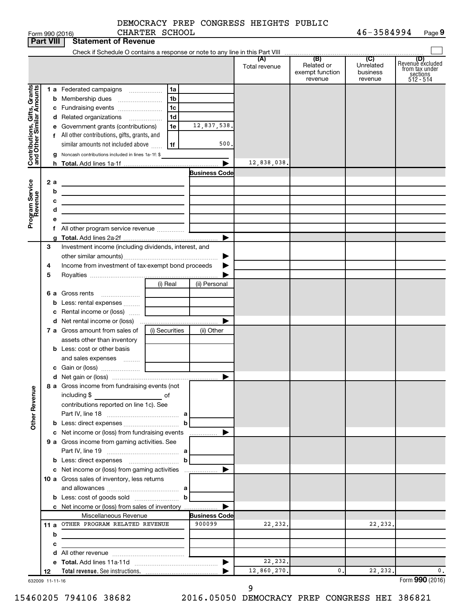|                                                           |     |   | Form 990 (2016)                                                                                                                      | CHARTER SCHOOL |                      |                      |                                                 | 46-3584994                                         | Page 9                                                               |
|-----------------------------------------------------------|-----|---|--------------------------------------------------------------------------------------------------------------------------------------|----------------|----------------------|----------------------|-------------------------------------------------|----------------------------------------------------|----------------------------------------------------------------------|
| <b>Part VIII</b>                                          |     |   | <b>Statement of Revenue</b>                                                                                                          |                |                      |                      |                                                 |                                                    |                                                                      |
|                                                           |     |   |                                                                                                                                      |                |                      |                      |                                                 |                                                    |                                                                      |
|                                                           |     |   |                                                                                                                                      |                |                      | (A)<br>Total revenue | (B)<br>Related or<br>exempt function<br>revenue | $\overline{C}$<br>Unrelated<br>business<br>revenue | (D)<br>Revenue excluded<br>trom tax under<br>sections<br>$512 - 514$ |
|                                                           |     |   | 1 a Federated campaigns                                                                                                              | 1a             |                      |                      |                                                 |                                                    |                                                                      |
| Contributions, Gifts, Grants<br>and Other Similar Amounts |     |   |                                                                                                                                      | 1b             |                      |                      |                                                 |                                                    |                                                                      |
|                                                           |     |   |                                                                                                                                      | 1c             |                      |                      |                                                 |                                                    |                                                                      |
|                                                           |     |   | d Related organizations                                                                                                              | 1 <sub>d</sub> |                      |                      |                                                 |                                                    |                                                                      |
|                                                           |     |   | e Government grants (contributions)                                                                                                  | 1e             | 12,837,538.          |                      |                                                 |                                                    |                                                                      |
|                                                           |     |   | f All other contributions, gifts, grants, and                                                                                        |                |                      |                      |                                                 |                                                    |                                                                      |
|                                                           |     |   | similar amounts not included above                                                                                                   | 1f             | 500.                 |                      |                                                 |                                                    |                                                                      |
|                                                           |     |   | <b>g</b> Noncash contributions included in lines 1a-1f: \$                                                                           |                |                      |                      |                                                 |                                                    |                                                                      |
|                                                           |     |   |                                                                                                                                      |                | ▶                    | 12,838,038.          |                                                 |                                                    |                                                                      |
|                                                           |     |   |                                                                                                                                      |                | <b>Business Code</b> |                      |                                                 |                                                    |                                                                      |
|                                                           | 2 a |   |                                                                                                                                      |                |                      |                      |                                                 |                                                    |                                                                      |
|                                                           |     | b | <u> 1980 - Johann Barn, mars an t-Amerikaansk politiker (</u>                                                                        |                |                      |                      |                                                 |                                                    |                                                                      |
|                                                           |     | с | the control of the control of the control of the control of the control of                                                           |                |                      |                      |                                                 |                                                    |                                                                      |
|                                                           |     | d | <u> 1989 - Johann Barbara, martxa alemaniar a</u><br>the control of the control of the control of the control of the control of      |                |                      |                      |                                                 |                                                    |                                                                      |
| Program Service<br>Revenue                                |     | е |                                                                                                                                      |                |                      |                      |                                                 |                                                    |                                                                      |
|                                                           |     |   | f All other program service revenue                                                                                                  |                |                      |                      |                                                 |                                                    |                                                                      |
|                                                           |     |   |                                                                                                                                      |                | ▶                    |                      |                                                 |                                                    |                                                                      |
|                                                           | 3   |   | Investment income (including dividends, interest, and                                                                                |                |                      |                      |                                                 |                                                    |                                                                      |
|                                                           |     |   |                                                                                                                                      |                | ▶                    |                      |                                                 |                                                    |                                                                      |
|                                                           | 4   |   | Income from investment of tax-exempt bond proceeds                                                                                   |                |                      |                      |                                                 |                                                    |                                                                      |
|                                                           | 5   |   |                                                                                                                                      |                |                      |                      |                                                 |                                                    |                                                                      |
|                                                           |     |   |                                                                                                                                      | (i) Real       | (ii) Personal        |                      |                                                 |                                                    |                                                                      |
|                                                           |     |   | 6 a Gross rents                                                                                                                      |                |                      |                      |                                                 |                                                    |                                                                      |
|                                                           |     |   | <b>b</b> Less: rental expenses                                                                                                       |                |                      |                      |                                                 |                                                    |                                                                      |
|                                                           |     |   | c Rental income or (loss)                                                                                                            |                |                      |                      |                                                 |                                                    |                                                                      |
|                                                           |     |   |                                                                                                                                      |                | ▶                    |                      |                                                 |                                                    |                                                                      |
|                                                           |     |   | 7 a Gross amount from sales of                                                                                                       | (i) Securities | (ii) Other           |                      |                                                 |                                                    |                                                                      |
|                                                           |     |   | assets other than inventory                                                                                                          |                |                      |                      |                                                 |                                                    |                                                                      |
|                                                           |     |   | <b>b</b> Less: cost or other basis                                                                                                   |                |                      |                      |                                                 |                                                    |                                                                      |
|                                                           |     |   | and sales expenses                                                                                                                   |                |                      |                      |                                                 |                                                    |                                                                      |
|                                                           |     |   |                                                                                                                                      |                |                      |                      |                                                 |                                                    |                                                                      |
|                                                           |     |   |                                                                                                                                      |                |                      |                      |                                                 |                                                    |                                                                      |
|                                                           |     |   | 8 a Gross income from fundraising events (not                                                                                        |                |                      |                      |                                                 |                                                    |                                                                      |
| <b>Other Revenue</b>                                      |     |   | including \$<br><u>se a seu propins de la propins de la propins de la propins de la propins de la propins de la propins de la pr</u> |                |                      |                      |                                                 |                                                    |                                                                      |
|                                                           |     |   | contributions reported on line 1c). See                                                                                              |                |                      |                      |                                                 |                                                    |                                                                      |
|                                                           |     |   |                                                                                                                                      |                |                      |                      |                                                 |                                                    |                                                                      |
|                                                           |     |   |                                                                                                                                      | b              |                      |                      |                                                 |                                                    |                                                                      |
|                                                           |     |   |                                                                                                                                      |                |                      |                      |                                                 |                                                    |                                                                      |
|                                                           |     |   | 9 a Gross income from gaming activities. See                                                                                         |                |                      |                      |                                                 |                                                    |                                                                      |
|                                                           |     |   |                                                                                                                                      |                |                      |                      |                                                 |                                                    |                                                                      |
|                                                           |     |   |                                                                                                                                      | b              |                      |                      |                                                 |                                                    |                                                                      |
|                                                           |     |   |                                                                                                                                      |                |                      |                      |                                                 |                                                    |                                                                      |
|                                                           |     |   | 10 a Gross sales of inventory, less returns                                                                                          |                |                      |                      |                                                 |                                                    |                                                                      |
|                                                           |     |   |                                                                                                                                      |                |                      |                      |                                                 |                                                    |                                                                      |
|                                                           |     |   |                                                                                                                                      | bl             |                      |                      |                                                 |                                                    |                                                                      |
|                                                           |     |   | c Net income or (loss) from sales of inventory                                                                                       |                | ▶                    |                      |                                                 |                                                    |                                                                      |
|                                                           |     |   | Miscellaneous Revenue                                                                                                                |                | <b>Business Code</b> |                      |                                                 |                                                    |                                                                      |
|                                                           |     |   | 11 a OTHER PROGRAM RELATED REVENUE                                                                                                   |                | 900099               | 22,232.              |                                                 | 22, 232.                                           |                                                                      |
|                                                           |     | b | the control of the control of the control of the control of the control of                                                           |                |                      |                      |                                                 |                                                    |                                                                      |
|                                                           |     | c |                                                                                                                                      |                |                      |                      |                                                 |                                                    |                                                                      |
|                                                           |     |   |                                                                                                                                      |                |                      |                      |                                                 |                                                    |                                                                      |
|                                                           |     |   |                                                                                                                                      |                |                      | 22,232.              |                                                 |                                                    |                                                                      |
|                                                           | 12  |   |                                                                                                                                      |                |                      | 12,860,270.          | $\mathbf{0}$ .                                  | 22, 232.                                           | $\mathbf 0$ .                                                        |

632009 11-11-16

15460205 794106 38682 2016.05050 DEMOCRACY PREP CONGRESS HEI 386821

Form (2016) **990**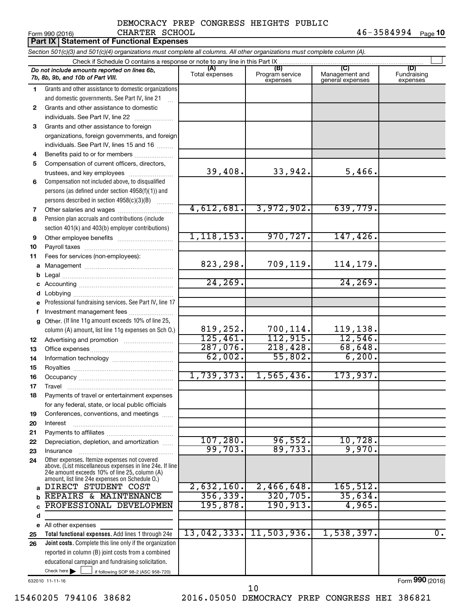#### Form 990 (2016) CHARTER SCHOOL 4 6-3 5 8 4 9 9 4 <sub>Page</sub> 1**0** DEMOCRACY PREP CONGRESS HEIGHTS PUBLIC CHARTER SCHOOL

|              | Part IX   Statement of Functional Expenses                                                                                                                                                                  |                       |                                    |                                           |                                |
|--------------|-------------------------------------------------------------------------------------------------------------------------------------------------------------------------------------------------------------|-----------------------|------------------------------------|-------------------------------------------|--------------------------------|
|              | Section 501(c)(3) and 501(c)(4) organizations must complete all columns. All other organizations must complete column (A).                                                                                  |                       |                                    |                                           |                                |
|              | Check if Schedule O contains a response or note to any line in this Part IX                                                                                                                                 |                       |                                    |                                           |                                |
|              | Do not include amounts reported on lines 6b,<br>7b, 8b, 9b, and 10b of Part VIII.                                                                                                                           | (A)<br>Total expenses | (B)<br>Program service<br>expenses | (C)<br>Management and<br>general expenses | (D)<br>Fundraising<br>expenses |
| 1.           | Grants and other assistance to domestic organizations                                                                                                                                                       |                       |                                    |                                           |                                |
|              | and domestic governments. See Part IV, line 21                                                                                                                                                              |                       |                                    |                                           |                                |
| $\mathbf{2}$ | Grants and other assistance to domestic                                                                                                                                                                     |                       |                                    |                                           |                                |
|              | individuals. See Part IV, line 22                                                                                                                                                                           |                       |                                    |                                           |                                |
| 3            | Grants and other assistance to foreign                                                                                                                                                                      |                       |                                    |                                           |                                |
|              | organizations, foreign governments, and foreign                                                                                                                                                             |                       |                                    |                                           |                                |
|              | individuals. See Part IV, lines 15 and 16                                                                                                                                                                   |                       |                                    |                                           |                                |
| 4            | Benefits paid to or for members                                                                                                                                                                             |                       |                                    |                                           |                                |
| 5            | Compensation of current officers, directors,                                                                                                                                                                | 39,408.               | 33,942.                            | 5,466.                                    |                                |
|              | trustees, and key employees                                                                                                                                                                                 |                       |                                    |                                           |                                |
| 6            | Compensation not included above, to disqualified<br>persons (as defined under section 4958(f)(1)) and                                                                                                       |                       |                                    |                                           |                                |
|              | persons described in section 4958(c)(3)(B)                                                                                                                                                                  |                       |                                    |                                           |                                |
|              |                                                                                                                                                                                                             | 4,612,681.            | 3,972,902.                         | 639,779.                                  |                                |
| 7<br>8       | Pension plan accruals and contributions (include                                                                                                                                                            |                       |                                    |                                           |                                |
|              | section 401(k) and 403(b) employer contributions)                                                                                                                                                           |                       |                                    |                                           |                                |
| 9            | Other employee benefits                                                                                                                                                                                     | 1, 118, 153.          | 970, 727.                          | 147,426.                                  |                                |
| 10           |                                                                                                                                                                                                             |                       |                                    |                                           |                                |
| 11           | Fees for services (non-employees):                                                                                                                                                                          |                       |                                    |                                           |                                |
| а            |                                                                                                                                                                                                             | 823,298.              | 709,119.                           | 114,179.                                  |                                |
| b            |                                                                                                                                                                                                             |                       |                                    |                                           |                                |
|              |                                                                                                                                                                                                             | 24, 269.              |                                    | 24, 269.                                  |                                |
| d            |                                                                                                                                                                                                             |                       |                                    |                                           |                                |
| е            | Professional fundraising services. See Part IV, line 17                                                                                                                                                     |                       |                                    |                                           |                                |
| f            | Investment management fees                                                                                                                                                                                  |                       |                                    |                                           |                                |
| g            | Other. (If line 11g amount exceeds 10% of line 25,                                                                                                                                                          |                       |                                    |                                           |                                |
|              | column (A) amount, list line 11g expenses on Sch O.)                                                                                                                                                        | 819,252.              | 700,114.                           | 119,138.                                  |                                |
| 12           |                                                                                                                                                                                                             | 125,461.              | 112,915.                           | 12,546.                                   |                                |
| 13           |                                                                                                                                                                                                             | 287,076.              | 218,428.                           | 68,648.                                   |                                |
| 14           |                                                                                                                                                                                                             | 62,002.               | 55,802.                            | 6, 200.                                   |                                |
| 15           |                                                                                                                                                                                                             | 1,739,373.            | 1,565,436.                         | 173,937.                                  |                                |
| 16           |                                                                                                                                                                                                             |                       |                                    |                                           |                                |
| 17           | Travel<br>Payments of travel or entertainment expenses                                                                                                                                                      |                       |                                    |                                           |                                |
| 18           | for any federal, state, or local public officials                                                                                                                                                           |                       |                                    |                                           |                                |
| 19           | Conferences, conventions, and meetings                                                                                                                                                                      |                       |                                    |                                           |                                |
| 20           | Interest                                                                                                                                                                                                    |                       |                                    |                                           |                                |
| 21           |                                                                                                                                                                                                             |                       |                                    |                                           |                                |
| 22           | Depreciation, depletion, and amortization                                                                                                                                                                   | 107, 280.             | 96,552.                            | 10,728.                                   |                                |
| 23           | Insurance                                                                                                                                                                                                   | 99,703.               | 89,733.                            | 9,970.                                    |                                |
| 24           | Other expenses. Itemize expenses not covered<br>above. (List miscellaneous expenses in line 24e. If line<br>24e amount exceeds 10% of line 25, column (A)<br>amount, list line 24e expenses on Schedule O.) |                       |                                    |                                           |                                |
| a            | DIRECT STUDENT COST                                                                                                                                                                                         | 2,632,160.            | 2,466,648.                         | 165, 512.                                 |                                |
| b            | REPAIRS & MAINTENANCE                                                                                                                                                                                       | 356, 339.             | 320, 705.                          | 35,634.                                   |                                |
|              | PROFESSIONAL DEVELOPMEN                                                                                                                                                                                     | 195,878.              | 190,913.                           | 4,965.                                    |                                |
| d            |                                                                                                                                                                                                             |                       |                                    |                                           |                                |
| е            | All other expenses                                                                                                                                                                                          |                       |                                    |                                           |                                |
| 25           | Total functional expenses. Add lines 1 through 24e                                                                                                                                                          | 13,042,333.           | 11,503,936.                        | 1,538,397.                                | $\overline{0}$ .               |
| 26           | Joint costs. Complete this line only if the organization                                                                                                                                                    |                       |                                    |                                           |                                |
|              | reported in column (B) joint costs from a combined                                                                                                                                                          |                       |                                    |                                           |                                |
|              | educational campaign and fundraising solicitation.<br>Check here $\blacktriangleright$                                                                                                                      |                       |                                    |                                           |                                |
|              | if following SOP 98-2 (ASC 958-720)                                                                                                                                                                         |                       |                                    |                                           |                                |

632010 11-11-16

15460205 794106 38682 2016.05050 DEMOCRACY PREP CONGRESS HEI 386821 10

Form (2016) **990**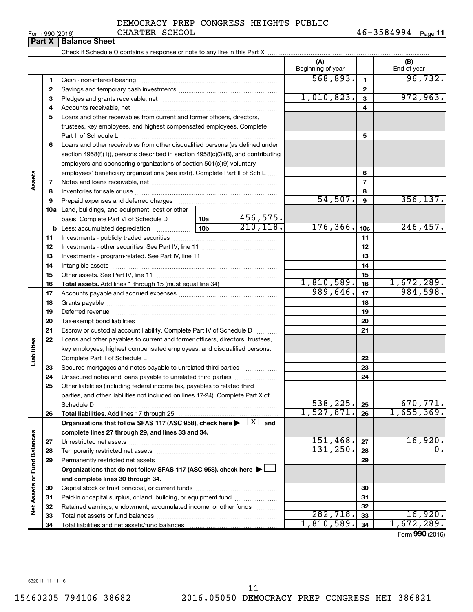#### Form 990 (2016) CHARTER SCHOOL 4 6-3 5 8 4 9 9 4 <sub>Page</sub> **11 Part X Balance Sheet** CHARTER SCHOOL

|                             |          |                                                                                                                                                               |                              | (A)<br>Beginning of year |                  | (B)<br>End of year |
|-----------------------------|----------|---------------------------------------------------------------------------------------------------------------------------------------------------------------|------------------------------|--------------------------|------------------|--------------------|
|                             | 1        |                                                                                                                                                               |                              | 568,893.                 | $\mathbf{1}$     | 96, 732.           |
|                             | 2        |                                                                                                                                                               |                              | $\mathbf{2}$             |                  |                    |
|                             | З        |                                                                                                                                                               | 1,010,823.                   | 3                        | 972,963.         |                    |
|                             | 4        |                                                                                                                                                               |                              | 4                        |                  |                    |
|                             | 5        | Loans and other receivables from current and former officers, directors,                                                                                      |                              |                          |                  |                    |
|                             |          | trustees, key employees, and highest compensated employees. Complete                                                                                          |                              |                          |                  |                    |
|                             |          | Part II of Schedule L                                                                                                                                         |                              |                          | 5                |                    |
|                             | 6        | Loans and other receivables from other disqualified persons (as defined under                                                                                 |                              |                          |                  |                    |
|                             |          | section $4958(f)(1)$ , persons described in section $4958(c)(3)(B)$ , and contributing                                                                        |                              |                          |                  |                    |
|                             |          | employers and sponsoring organizations of section 501(c)(9) voluntary                                                                                         |                              |                          |                  |                    |
|                             |          | employees' beneficiary organizations (see instr). Complete Part II of Sch L                                                                                   |                              |                          | 6                |                    |
| Assets                      | 7        |                                                                                                                                                               |                              |                          | $\overline{7}$   |                    |
|                             | 8        |                                                                                                                                                               |                              |                          | 8                |                    |
|                             | 9        |                                                                                                                                                               |                              | 54,507.                  | $\boldsymbol{9}$ | 356, 137.          |
|                             |          | <b>10a</b> Land, buildings, and equipment: cost or other                                                                                                      |                              |                          |                  |                    |
|                             |          | basis. Complete Part VI of Schedule D  10a                                                                                                                    | 456,575.                     |                          |                  |                    |
|                             |          | <b>b</b> Less: accumulated depreciation <i></i>                                                                                                               | 210, 118.<br>10 <sub>b</sub> | 176,366.                 | 10c              | 246,457.           |
|                             | 11       |                                                                                                                                                               |                              |                          | 11               |                    |
|                             | 12       |                                                                                                                                                               |                              |                          | 12               |                    |
|                             | 13       |                                                                                                                                                               |                              |                          | 13               |                    |
|                             | 14       |                                                                                                                                                               |                              |                          | 14               |                    |
|                             | 15       |                                                                                                                                                               |                              |                          | 15               |                    |
|                             | 16       |                                                                                                                                                               |                              | 1,810,589.               | 16               | 1,672,289.         |
|                             | 17       |                                                                                                                                                               |                              | 989,646.                 | 17               | 984,598.           |
|                             | 18       |                                                                                                                                                               |                              |                          | 18               |                    |
|                             | 19       |                                                                                                                                                               |                              |                          | 19               |                    |
|                             | 20       |                                                                                                                                                               |                              |                          | 20               |                    |
|                             | 21       | Escrow or custodial account liability. Complete Part IV of Schedule D                                                                                         | .                            |                          | 21               |                    |
| Liabilities                 | 22       | Loans and other payables to current and former officers, directors, trustees,                                                                                 |                              |                          |                  |                    |
|                             |          | key employees, highest compensated employees, and disqualified persons.                                                                                       |                              |                          |                  |                    |
|                             |          |                                                                                                                                                               |                              |                          | 22               |                    |
|                             | 23       | Secured mortgages and notes payable to unrelated third parties                                                                                                |                              |                          | 23               |                    |
|                             | 24<br>25 | Unsecured notes and loans payable to unrelated third parties                                                                                                  |                              |                          | 24               |                    |
|                             |          | Other liabilities (including federal income tax, payables to related third<br>parties, and other liabilities not included on lines 17-24). Complete Part X of |                              |                          |                  |                    |
|                             |          | Schedule D                                                                                                                                                    |                              | 538,225.                 | 25               | 670,771.           |
|                             | 26       |                                                                                                                                                               |                              | 1,527,871.               | 26               | 1,655,369.         |
|                             |          | Organizations that follow SFAS 117 (ASC 958), check here $\blacktriangleright \begin{array}{c} \boxed{X} \end{array}$ and                                     |                              |                          |                  |                    |
|                             |          | complete lines 27 through 29, and lines 33 and 34.                                                                                                            |                              |                          |                  |                    |
|                             | 27       |                                                                                                                                                               |                              | 151,468.                 | 27               | 16,920.            |
|                             | 28       |                                                                                                                                                               |                              | 131,250.                 | 28               | 0.                 |
|                             | 29       | Permanently restricted net assets                                                                                                                             |                              |                          | 29               |                    |
|                             |          | Organizations that do not follow SFAS 117 (ASC 958), check here $\blacktriangleright$                                                                         |                              |                          |                  |                    |
|                             |          | and complete lines 30 through 34.                                                                                                                             |                              |                          |                  |                    |
|                             | 30       |                                                                                                                                                               |                              |                          | 30               |                    |
| Net Assets or Fund Balances | 31       | Paid-in or capital surplus, or land, building, or equipment fund                                                                                              |                              |                          | 31               |                    |
|                             | 32       | Retained earnings, endowment, accumulated income, or other funds                                                                                              |                              |                          | 32               |                    |
|                             | 33       |                                                                                                                                                               |                              | 282,718.                 | 33               | 16,920.            |
|                             | 34       |                                                                                                                                                               |                              | 1,810,589.               | 34               | 1,672,289.         |

Form (2016) **990**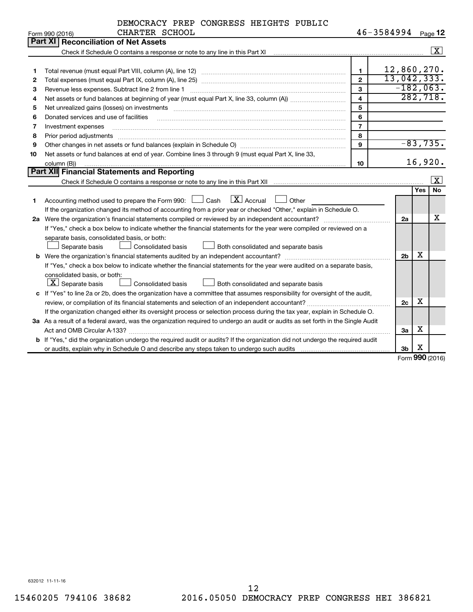| DEMOCRACY PREP CONGRESS HEIGHTS PUBLIC |  |  |
|----------------------------------------|--|--|
| CHARTER SCHOOL                         |  |  |

| 46-3584994<br>Page 12 |  |
|-----------------------|--|
|-----------------------|--|

|    | Form 990 (2016)<br>CHARTER SCHOOL                                                                                               |                         | $40 - 3584994$ |     | Page 12                 |
|----|---------------------------------------------------------------------------------------------------------------------------------|-------------------------|----------------|-----|-------------------------|
|    | <b>Part XI Reconciliation of Net Assets</b>                                                                                     |                         |                |     |                         |
|    |                                                                                                                                 |                         |                |     | $\overline{\mathbf{x}}$ |
|    |                                                                                                                                 |                         |                |     |                         |
| 1  |                                                                                                                                 | $\mathbf{1}$            | 12,860,270.    |     |                         |
| 2  |                                                                                                                                 | $\overline{2}$          | 13,042,333.    |     |                         |
| 3  | Revenue less expenses. Subtract line 2 from line 1                                                                              | 3                       | $-182,063.$    |     |                         |
| 4  |                                                                                                                                 | $\overline{\mathbf{4}}$ | 282,718.       |     |                         |
| 5  |                                                                                                                                 | 5                       |                |     |                         |
| 6  | Donated services and use of facilities                                                                                          | 6                       |                |     |                         |
| 7  | Investment expenses                                                                                                             | $\overline{7}$          |                |     |                         |
| 8  | Prior period adjustments                                                                                                        | 8                       |                |     |                         |
| 9  | Other changes in net assets or fund balances (explain in Schedule O)                                                            | 9                       |                |     | $-83,735.$              |
| 10 | Net assets or fund balances at end of year. Combine lines 3 through 9 (must equal Part X, line 33,                              |                         |                |     |                         |
|    | column (B))                                                                                                                     | 10                      |                |     | 16,920.                 |
|    | Part XII Financial Statements and Reporting                                                                                     |                         |                |     |                         |
|    |                                                                                                                                 |                         |                |     | X                       |
|    |                                                                                                                                 |                         |                | Yes | <b>No</b>               |
| 1  | $\mathbf{X}$ Accrual<br>Accounting method used to prepare the Form 990: [13] Cash<br>Other                                      |                         |                |     |                         |
|    | If the organization changed its method of accounting from a prior year or checked "Other," explain in Schedule O.               |                         |                |     |                         |
|    |                                                                                                                                 |                         | 2a             |     | x                       |
|    | If "Yes," check a box below to indicate whether the financial statements for the year were compiled or reviewed on a            |                         |                |     |                         |
|    | separate basis, consolidated basis, or both:                                                                                    |                         |                |     |                         |
|    | Separate basis<br>Both consolidated and separate basis<br>Consolidated basis                                                    |                         |                |     |                         |
|    |                                                                                                                                 |                         | 2 <sub>b</sub> | X   |                         |
|    | If "Yes," check a box below to indicate whether the financial statements for the year were audited on a separate basis,         |                         |                |     |                         |
|    | consolidated basis, or both:                                                                                                    |                         |                |     |                         |
|    | $ \mathbf{X} $ Separate basis<br><b>Consolidated basis</b><br>Both consolidated and separate basis                              |                         |                |     |                         |
|    | c If "Yes" to line 2a or 2b, does the organization have a committee that assumes responsibility for oversight of the audit,     |                         |                |     |                         |
|    | review, or compilation of its financial statements and selection of an independent accountant?                                  |                         | 2c             | x   |                         |
|    | If the organization changed either its oversight process or selection process during the tax year, explain in Schedule O.       |                         |                |     |                         |
|    | 3a As a result of a federal award, was the organization required to undergo an audit or audits as set forth in the Single Audit |                         |                |     |                         |
|    |                                                                                                                                 |                         | 3a             | x   |                         |
|    | b If "Yes," did the organization undergo the required audit or audits? If the organization did not undergo the required audit   |                         |                |     |                         |
|    |                                                                                                                                 |                         | 3 <sub>b</sub> | х   |                         |

Form (2016) **990**

632012 11-11-16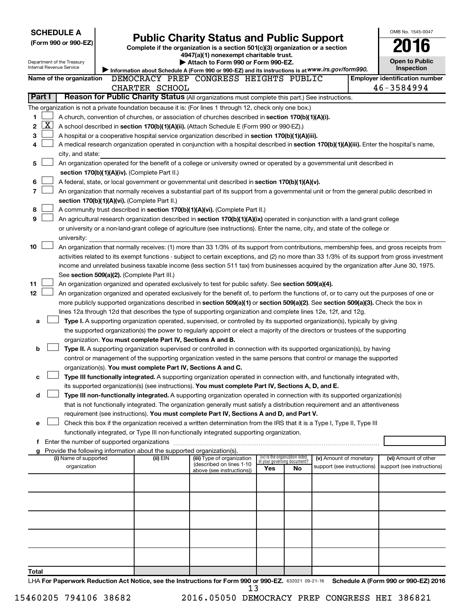| <b>SCHEDULE A</b>                                      |                                                                                                                                                                                                              |                                                                        |                                                                                                                                                                                                                                                      |     |                                                                |                            |  | OMB No. 1545-0047                     |  |  |  |
|--------------------------------------------------------|--------------------------------------------------------------------------------------------------------------------------------------------------------------------------------------------------------------|------------------------------------------------------------------------|------------------------------------------------------------------------------------------------------------------------------------------------------------------------------------------------------------------------------------------------------|-----|----------------------------------------------------------------|----------------------------|--|---------------------------------------|--|--|--|
| (Form 990 or 990-EZ)                                   | <b>Public Charity Status and Public Support</b><br>Complete if the organization is a section 501(c)(3) organization or a section                                                                             |                                                                        |                                                                                                                                                                                                                                                      |     |                                                                |                            |  |                                       |  |  |  |
|                                                        |                                                                                                                                                                                                              |                                                                        | 4947(a)(1) nonexempt charitable trust.                                                                                                                                                                                                               |     |                                                                |                            |  |                                       |  |  |  |
| Department of the Treasury<br>Internal Revenue Service |                                                                                                                                                                                                              |                                                                        | Attach to Form 990 or Form 990-EZ.                                                                                                                                                                                                                   |     |                                                                |                            |  | Open to Public<br><b>Inspection</b>   |  |  |  |
| Name of the organization                               |                                                                                                                                                                                                              |                                                                        | Information about Schedule A (Form 990 or 990-EZ) and its instructions is at WWW.irs.gov/form990.<br>DEMOCRACY PREP CONGRESS HEIGHTS PUBLIC                                                                                                          |     |                                                                |                            |  | <b>Employer identification number</b> |  |  |  |
|                                                        |                                                                                                                                                                                                              | CHARTER SCHOOL                                                         |                                                                                                                                                                                                                                                      |     |                                                                |                            |  | 46-3584994                            |  |  |  |
| Part I                                                 |                                                                                                                                                                                                              |                                                                        |                                                                                                                                                                                                                                                      |     |                                                                |                            |  |                                       |  |  |  |
|                                                        | Reason for Public Charity Status (All organizations must complete this part.) See instructions.<br>The organization is not a private foundation because it is: (For lines 1 through 12, check only one box.) |                                                                        |                                                                                                                                                                                                                                                      |     |                                                                |                            |  |                                       |  |  |  |
| 1                                                      |                                                                                                                                                                                                              |                                                                        | A church, convention of churches, or association of churches described in section 170(b)(1)(A)(i).                                                                                                                                                   |     |                                                                |                            |  |                                       |  |  |  |
| х<br>2                                                 |                                                                                                                                                                                                              |                                                                        | A school described in section 170(b)(1)(A)(ii). (Attach Schedule E (Form 990 or 990-EZ).)                                                                                                                                                            |     |                                                                |                            |  |                                       |  |  |  |
| 3                                                      |                                                                                                                                                                                                              |                                                                        | A hospital or a cooperative hospital service organization described in section 170(b)(1)(A)(iii).                                                                                                                                                    |     |                                                                |                            |  |                                       |  |  |  |
| 4                                                      |                                                                                                                                                                                                              |                                                                        | A medical research organization operated in conjunction with a hospital described in section 170(b)(1)(A)(iii). Enter the hospital's name,                                                                                                           |     |                                                                |                            |  |                                       |  |  |  |
| city, and state:                                       |                                                                                                                                                                                                              |                                                                        |                                                                                                                                                                                                                                                      |     |                                                                |                            |  |                                       |  |  |  |
| 5                                                      |                                                                                                                                                                                                              |                                                                        | An organization operated for the benefit of a college or university owned or operated by a governmental unit described in                                                                                                                            |     |                                                                |                            |  |                                       |  |  |  |
|                                                        |                                                                                                                                                                                                              | section 170(b)(1)(A)(iv). (Complete Part II.)                          |                                                                                                                                                                                                                                                      |     |                                                                |                            |  |                                       |  |  |  |
| 6                                                      |                                                                                                                                                                                                              |                                                                        | A federal, state, or local government or governmental unit described in section 170(b)(1)(A)(v).                                                                                                                                                     |     |                                                                |                            |  |                                       |  |  |  |
| 7                                                      |                                                                                                                                                                                                              | section 170(b)(1)(A)(vi). (Complete Part II.)                          | An organization that normally receives a substantial part of its support from a governmental unit or from the general public described in                                                                                                            |     |                                                                |                            |  |                                       |  |  |  |
| 8                                                      |                                                                                                                                                                                                              |                                                                        | A community trust described in section 170(b)(1)(A)(vi). (Complete Part II.)                                                                                                                                                                         |     |                                                                |                            |  |                                       |  |  |  |
| 9                                                      |                                                                                                                                                                                                              |                                                                        | An agricultural research organization described in section 170(b)(1)(A)(ix) operated in conjunction with a land-grant college                                                                                                                        |     |                                                                |                            |  |                                       |  |  |  |
|                                                        |                                                                                                                                                                                                              |                                                                        | or university or a non-land-grant college of agriculture (see instructions). Enter the name, city, and state of the college or                                                                                                                       |     |                                                                |                            |  |                                       |  |  |  |
| university:                                            |                                                                                                                                                                                                              |                                                                        |                                                                                                                                                                                                                                                      |     |                                                                |                            |  |                                       |  |  |  |
| 10                                                     |                                                                                                                                                                                                              |                                                                        | An organization that normally receives: (1) more than 33 1/3% of its support from contributions, membership fees, and gross receipts from                                                                                                            |     |                                                                |                            |  |                                       |  |  |  |
|                                                        |                                                                                                                                                                                                              |                                                                        | activities related to its exempt functions - subject to certain exceptions, and (2) no more than 33 1/3% of its support from gross investment                                                                                                        |     |                                                                |                            |  |                                       |  |  |  |
|                                                        |                                                                                                                                                                                                              |                                                                        | income and unrelated business taxable income (less section 511 tax) from businesses acquired by the organization after June 30, 1975.                                                                                                                |     |                                                                |                            |  |                                       |  |  |  |
|                                                        |                                                                                                                                                                                                              | See section 509(a)(2). (Complete Part III.)                            |                                                                                                                                                                                                                                                      |     |                                                                |                            |  |                                       |  |  |  |
| 11                                                     |                                                                                                                                                                                                              |                                                                        | An organization organized and operated exclusively to test for public safety. See section 509(a)(4).                                                                                                                                                 |     |                                                                |                            |  |                                       |  |  |  |
| 12                                                     |                                                                                                                                                                                                              |                                                                        | An organization organized and operated exclusively for the benefit of, to perform the functions of, or to carry out the purposes of one or                                                                                                           |     |                                                                |                            |  |                                       |  |  |  |
|                                                        |                                                                                                                                                                                                              |                                                                        | more publicly supported organizations described in section 509(a)(1) or section 509(a)(2). See section 509(a)(3). Check the box in<br>lines 12a through 12d that describes the type of supporting organization and complete lines 12e, 12f, and 12g. |     |                                                                |                            |  |                                       |  |  |  |
| а                                                      |                                                                                                                                                                                                              |                                                                        | Type I. A supporting organization operated, supervised, or controlled by its supported organization(s), typically by giving                                                                                                                          |     |                                                                |                            |  |                                       |  |  |  |
|                                                        |                                                                                                                                                                                                              |                                                                        | the supported organization(s) the power to regularly appoint or elect a majority of the directors or trustees of the supporting                                                                                                                      |     |                                                                |                            |  |                                       |  |  |  |
|                                                        |                                                                                                                                                                                                              | organization. You must complete Part IV, Sections A and B.             |                                                                                                                                                                                                                                                      |     |                                                                |                            |  |                                       |  |  |  |
| b                                                      |                                                                                                                                                                                                              |                                                                        | Type II. A supporting organization supervised or controlled in connection with its supported organization(s), by having                                                                                                                              |     |                                                                |                            |  |                                       |  |  |  |
|                                                        |                                                                                                                                                                                                              |                                                                        | control or management of the supporting organization vested in the same persons that control or manage the supported                                                                                                                                 |     |                                                                |                            |  |                                       |  |  |  |
|                                                        |                                                                                                                                                                                                              | organization(s). You must complete Part IV, Sections A and C.          |                                                                                                                                                                                                                                                      |     |                                                                |                            |  |                                       |  |  |  |
| с                                                      |                                                                                                                                                                                                              |                                                                        | Type III functionally integrated. A supporting organization operated in connection with, and functionally integrated with,                                                                                                                           |     |                                                                |                            |  |                                       |  |  |  |
|                                                        |                                                                                                                                                                                                              |                                                                        | its supported organization(s) (see instructions). You must complete Part IV, Sections A, D, and E.                                                                                                                                                   |     |                                                                |                            |  |                                       |  |  |  |
| d                                                      |                                                                                                                                                                                                              |                                                                        | Type III non-functionally integrated. A supporting organization operated in connection with its supported organization(s)                                                                                                                            |     |                                                                |                            |  |                                       |  |  |  |
|                                                        |                                                                                                                                                                                                              |                                                                        | that is not functionally integrated. The organization generally must satisfy a distribution requirement and an attentiveness<br>requirement (see instructions). You must complete Part IV, Sections A and D, and Part V.                             |     |                                                                |                            |  |                                       |  |  |  |
| е                                                      |                                                                                                                                                                                                              |                                                                        | Check this box if the organization received a written determination from the IRS that it is a Type I, Type II, Type III                                                                                                                              |     |                                                                |                            |  |                                       |  |  |  |
|                                                        |                                                                                                                                                                                                              |                                                                        | functionally integrated, or Type III non-functionally integrated supporting organization.                                                                                                                                                            |     |                                                                |                            |  |                                       |  |  |  |
| f Enter the number of supported organizations          |                                                                                                                                                                                                              |                                                                        |                                                                                                                                                                                                                                                      |     |                                                                |                            |  |                                       |  |  |  |
| g                                                      |                                                                                                                                                                                                              | Provide the following information about the supported organization(s). |                                                                                                                                                                                                                                                      |     |                                                                |                            |  |                                       |  |  |  |
| (i) Name of supported                                  |                                                                                                                                                                                                              | (ii) EIN                                                               | (iii) Type of organization<br>(described on lines 1-10                                                                                                                                                                                               |     | (iv) Is the organization listed<br>in your governing document? | (v) Amount of monetary     |  | (vi) Amount of other                  |  |  |  |
| organization                                           |                                                                                                                                                                                                              |                                                                        | above (see instructions))                                                                                                                                                                                                                            | Yes | No                                                             | support (see instructions) |  | support (see instructions)            |  |  |  |
|                                                        |                                                                                                                                                                                                              |                                                                        |                                                                                                                                                                                                                                                      |     |                                                                |                            |  |                                       |  |  |  |
|                                                        |                                                                                                                                                                                                              |                                                                        |                                                                                                                                                                                                                                                      |     |                                                                |                            |  |                                       |  |  |  |
|                                                        |                                                                                                                                                                                                              |                                                                        |                                                                                                                                                                                                                                                      |     |                                                                |                            |  |                                       |  |  |  |
|                                                        |                                                                                                                                                                                                              |                                                                        |                                                                                                                                                                                                                                                      |     |                                                                |                            |  |                                       |  |  |  |
|                                                        |                                                                                                                                                                                                              |                                                                        |                                                                                                                                                                                                                                                      |     |                                                                |                            |  |                                       |  |  |  |
|                                                        |                                                                                                                                                                                                              |                                                                        |                                                                                                                                                                                                                                                      |     |                                                                |                            |  |                                       |  |  |  |
|                                                        |                                                                                                                                                                                                              |                                                                        |                                                                                                                                                                                                                                                      |     |                                                                |                            |  |                                       |  |  |  |
|                                                        |                                                                                                                                                                                                              |                                                                        |                                                                                                                                                                                                                                                      |     |                                                                |                            |  |                                       |  |  |  |
|                                                        |                                                                                                                                                                                                              |                                                                        |                                                                                                                                                                                                                                                      |     |                                                                |                            |  |                                       |  |  |  |
| Total                                                  |                                                                                                                                                                                                              |                                                                        |                                                                                                                                                                                                                                                      |     |                                                                |                            |  |                                       |  |  |  |
|                                                        |                                                                                                                                                                                                              |                                                                        |                                                                                                                                                                                                                                                      | ~~~ |                                                                |                            |  |                                       |  |  |  |

LHA For Paperwork Reduction Act Notice, see the Instructions for Form 990 or 990-EZ. 632021 09-21-16 Schedule A (Form 990 or 990-EZ) 2016 13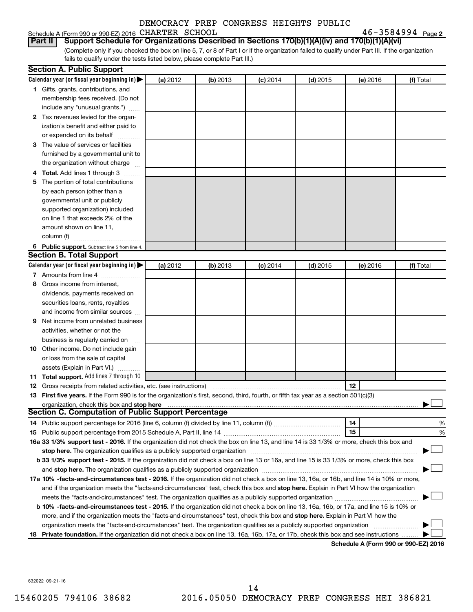| Schedule A (Form 990 or 990-EZ) 2016 CHARTER SCHOOL |  |  | $46 - 3584994$ Page 2 |  |
|-----------------------------------------------------|--|--|-----------------------|--|
|-----------------------------------------------------|--|--|-----------------------|--|

**Part II Support Schedule for Organizations Described in Sections 170(b)(1)(A)(iv) and 170(b)(1)(A)(vi)**

(Complete only if you checked the box on line 5, 7, or 8 of Part I or if the organization failed to qualify under Part III. If the organization fails to qualify under the tests listed below, please complete Part III.)

| Calendar year (or fiscal year beginning in)<br>(a) 2012<br>(b) 2013<br>$(c)$ 2014<br>$(d)$ 2015<br>(e) 2016<br>1 Gifts, grants, contributions, and<br>membership fees received. (Do not<br>include any "unusual grants.")<br>2 Tax revenues levied for the organ-<br>ization's benefit and either paid to<br>or expended on its behalf<br>3 The value of services or facilities<br>furnished by a governmental unit to<br>the organization without charge<br>4 Total. Add lines 1 through 3 | (f) Total |
|---------------------------------------------------------------------------------------------------------------------------------------------------------------------------------------------------------------------------------------------------------------------------------------------------------------------------------------------------------------------------------------------------------------------------------------------------------------------------------------------|-----------|
|                                                                                                                                                                                                                                                                                                                                                                                                                                                                                             |           |
|                                                                                                                                                                                                                                                                                                                                                                                                                                                                                             |           |
|                                                                                                                                                                                                                                                                                                                                                                                                                                                                                             |           |
|                                                                                                                                                                                                                                                                                                                                                                                                                                                                                             |           |
|                                                                                                                                                                                                                                                                                                                                                                                                                                                                                             |           |
|                                                                                                                                                                                                                                                                                                                                                                                                                                                                                             |           |
|                                                                                                                                                                                                                                                                                                                                                                                                                                                                                             |           |
|                                                                                                                                                                                                                                                                                                                                                                                                                                                                                             |           |
|                                                                                                                                                                                                                                                                                                                                                                                                                                                                                             |           |
|                                                                                                                                                                                                                                                                                                                                                                                                                                                                                             |           |
|                                                                                                                                                                                                                                                                                                                                                                                                                                                                                             |           |
| 5 The portion of total contributions                                                                                                                                                                                                                                                                                                                                                                                                                                                        |           |
| by each person (other than a                                                                                                                                                                                                                                                                                                                                                                                                                                                                |           |
| governmental unit or publicly                                                                                                                                                                                                                                                                                                                                                                                                                                                               |           |
| supported organization) included                                                                                                                                                                                                                                                                                                                                                                                                                                                            |           |
| on line 1 that exceeds 2% of the                                                                                                                                                                                                                                                                                                                                                                                                                                                            |           |
| amount shown on line 11,                                                                                                                                                                                                                                                                                                                                                                                                                                                                    |           |
| column (f)                                                                                                                                                                                                                                                                                                                                                                                                                                                                                  |           |
| 6 Public support. Subtract line 5 from line 4.                                                                                                                                                                                                                                                                                                                                                                                                                                              |           |
| <b>Section B. Total Support</b>                                                                                                                                                                                                                                                                                                                                                                                                                                                             |           |
| Calendar year (or fiscal year beginning in)<br>(a) 2012<br>(b) 2013<br>$(d)$ 2015<br>$(c)$ 2014<br>(e) 2016                                                                                                                                                                                                                                                                                                                                                                                 | (f) Total |
| 7 Amounts from line 4                                                                                                                                                                                                                                                                                                                                                                                                                                                                       |           |
| Gross income from interest,<br>8                                                                                                                                                                                                                                                                                                                                                                                                                                                            |           |
| dividends, payments received on                                                                                                                                                                                                                                                                                                                                                                                                                                                             |           |
| securities loans, rents, royalties                                                                                                                                                                                                                                                                                                                                                                                                                                                          |           |
| and income from similar sources                                                                                                                                                                                                                                                                                                                                                                                                                                                             |           |
| Net income from unrelated business<br>9                                                                                                                                                                                                                                                                                                                                                                                                                                                     |           |
| activities, whether or not the                                                                                                                                                                                                                                                                                                                                                                                                                                                              |           |
| business is regularly carried on                                                                                                                                                                                                                                                                                                                                                                                                                                                            |           |
| 10 Other income. Do not include gain                                                                                                                                                                                                                                                                                                                                                                                                                                                        |           |
| or loss from the sale of capital                                                                                                                                                                                                                                                                                                                                                                                                                                                            |           |
| assets (Explain in Part VI.)                                                                                                                                                                                                                                                                                                                                                                                                                                                                |           |
| 11 Total support. Add lines 7 through 10                                                                                                                                                                                                                                                                                                                                                                                                                                                    |           |
| 12<br><b>12</b> Gross receipts from related activities, etc. (see instructions)                                                                                                                                                                                                                                                                                                                                                                                                             |           |
| 13 First five years. If the Form 990 is for the organization's first, second, third, fourth, or fifth tax year as a section 501(c)(3)                                                                                                                                                                                                                                                                                                                                                       |           |
| organization, check this box and stop here                                                                                                                                                                                                                                                                                                                                                                                                                                                  |           |
| <b>Section C. Computation of Public Support Percentage</b>                                                                                                                                                                                                                                                                                                                                                                                                                                  |           |
| 14                                                                                                                                                                                                                                                                                                                                                                                                                                                                                          | %         |
| 15                                                                                                                                                                                                                                                                                                                                                                                                                                                                                          | %         |
| 16a 33 1/3% support test - 2016. If the organization did not check the box on line 13, and line 14 is 33 1/3% or more, check this box and                                                                                                                                                                                                                                                                                                                                                   |           |
| stop here. The organization qualifies as a publicly supported organization manufaction manufacture or the organization manufacture or the organization manufacture or the organization manufacture or the state of the state o                                                                                                                                                                                                                                                              |           |
| b 33 1/3% support test - 2015. If the organization did not check a box on line 13 or 16a, and line 15 is 33 1/3% or more, check this box                                                                                                                                                                                                                                                                                                                                                    |           |
|                                                                                                                                                                                                                                                                                                                                                                                                                                                                                             |           |
| 17a 10% -facts-and-circumstances test - 2016. If the organization did not check a box on line 13, 16a, or 16b, and line 14 is 10% or more,                                                                                                                                                                                                                                                                                                                                                  |           |
| and if the organization meets the "facts-and-circumstances" test, check this box and stop here. Explain in Part VI how the organization                                                                                                                                                                                                                                                                                                                                                     |           |
|                                                                                                                                                                                                                                                                                                                                                                                                                                                                                             |           |
| b 10% -facts-and-circumstances test - 2015. If the organization did not check a box on line 13, 16a, 16b, or 17a, and line 15 is 10% or                                                                                                                                                                                                                                                                                                                                                     |           |
| more, and if the organization meets the "facts-and-circumstances" test, check this box and stop here. Explain in Part VI how the                                                                                                                                                                                                                                                                                                                                                            |           |
| organization meets the "facts-and-circumstances" test. The organization qualifies as a publicly supported organization                                                                                                                                                                                                                                                                                                                                                                      |           |
| 18 Private foundation. If the organization did not check a box on line 13, 16a, 16b, 17a, or 17b, check this box and see instructions<br>Schodule A (Form 990 or 990-F7) 2016                                                                                                                                                                                                                                                                                                               |           |

**Schedule A (Form 990 or 990-EZ) 2016**

632022 09-21-16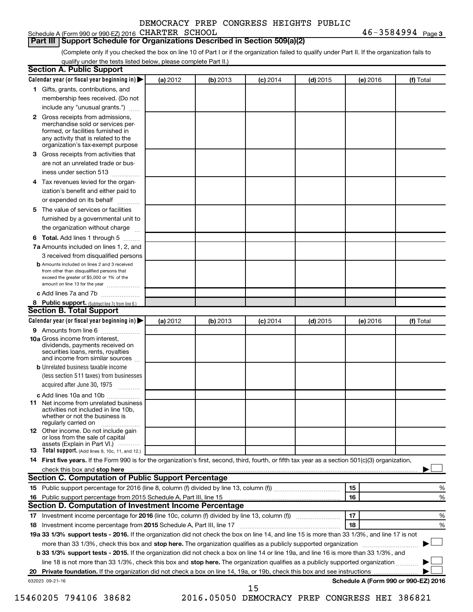$46 - 3584994$  Page 3

#### **Part III Support Schedule for Organizations Described in Section 509(a)(2)**

(Complete only if you checked the box on line 10 of Part I or if the organization failed to qualify under Part II. If the organization fails to qualify under the tests listed below, please complete Part II.)

|    | <b>Section A. Public Support</b>                                                                                                                                                                |          |          |            |            |          |                                      |
|----|-------------------------------------------------------------------------------------------------------------------------------------------------------------------------------------------------|----------|----------|------------|------------|----------|--------------------------------------|
|    | Calendar year (or fiscal year beginning in)                                                                                                                                                     | (a) 2012 | (b) 2013 | $(c)$ 2014 | $(d)$ 2015 | (e) 2016 | (f) Total                            |
|    | 1 Gifts, grants, contributions, and                                                                                                                                                             |          |          |            |            |          |                                      |
|    | membership fees received. (Do not                                                                                                                                                               |          |          |            |            |          |                                      |
|    | include any "unusual grants.")                                                                                                                                                                  |          |          |            |            |          |                                      |
|    | <b>2</b> Gross receipts from admissions,<br>merchandise sold or services per-<br>formed, or facilities furnished in<br>any activity that is related to the<br>organization's tax-exempt purpose |          |          |            |            |          |                                      |
|    | 3 Gross receipts from activities that                                                                                                                                                           |          |          |            |            |          |                                      |
|    | are not an unrelated trade or bus-                                                                                                                                                              |          |          |            |            |          |                                      |
|    | iness under section 513                                                                                                                                                                         |          |          |            |            |          |                                      |
|    |                                                                                                                                                                                                 |          |          |            |            |          |                                      |
|    | 4 Tax revenues levied for the organ-<br>ization's benefit and either paid to                                                                                                                    |          |          |            |            |          |                                      |
|    | or expended on its behalf                                                                                                                                                                       |          |          |            |            |          |                                      |
|    | 5 The value of services or facilities                                                                                                                                                           |          |          |            |            |          |                                      |
|    | furnished by a governmental unit to                                                                                                                                                             |          |          |            |            |          |                                      |
|    | the organization without charge                                                                                                                                                                 |          |          |            |            |          |                                      |
|    | <b>6 Total.</b> Add lines 1 through 5                                                                                                                                                           |          |          |            |            |          |                                      |
|    | 7a Amounts included on lines 1, 2, and                                                                                                                                                          |          |          |            |            |          |                                      |
|    | 3 received from disqualified persons                                                                                                                                                            |          |          |            |            |          |                                      |
|    | <b>b</b> Amounts included on lines 2 and 3 received<br>from other than disqualified persons that<br>exceed the greater of \$5,000 or 1% of the<br>amount on line 13 for the year                |          |          |            |            |          |                                      |
|    | c Add lines 7a and 7b                                                                                                                                                                           |          |          |            |            |          |                                      |
|    | 8 Public support. (Subtract line 7c from line 6.)                                                                                                                                               |          |          |            |            |          |                                      |
|    | <b>Section B. Total Support</b>                                                                                                                                                                 |          |          |            |            |          |                                      |
|    | Calendar year (or fiscal year beginning in)                                                                                                                                                     | (a) 2012 | (b) 2013 | $(c)$ 2014 | $(d)$ 2015 | (e) 2016 | (f) Total                            |
|    | 9 Amounts from line 6                                                                                                                                                                           |          |          |            |            |          |                                      |
|    | <b>10a</b> Gross income from interest,<br>dividends, payments received on<br>securities loans, rents, royalties<br>and income from similar sources                                              |          |          |            |            |          |                                      |
|    | <b>b</b> Unrelated business taxable income                                                                                                                                                      |          |          |            |            |          |                                      |
|    | (less section 511 taxes) from businesses<br>acquired after June 30, 1975                                                                                                                        |          |          |            |            |          |                                      |
|    | c Add lines 10a and 10b                                                                                                                                                                         |          |          |            |            |          |                                      |
|    | <b>11</b> Net income from unrelated business<br>activities not included in line 10b.<br>whether or not the business is<br>regularly carried on                                                  |          |          |            |            |          |                                      |
|    | 12 Other income. Do not include gain<br>or loss from the sale of capital<br>assets (Explain in Part VI.)                                                                                        |          |          |            |            |          |                                      |
|    | <b>13</b> Total support. (Add lines 9, 10c, 11, and 12.)                                                                                                                                        |          |          |            |            |          |                                      |
|    | 14 First five years. If the Form 990 is for the organization's first, second, third, fourth, or fifth tax year as a section 501(c)(3) organization,                                             |          |          |            |            |          |                                      |
|    |                                                                                                                                                                                                 |          |          |            |            |          |                                      |
|    | Section C. Computation of Public Support Percentage                                                                                                                                             |          |          |            |            |          |                                      |
|    |                                                                                                                                                                                                 |          |          |            |            | 15       | %                                    |
|    |                                                                                                                                                                                                 |          |          |            |            | 16       | %                                    |
|    | Section D. Computation of Investment Income Percentage                                                                                                                                          |          |          |            |            |          |                                      |
|    | 17 Investment income percentage for 2016 (line 10c, column (f) divided by line 13, column (f))                                                                                                  |          |          |            |            | 17       | %                                    |
|    | 18 Investment income percentage from 2015 Schedule A, Part III, line 17                                                                                                                         |          |          |            |            | 18       | %                                    |
|    | 19a 33 1/3% support tests - 2016. If the organization did not check the box on line 14, and line 15 is more than 33 1/3%, and line 17 is not                                                    |          |          |            |            |          |                                      |
|    | more than 33 1/3%, check this box and stop here. The organization qualifies as a publicly supported organization                                                                                |          |          |            |            |          |                                      |
|    | b 33 1/3% support tests - 2015. If the organization did not check a box on line 14 or line 19a, and line 16 is more than 33 1/3%, and                                                           |          |          |            |            |          |                                      |
|    | line 18 is not more than 33 1/3%, check this box and stop here. The organization qualifies as a publicly supported organization                                                                 |          |          |            |            |          |                                      |
| 20 |                                                                                                                                                                                                 |          |          |            |            |          |                                      |
|    | 632023 09-21-16                                                                                                                                                                                 |          |          |            |            |          | Schedule A (Form 990 or 990-EZ) 2016 |
|    |                                                                                                                                                                                                 |          |          | 15         |            |          |                                      |

15460205 794106 38682 2016.05050 DEMOCRACY PREP CONGRESS HEI 386821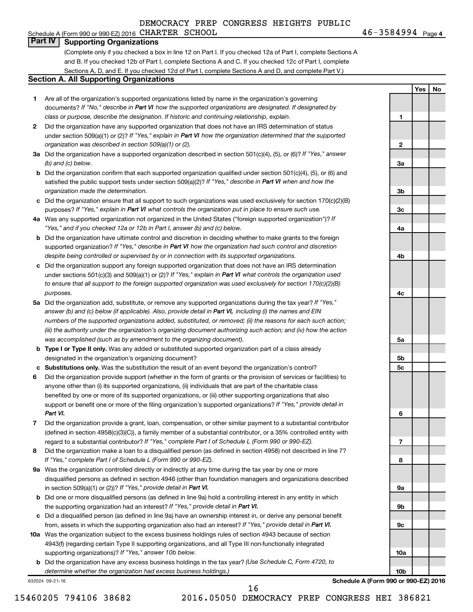#### Schedule A (Form 990 or 990-EZ) 2016 CHARTER SCHOOL  $46-3584994$  Page **Part IV Supporting Organizations**

(Complete only if you checked a box in line 12 on Part I. If you checked 12a of Part I, complete Sections A and B. If you checked 12b of Part I, complete Sections A and C. If you checked 12c of Part I, complete Sections A, D, and E. If you checked 12d of Part I, complete Sections A and D, and complete Part V.)

#### **Section A. All Supporting Organizations**

- **1** Are all of the organization's supported organizations listed by name in the organization's governing documents? If "No," describe in Part VI how the supported organizations are designated. If designated by *class or purpose, describe the designation. If historic and continuing relationship, explain.*
- **2** Did the organization have any supported organization that does not have an IRS determination of status under section 509(a)(1) or (2)? If "Yes," explain in Part VI how the organization determined that the supported *organization was described in section 509(a)(1) or (2).*
- **3a** Did the organization have a supported organization described in section 501(c)(4), (5), or (6)? If "Yes," answer *(b) and (c) below.*
- **b** Did the organization confirm that each supported organization qualified under section 501(c)(4), (5), or (6) and satisfied the public support tests under section 509(a)(2)? If "Yes," describe in Part VI when and how the *organization made the determination.*
- **c** Did the organization ensure that all support to such organizations was used exclusively for section 170(c)(2)(B) purposes? If "Yes," explain in Part VI what controls the organization put in place to ensure such use.
- **4 a** *If* Was any supported organization not organized in the United States ("foreign supported organization")? *"Yes," and if you checked 12a or 12b in Part I, answer (b) and (c) below.*
- **b** Did the organization have ultimate control and discretion in deciding whether to make grants to the foreign supported organization? If "Yes," describe in Part VI how the organization had such control and discretion *despite being controlled or supervised by or in connection with its supported organizations.*
- **c** Did the organization support any foreign supported organization that does not have an IRS determination under sections 501(c)(3) and 509(a)(1) or (2)? If "Yes," explain in Part VI what controls the organization used *to ensure that all support to the foreign supported organization was used exclusively for section 170(c)(2)(B) purposes.*
- **5a** Did the organization add, substitute, or remove any supported organizations during the tax year? If "Yes," answer (b) and (c) below (if applicable). Also, provide detail in Part VI, including (i) the names and EIN *numbers of the supported organizations added, substituted, or removed; (ii) the reasons for each such action; (iii) the authority under the organization's organizing document authorizing such action; and (iv) how the action was accomplished (such as by amendment to the organizing document).*
- **b Type I or Type II only.** Was any added or substituted supported organization part of a class already designated in the organization's organizing document?
- **c Substitutions only.**  Was the substitution the result of an event beyond the organization's control?
- **6** Did the organization provide support (whether in the form of grants or the provision of services or facilities) to support or benefit one or more of the filing organization's supported organizations? If "Yes," provide detail in anyone other than (i) its supported organizations, (ii) individuals that are part of the charitable class benefited by one or more of its supported organizations, or (iii) other supporting organizations that also *Part VI.*
- **7** Did the organization provide a grant, loan, compensation, or other similar payment to a substantial contributor regard to a substantial contributor? If "Yes," complete Part I of Schedule L (Form 990 or 990-EZ). (defined in section 4958(c)(3)(C)), a family member of a substantial contributor, or a 35% controlled entity with
- **8** Did the organization make a loan to a disqualified person (as defined in section 4958) not described in line 7? *If "Yes," complete Part I of Schedule L (Form 990 or 990-EZ).*
- **9 a** Was the organization controlled directly or indirectly at any time during the tax year by one or more in section 509(a)(1) or (2))? If "Yes," provide detail in Part VI. disqualified persons as defined in section 4946 (other than foundation managers and organizations described
- **b** Did one or more disqualified persons (as defined in line 9a) hold a controlling interest in any entity in which the supporting organization had an interest? If "Yes," provide detail in Part VI.
- **c** Did a disqualified person (as defined in line 9a) have an ownership interest in, or derive any personal benefit from, assets in which the supporting organization also had an interest? If "Yes," provide detail in Part VI.
- **10 a** Was the organization subject to the excess business holdings rules of section 4943 because of section supporting organizations)? If "Yes," answer 10b below. 4943(f) (regarding certain Type II supporting organizations, and all Type III non-functionally integrated
	- **b** Did the organization have any excess business holdings in the tax year? (Use Schedule C, Form 4720, to *determine whether the organization had excess business holdings.)*

632024 09-21-16

**1 2 3a 3b 3c 4a 4b 4c 5a 5b 5c 6 7 8 9a 9b 9c**

46-3584994 Page 4

**Yes No**

**Schedule A (Form 990 or 990-EZ) 2016**

**10a**

**10b**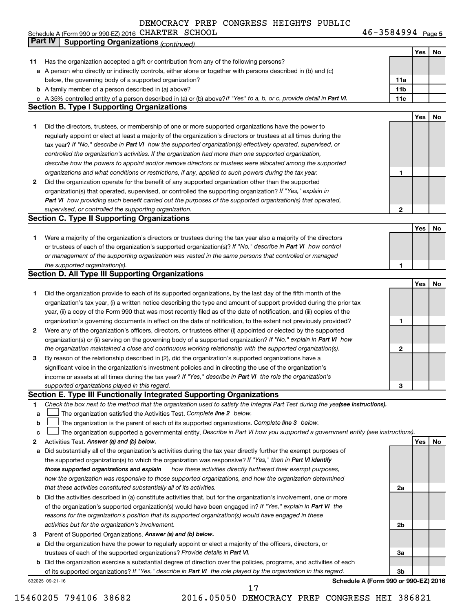Schedule A (Form 990 or 990-EZ) 2016 CHARTER SCHOOL  $46-3584994$  Page

46-3584994 Page 5

|    | Part IV<br><b>Supporting Organizations (continued)</b>                                                                          |                 |     |    |
|----|---------------------------------------------------------------------------------------------------------------------------------|-----------------|-----|----|
|    |                                                                                                                                 |                 | Yes | No |
| 11 | Has the organization accepted a gift or contribution from any of the following persons?                                         |                 |     |    |
|    | a A person who directly or indirectly controls, either alone or together with persons described in (b) and (c)                  |                 |     |    |
|    | below, the governing body of a supported organization?                                                                          | 11a             |     |    |
|    | <b>b</b> A family member of a person described in (a) above?                                                                    | 11 <sub>b</sub> |     |    |
|    | c A 35% controlled entity of a person described in (a) or (b) above? If "Yes" to a, b, or c, provide detail in Part VI.         | 11c             |     |    |
|    | <b>Section B. Type I Supporting Organizations</b>                                                                               |                 |     |    |
|    |                                                                                                                                 |                 | Yes | No |
|    | Did the directors, trustees, or membership of one or more supported organizations have the power to                             |                 |     |    |
| 1  |                                                                                                                                 |                 |     |    |
|    | regularly appoint or elect at least a majority of the organization's directors or trustees at all times during the              |                 |     |    |
|    | tax year? If "No," describe in Part VI how the supported organization(s) effectively operated, supervised, or                   |                 |     |    |
|    | controlled the organization's activities. If the organization had more than one supported organization,                         |                 |     |    |
|    | describe how the powers to appoint and/or remove directors or trustees were allocated among the supported                       |                 |     |    |
|    | organizations and what conditions or restrictions, if any, applied to such powers during the tax year.                          | 1               |     |    |
| 2  | Did the organization operate for the benefit of any supported organization other than the supported                             |                 |     |    |
|    | organization(s) that operated, supervised, or controlled the supporting organization? If "Yes," explain in                      |                 |     |    |
|    | Part VI how providing such benefit carried out the purposes of the supported organization(s) that operated,                     |                 |     |    |
|    | supervised, or controlled the supporting organization.                                                                          | $\mathbf{2}$    |     |    |
|    | <b>Section C. Type II Supporting Organizations</b>                                                                              |                 |     |    |
|    |                                                                                                                                 |                 | Yes | No |
| 1  | Were a majority of the organization's directors or trustees during the tax year also a majority of the directors                |                 |     |    |
|    | or trustees of each of the organization's supported organization(s)? If "No," describe in Part VI how control                   |                 |     |    |
|    | or management of the supporting organization was vested in the same persons that controlled or managed                          |                 |     |    |
|    | the supported organization(s).                                                                                                  | 1               |     |    |
|    | <b>Section D. All Type III Supporting Organizations</b>                                                                         |                 |     |    |
|    |                                                                                                                                 |                 | Yes | No |
| 1  | Did the organization provide to each of its supported organizations, by the last day of the fifth month of the                  |                 |     |    |
|    | organization's tax year, (i) a written notice describing the type and amount of support provided during the prior tax           |                 |     |    |
|    | year, (ii) a copy of the Form 990 that was most recently filed as of the date of notification, and (iii) copies of the          |                 |     |    |
|    | organization's governing documents in effect on the date of notification, to the extent not previously provided?                | 1               |     |    |
| 2  | Were any of the organization's officers, directors, or trustees either (i) appointed or elected by the supported                |                 |     |    |
|    | organization(s) or (ii) serving on the governing body of a supported organization? If "No," explain in Part VI how              |                 |     |    |
|    | the organization maintained a close and continuous working relationship with the supported organization(s).                     | 2               |     |    |
| 3  | By reason of the relationship described in (2), did the organization's supported organizations have a                           |                 |     |    |
|    | significant voice in the organization's investment policies and in directing the use of the organization's                      |                 |     |    |
|    | income or assets at all times during the tax year? If "Yes," describe in Part VI the role the organization's                    |                 |     |    |
|    | supported organizations played in this regard.                                                                                  |                 |     |    |
|    | Section E. Type III Functionally Integrated Supporting Organizations                                                            | з               |     |    |
|    |                                                                                                                                 |                 |     |    |
| 1  | Check the box next to the method that the organization used to satisfy the Integral Part Test during the yealsee instructions). |                 |     |    |
| a  | The organization satisfied the Activities Test. Complete line 2 below.                                                          |                 |     |    |
| b  | The organization is the parent of each of its supported organizations. Complete line 3 below.                                   |                 |     |    |
| c  | The organization supported a governmental entity. Describe in Part VI how you supported a government entity (see instructions). |                 |     |    |
| 2  | Activities Test. Answer (a) and (b) below.                                                                                      |                 | Yes | No |
| а  | Did substantially all of the organization's activities during the tax year directly further the exempt purposes of              |                 |     |    |
|    | the supported organization(s) to which the organization was responsive? If "Yes," then in Part VI identify                      |                 |     |    |
|    | those supported organizations and explain<br>how these activities directly furthered their exempt purposes,                     |                 |     |    |
|    | how the organization was responsive to those supported organizations, and how the organization determined                       |                 |     |    |
|    | that these activities constituted substantially all of its activities.                                                          | 2a              |     |    |
| b  | Did the activities described in (a) constitute activities that, but for the organization's involvement, one or more             |                 |     |    |
|    | of the organization's supported organization(s) would have been engaged in? If "Yes," explain in Part VI the                    |                 |     |    |
|    | reasons for the organization's position that its supported organization(s) would have engaged in these                          |                 |     |    |
|    | activities but for the organization's involvement.                                                                              | 2b              |     |    |
| з  | Parent of Supported Organizations. Answer (a) and (b) below.                                                                    |                 |     |    |
| а  | Did the organization have the power to regularly appoint or elect a majority of the officers, directors, or                     |                 |     |    |
|    | trustees of each of the supported organizations? Provide details in Part VI.                                                    | За              |     |    |
|    | <b>b</b> Did the organization exercise a substantial degree of direction over the policies, programs, and activities of each    |                 |     |    |
|    | of its supported organizations? If "Yes," describe in Part VI the role played by the organization in this regard.               | 3b              |     |    |
|    | Schedule A (Form 990 or 990-EZ) 2016<br>632025 09-21-16                                                                         |                 |     |    |

15460205 794106 38682 2016.05050 DEMOCRACY PREP CONGRESS HEI 386821 17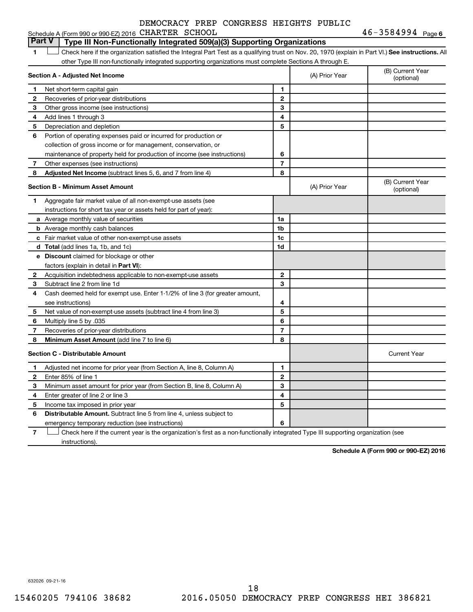#### **1 Letter or if the organization satisfied the Integral Part Test as a qualifying trust on Nov. 20, 1970 (explain in Part VI.) See instructions. All Section A - Adjusted Net Income 1 2 3 4 5 6 7 8 1 2 3 4 5 6 7 Adjusted Net Income** (subtract lines 5, 6, and 7 from line 4) **8 8 Section B - Minimum Asset Amount 1 2 3 4 5 6 7 8 a** Average monthly value of securities **b** Average monthly cash balances **c** Fair market value of other non-exempt-use assets **d Total**  (add lines 1a, 1b, and 1c) **e Discount** claimed for blockage or other **1a 1b 1c 1d 2 3 4 5 6 7 8** factors (explain in detail in Part VI): **Minimum Asset Amount**  (add line 7 to line 6) **Section C - Distributable Amount 1 2 3 4 5 6 1 2 3 4 5 6** Distributable Amount. Subtract line 5 from line 4, unless subject to other Type III non-functionally integrated supporting organizations must complete Sections A through E. (B) Current Year (A) Prior Year Net short-term capital gain Recoveries of prior-year distributions Other gross income (see instructions) Add lines 1 through 3 Depreciation and depletion Portion of operating expenses paid or incurred for production or collection of gross income or for management, conservation, or maintenance of property held for production of income (see instructions) Other expenses (see instructions) (B) Current Year  $(A)$  Prior Year  $\left\{\n\begin{array}{ccc}\n\end{array}\n\right\}$  (optional) Aggregate fair market value of all non-exempt-use assets (see instructions for short tax year or assets held for part of year): Acquisition indebtedness applicable to non-exempt-use assets Subtract line 2 from line 1d Cash deemed held for exempt use. Enter 1-1/2% of line 3 (for greater amount, see instructions) Net value of non-exempt-use assets (subtract line 4 from line 3) Multiply line 5 by .035 Recoveries of prior-year distributions Current Year Adjusted net income for prior year (from Section A, line 8, Column A) Enter 85% of line 1 Minimum asset amount for prior year (from Section B, line 8, Column A) Enter greater of line 2 or line 3 Income tax imposed in prior year emergency temporary reduction (see instructions) **Part V Type III Non-Functionally Integrated 509(a)(3) Supporting Organizations**   $\Box$

**7** Check here if the current year is the organization's first as a non-functionally integrated Type III supporting organization (see † instructions).

**Schedule A (Form 990 or 990-EZ) 2016**

632026 09-21-16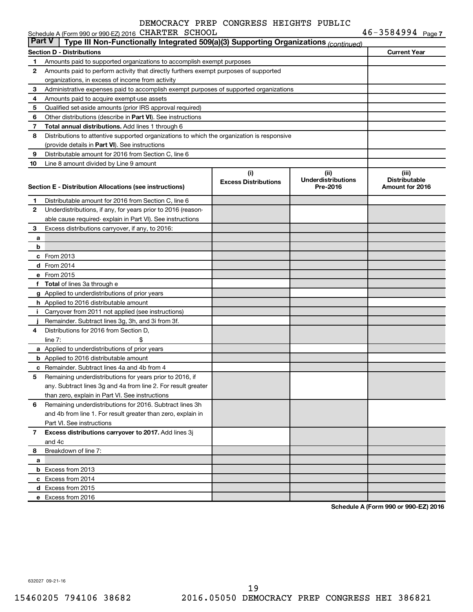|               | Schedule A (Form 990 or 990-EZ) 2016 CHARTER SCHOOL                                        |                             |                           | $46 - 3584994$ Page 7 |
|---------------|--------------------------------------------------------------------------------------------|-----------------------------|---------------------------|-----------------------|
| <b>Part V</b> | Type III Non-Functionally Integrated 509(a)(3) Supporting Organizations (continued)        |                             |                           |                       |
|               | Section D - Distributions                                                                  |                             |                           | <b>Current Year</b>   |
| 1             | Amounts paid to supported organizations to accomplish exempt purposes                      |                             |                           |                       |
| 2             | Amounts paid to perform activity that directly furthers exempt purposes of supported       |                             |                           |                       |
|               | organizations, in excess of income from activity                                           |                             |                           |                       |
| 3             | Administrative expenses paid to accomplish exempt purposes of supported organizations      |                             |                           |                       |
| 4             | Amounts paid to acquire exempt-use assets                                                  |                             |                           |                       |
| 5             | Qualified set-aside amounts (prior IRS approval required)                                  |                             |                           |                       |
| 6             | Other distributions (describe in Part VI). See instructions                                |                             |                           |                       |
| 7             | Total annual distributions. Add lines 1 through 6                                          |                             |                           |                       |
| 8             | Distributions to attentive supported organizations to which the organization is responsive |                             |                           |                       |
|               | (provide details in Part VI). See instructions                                             |                             |                           |                       |
| 9             | Distributable amount for 2016 from Section C, line 6                                       |                             |                           |                       |
| 10            | Line 8 amount divided by Line 9 amount                                                     |                             |                           |                       |
|               |                                                                                            | (i)                         | (ii)                      | (iii)                 |
|               |                                                                                            | <b>Excess Distributions</b> | <b>Underdistributions</b> | <b>Distributable</b>  |
|               | Section E - Distribution Allocations (see instructions)                                    |                             | Pre-2016                  | Amount for 2016       |
| 1             | Distributable amount for 2016 from Section C, line 6                                       |                             |                           |                       |
| 2             | Underdistributions, if any, for years prior to 2016 (reason-                               |                             |                           |                       |
|               | able cause required-explain in Part VI). See instructions                                  |                             |                           |                       |
| 3             | Excess distributions carryover, if any, to 2016:                                           |                             |                           |                       |
| а             |                                                                                            |                             |                           |                       |
| b             |                                                                                            |                             |                           |                       |
|               | c From 2013                                                                                |                             |                           |                       |
|               | <b>d</b> From 2014                                                                         |                             |                           |                       |
|               | e From 2015                                                                                |                             |                           |                       |
|               | f Total of lines 3a through e                                                              |                             |                           |                       |
|               | g Applied to underdistributions of prior years                                             |                             |                           |                       |
|               | h Applied to 2016 distributable amount                                                     |                             |                           |                       |
| Ť.            | Carryover from 2011 not applied (see instructions)                                         |                             |                           |                       |
|               | Remainder. Subtract lines 3g, 3h, and 3i from 3f.                                          |                             |                           |                       |
| 4             | Distributions for 2016 from Section D,                                                     |                             |                           |                       |
|               | line $7:$                                                                                  |                             |                           |                       |
|               | a Applied to underdistributions of prior years                                             |                             |                           |                       |
|               | <b>b</b> Applied to 2016 distributable amount                                              |                             |                           |                       |
|               | c Remainder. Subtract lines 4a and 4b from 4                                               |                             |                           |                       |
|               | 5 Remaining underdistributions for years prior to 2016, if                                 |                             |                           |                       |
|               | any. Subtract lines 3g and 4a from line 2. For result greater                              |                             |                           |                       |
|               | than zero, explain in Part VI. See instructions                                            |                             |                           |                       |
| 6             | Remaining underdistributions for 2016. Subtract lines 3h                                   |                             |                           |                       |
|               | and 4b from line 1. For result greater than zero, explain in                               |                             |                           |                       |
|               | Part VI. See instructions                                                                  |                             |                           |                       |
| 7             | Excess distributions carryover to 2017. Add lines 3j                                       |                             |                           |                       |
|               | and 4c                                                                                     |                             |                           |                       |
| 8             | Breakdown of line 7:                                                                       |                             |                           |                       |
| а             |                                                                                            |                             |                           |                       |
|               | <b>b</b> Excess from 2013                                                                  |                             |                           |                       |
|               | c Excess from 2014                                                                         |                             |                           |                       |
|               | d Excess from 2015                                                                         |                             |                           |                       |
|               | e Excess from 2016                                                                         |                             |                           |                       |

**Schedule A (Form 990 or 990-EZ) 2016**

632027 09-21-16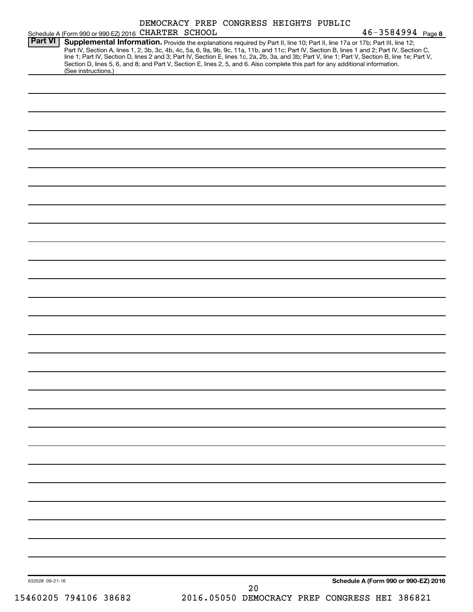|                 | Schedule A (Form 990 or 990-EZ) 2016 CHARTER SCHOOL                                                                                                                                                                                                                                                                                                                                                                                                                                                                                                                                         | DEMOCRACY PREP CONGRESS HEIGHTS PUBLIC |  |    |  | $46 - 3584994$ Page 8                         |  |
|-----------------|---------------------------------------------------------------------------------------------------------------------------------------------------------------------------------------------------------------------------------------------------------------------------------------------------------------------------------------------------------------------------------------------------------------------------------------------------------------------------------------------------------------------------------------------------------------------------------------------|----------------------------------------|--|----|--|-----------------------------------------------|--|
| <b>Part VI</b>  | Supplemental Information. Provide the explanations required by Part II, line 10; Part II, line 17a or 17b; Part III, line 12;<br>Part IV, Section A, lines 1, 2, 3b, 3c, 4b, 4c, 5a, 6, 9a, 9b, 9c, 11a, 11b, and 11c; Part IV, Section B, lines 1 and 2; Part IV, Section C,<br>line 1; Part IV, Section D, lines 2 and 3; Part IV, Section E, lines 1c, 2a, 2b, 3a, and 3b; Part V, line 1; Part V, Section B, line 1e; Part V,<br>Section D, lines 5, 6, and 8; and Part V, Section E, lines 2, 5, and 6. Also complete this part for any additional information.<br>(See instructions.) |                                        |  |    |  |                                               |  |
|                 |                                                                                                                                                                                                                                                                                                                                                                                                                                                                                                                                                                                             |                                        |  |    |  |                                               |  |
|                 |                                                                                                                                                                                                                                                                                                                                                                                                                                                                                                                                                                                             |                                        |  |    |  |                                               |  |
|                 |                                                                                                                                                                                                                                                                                                                                                                                                                                                                                                                                                                                             |                                        |  |    |  |                                               |  |
|                 |                                                                                                                                                                                                                                                                                                                                                                                                                                                                                                                                                                                             |                                        |  |    |  |                                               |  |
|                 |                                                                                                                                                                                                                                                                                                                                                                                                                                                                                                                                                                                             |                                        |  |    |  |                                               |  |
|                 |                                                                                                                                                                                                                                                                                                                                                                                                                                                                                                                                                                                             |                                        |  |    |  |                                               |  |
|                 |                                                                                                                                                                                                                                                                                                                                                                                                                                                                                                                                                                                             |                                        |  |    |  |                                               |  |
|                 |                                                                                                                                                                                                                                                                                                                                                                                                                                                                                                                                                                                             |                                        |  |    |  |                                               |  |
|                 |                                                                                                                                                                                                                                                                                                                                                                                                                                                                                                                                                                                             |                                        |  |    |  |                                               |  |
|                 |                                                                                                                                                                                                                                                                                                                                                                                                                                                                                                                                                                                             |                                        |  |    |  |                                               |  |
|                 |                                                                                                                                                                                                                                                                                                                                                                                                                                                                                                                                                                                             |                                        |  |    |  |                                               |  |
|                 |                                                                                                                                                                                                                                                                                                                                                                                                                                                                                                                                                                                             |                                        |  |    |  |                                               |  |
|                 |                                                                                                                                                                                                                                                                                                                                                                                                                                                                                                                                                                                             |                                        |  |    |  |                                               |  |
|                 |                                                                                                                                                                                                                                                                                                                                                                                                                                                                                                                                                                                             |                                        |  |    |  |                                               |  |
|                 |                                                                                                                                                                                                                                                                                                                                                                                                                                                                                                                                                                                             |                                        |  |    |  |                                               |  |
|                 |                                                                                                                                                                                                                                                                                                                                                                                                                                                                                                                                                                                             |                                        |  |    |  |                                               |  |
|                 |                                                                                                                                                                                                                                                                                                                                                                                                                                                                                                                                                                                             |                                        |  |    |  |                                               |  |
|                 |                                                                                                                                                                                                                                                                                                                                                                                                                                                                                                                                                                                             |                                        |  |    |  |                                               |  |
|                 |                                                                                                                                                                                                                                                                                                                                                                                                                                                                                                                                                                                             |                                        |  |    |  |                                               |  |
|                 |                                                                                                                                                                                                                                                                                                                                                                                                                                                                                                                                                                                             |                                        |  |    |  |                                               |  |
|                 |                                                                                                                                                                                                                                                                                                                                                                                                                                                                                                                                                                                             |                                        |  |    |  |                                               |  |
|                 |                                                                                                                                                                                                                                                                                                                                                                                                                                                                                                                                                                                             |                                        |  |    |  |                                               |  |
|                 |                                                                                                                                                                                                                                                                                                                                                                                                                                                                                                                                                                                             |                                        |  |    |  |                                               |  |
|                 |                                                                                                                                                                                                                                                                                                                                                                                                                                                                                                                                                                                             |                                        |  |    |  |                                               |  |
|                 |                                                                                                                                                                                                                                                                                                                                                                                                                                                                                                                                                                                             |                                        |  |    |  |                                               |  |
|                 |                                                                                                                                                                                                                                                                                                                                                                                                                                                                                                                                                                                             |                                        |  |    |  |                                               |  |
| 632028 09-21-16 |                                                                                                                                                                                                                                                                                                                                                                                                                                                                                                                                                                                             |                                        |  |    |  | Schedule A (Form 990 or 990-EZ) 2016          |  |
|                 | 15460205 794106 38682                                                                                                                                                                                                                                                                                                                                                                                                                                                                                                                                                                       |                                        |  | 20 |  | 2016.05050 DEMOCRACY PREP CONGRESS HEI 386821 |  |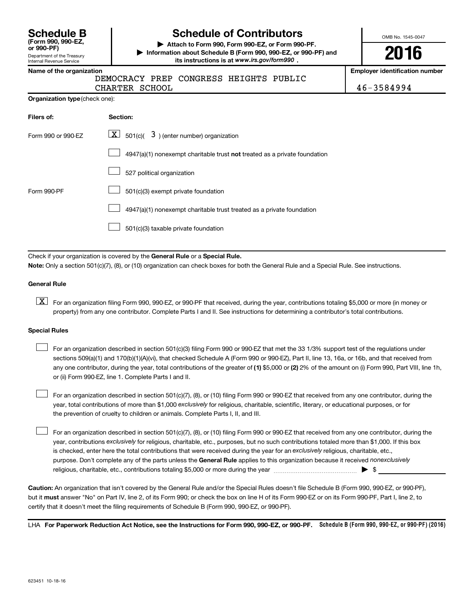Department of the Treasury **(Form 990, 990-EZ,**

Internal Revenue Service

## **Schedule B Schedule of Contributors**

**or 990-PF) | Attach to Form 990, Form 990-EZ, or Form 990-PF. | Information about Schedule B (Form 990, 990-EZ, or 990-PF) and** its instructions is at www.irs.gov/form990.

OMB No. 1545-0047

**2016**

**Name of the organization Employer identification number**

DEMOCRACY PREP CONGRESS HEIGHTS PUBLIC

| CHARTER SCHOOL |  | 46-3584994 |
|----------------|--|------------|

| <b>Organization type (check one):</b> |  |
|---------------------------------------|--|
|                                       |  |

| Filers of:         | Section:                                                                           |
|--------------------|------------------------------------------------------------------------------------|
| Form 990 or 990-EZ | $\lfloor x \rfloor$ 501(c)( 3) (enter number) organization                         |
|                    | $4947(a)(1)$ nonexempt charitable trust <b>not</b> treated as a private foundation |
|                    | 527 political organization                                                         |
| Form 990-PF        | 501(c)(3) exempt private foundation                                                |
|                    | 4947(a)(1) nonexempt charitable trust treated as a private foundation              |
|                    | 501(c)(3) taxable private foundation                                               |

Check if your organization is covered by the General Rule or a Special Rule.

**Note:**  Only a section 501(c)(7), (8), or (10) organization can check boxes for both the General Rule and a Special Rule. See instructions.

#### **General Rule**

**K** For an organization filing Form 990, 990-EZ, or 990-PF that received, during the year, contributions totaling \$5,000 or more (in money or property) from any one contributor. Complete Parts I and II. See instructions for determining a contributor's total contributions.

#### **Special Rules**

 $\Box$ 

any one contributor, during the year, total contributions of the greater of **(1)** \$5,000 or **(2)** 2% of the amount on (i) Form 990, Part VIII, line 1h, For an organization described in section 501(c)(3) filing Form 990 or 990-EZ that met the 33 1/3% support test of the regulations under sections 509(a)(1) and 170(b)(1)(A)(vi), that checked Schedule A (Form 990 or 990-EZ), Part II, line 13, 16a, or 16b, and that received from or (ii) Form 990-EZ, line 1. Complete Parts I and II.  $\Box$ 

year, total contributions of more than \$1,000 *exclusively* for religious, charitable, scientific, literary, or educational purposes, or for For an organization described in section 501(c)(7), (8), or (10) filing Form 990 or 990-EZ that received from any one contributor, during the the prevention of cruelty to children or animals. Complete Parts I, II, and III.  $\Box$ 

purpose. Don't complete any of the parts unless the General Rule applies to this organization because it received nonexclusively year, contributions exclusively for religious, charitable, etc., purposes, but no such contributions totaled more than \$1,000. If this box is checked, enter here the total contributions that were received during the year for an exclusively religious, charitable, etc., For an organization described in section 501(c)(7), (8), or (10) filing Form 990 or 990-EZ that received from any one contributor, during the religious, charitable, etc., contributions totaling \$5,000 or more during the year  $\ldots$  $\ldots$  $\ldots$  $\ldots$  $\ldots$  $\ldots$ 

**Caution:**  An organization that isn't covered by the General Rule and/or the Special Rules doesn't file Schedule B (Form 990, 990-EZ, or 990-PF),  **must** but it answer "No" on Part IV, line 2, of its Form 990; or check the box on line H of its Form 990-EZ or on its Form 990-PF, Part I, line 2, to certify that it doesn't meet the filing requirements of Schedule B (Form 990, 990-EZ, or 990-PF).

LHA For Paperwork Reduction Act Notice, see the Instructions for Form 990, 990-EZ, or 990-PF. Schedule B (Form 990, 990-EZ, or 990-PF) (2016)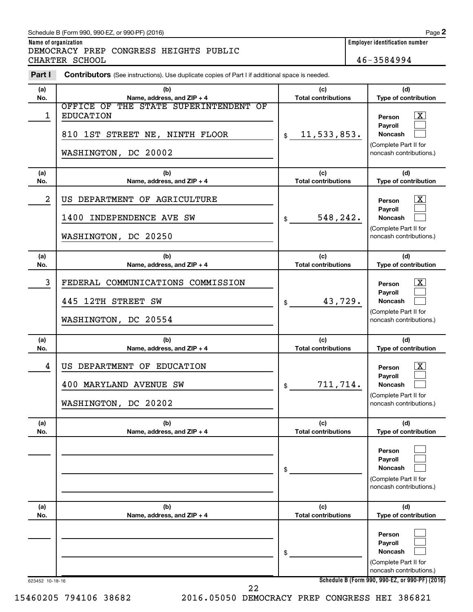#### Schedule B (Form 990, 990-EZ, or 990-PF) (2016)

DEMOCRACY PREP CONGRESS HEIGHTS PUBLIC CHARTER SCHOOL 46-3584994

**Name of organization Employer identification number**

| Part I     | <b>Contributors</b> (See instructions). Use duplicate copies of Part I if additional space is needed.               |                                   |                                                                                                                                     |
|------------|---------------------------------------------------------------------------------------------------------------------|-----------------------------------|-------------------------------------------------------------------------------------------------------------------------------------|
| (a)<br>No. | (b)<br>Name, address, and ZIP + 4                                                                                   | (c)<br><b>Total contributions</b> | (d)<br>Type of contribution                                                                                                         |
| 1          | OFFICE OF THE STATE SUPERINTENDENT OF<br><b>EDUCATION</b><br>810 1ST STREET NE, NINTH FLOOR<br>WASHINGTON, DC 20002 | 11,533,853.<br>\$                 | $\mathbf{X}$<br>Person<br>Payroll<br><b>Noncash</b><br>(Complete Part II for<br>noncash contributions.)                             |
| (a)<br>No. | (b)<br>Name, address, and ZIP + 4                                                                                   | (c)<br><b>Total contributions</b> | (d)<br>Type of contribution                                                                                                         |
| 2          | US DEPARTMENT OF AGRICULTURE<br>1400 INDEPENDENCE AVE SW<br>WASHINGTON, DC 20250                                    | 548,242.<br>\$                    | $\mathbf{X}$<br>Person<br>Payroll<br><b>Noncash</b><br>(Complete Part II for<br>noncash contributions.)                             |
| (a)<br>No. | (b)<br>Name, address, and ZIP + 4                                                                                   | (c)<br><b>Total contributions</b> | (d)<br>Type of contribution                                                                                                         |
| 3          | FEDERAL COMMUNICATIONS COMMISSION<br>445 12TH STREET SW<br>WASHINGTON, DC 20554                                     | 43,729.<br>\$                     | $\overline{\mathbf{X}}$<br>Person<br>Payroll<br><b>Noncash</b><br>(Complete Part II for<br>noncash contributions.)                  |
|            |                                                                                                                     |                                   |                                                                                                                                     |
| (a)<br>No. | (b)<br>Name, address, and ZIP + 4                                                                                   | (c)<br><b>Total contributions</b> | (d)<br>Type of contribution                                                                                                         |
| 4          | US DEPARTMENT OF EDUCATION<br>400 MARYLAND AVENUE SW<br>WASHINGTON, DC 20202                                        | 711,714.<br>\$                    | $\overline{\mathbf{X}}$<br>Person<br>Payroll<br><b>Noncash</b><br>(Complete Part II for<br>noncash contributions.)                  |
| (a)<br>No. | (b)<br>Name, address, and ZIP + 4                                                                                   | (c)<br><b>Total contributions</b> | (d)<br>Type of contribution                                                                                                         |
|            |                                                                                                                     | \$                                | Person<br>Payroll<br>Noncash<br>(Complete Part II for<br>noncash contributions.)                                                    |
| (a)<br>No. | (b)<br>Name, address, and ZIP + 4                                                                                   | (c)<br><b>Total contributions</b> | (d)<br>Type of contribution                                                                                                         |
|            |                                                                                                                     | \$                                | Person<br>Payroll<br>Noncash<br>(Complete Part II for<br>noncash contributions.)<br>Schedule B (Form 990, 990-EZ, or 990-PF) (2016) |

15460205 794106 38682 2016.05050 DEMOCRACY PREP CONGRESS HEI 386821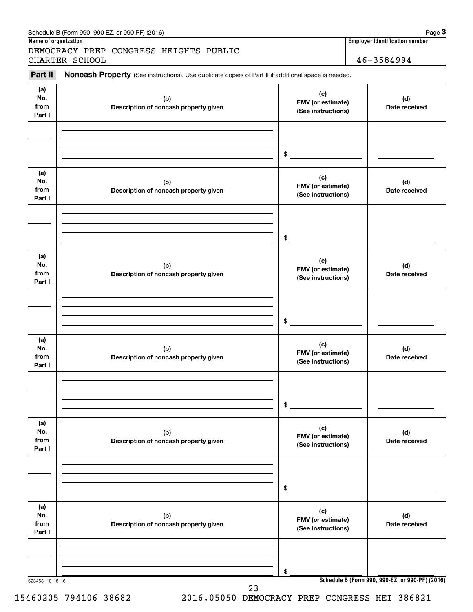| Name of organization         | DEMOCRACY PREP CONGRESS HEIGHTS PUBLIC                                                              |                                                | Employer identification number                  |
|------------------------------|-----------------------------------------------------------------------------------------------------|------------------------------------------------|-------------------------------------------------|
|                              | CHARTER SCHOOL                                                                                      |                                                | 46-3584994                                      |
| Part II                      | Noncash Property (See instructions). Use duplicate copies of Part II if additional space is needed. |                                                |                                                 |
| (a)<br>No.<br>from<br>Part I | (b)<br>Description of noncash property given                                                        | (c)<br>FMV (or estimate)<br>(See instructions) | (d)<br>Date received                            |
|                              |                                                                                                     | \$                                             |                                                 |
| (a)<br>No.<br>from<br>Part I | (b)<br>Description of noncash property given                                                        | (c)<br>FMV (or estimate)<br>(See instructions) | (d)<br>Date received                            |
|                              |                                                                                                     | \$                                             |                                                 |
| (a)<br>No.<br>from<br>Part I | (b)<br>Description of noncash property given                                                        | (c)<br>FMV (or estimate)<br>(See instructions) | (d)<br>Date received                            |
|                              |                                                                                                     | \$                                             |                                                 |
| (a)<br>No.<br>from<br>Part I | (b)<br>Description of noncash property given                                                        | (c)<br>FMV (or estimate)<br>(See instructions) | (d)<br>Date received                            |
|                              |                                                                                                     | \$                                             |                                                 |
| (a)<br>No.<br>from<br>Part I | (b)<br>Description of noncash property given                                                        | (c)<br>FMV (or estimate)<br>(See instructions) | (d)<br>Date received                            |
|                              |                                                                                                     | \$                                             |                                                 |
| (a)<br>No.<br>from<br>Part I | (b)<br>Description of noncash property given                                                        | (c)<br>FMV (or estimate)<br>(See instructions) | (d)<br>Date received                            |
|                              |                                                                                                     | \$                                             |                                                 |
| 623453 10-18-16              | 23                                                                                                  |                                                | Schedule B (Form 990, 990-EZ, or 990-PF) (2016) |

Schedule B (Form 990, 990-EZ, or 990-PF) (2016)

15460205 794106 38682 2016.05050 DEMOCRACY PREP CONGRESS HEI 386821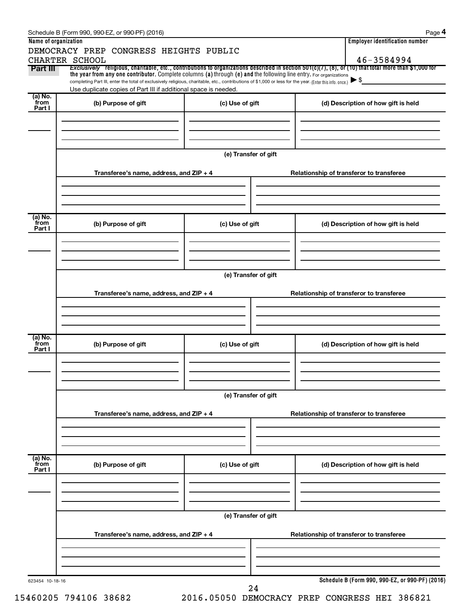|                      | Schedule B (Form 990, 990-EZ, or 990-PF) (2016)                                                                                                                                                                                                                                 |                      | Page 4                                                                                                                                                   |
|----------------------|---------------------------------------------------------------------------------------------------------------------------------------------------------------------------------------------------------------------------------------------------------------------------------|----------------------|----------------------------------------------------------------------------------------------------------------------------------------------------------|
| Name of organization |                                                                                                                                                                                                                                                                                 |                      | <b>Employer identification number</b>                                                                                                                    |
|                      | DEMOCRACY PREP CONGRESS HEIGHTS PUBLIC                                                                                                                                                                                                                                          |                      | 46-3584994                                                                                                                                               |
| Part III             | CHARTER SCHOOL                                                                                                                                                                                                                                                                  |                      | Exclusively religious, charitable, etc., contributions to organizations described in section $501(c)(7)$ , (8), or (10) that total more than \$1,000 for |
|                      | the year from any one contributor. Complete columns (a) through (e) and the following line entry. For organizations<br>completing Part III, enter the total of exclusively religious, charitable, etc., contributions of \$1,000 or less for the year. (Enter this info. once.) |                      | $\blacktriangleright$ \$                                                                                                                                 |
|                      | Use duplicate copies of Part III if additional space is needed.                                                                                                                                                                                                                 |                      |                                                                                                                                                          |
| (a) No.<br>from      |                                                                                                                                                                                                                                                                                 |                      |                                                                                                                                                          |
| Part I               | (b) Purpose of gift                                                                                                                                                                                                                                                             | (c) Use of gift      | (d) Description of how gift is held                                                                                                                      |
|                      |                                                                                                                                                                                                                                                                                 |                      |                                                                                                                                                          |
|                      |                                                                                                                                                                                                                                                                                 |                      |                                                                                                                                                          |
|                      |                                                                                                                                                                                                                                                                                 |                      |                                                                                                                                                          |
|                      |                                                                                                                                                                                                                                                                                 | (e) Transfer of gift |                                                                                                                                                          |
|                      |                                                                                                                                                                                                                                                                                 |                      |                                                                                                                                                          |
|                      | Transferee's name, address, and ZIP + 4                                                                                                                                                                                                                                         |                      | Relationship of transferor to transferee                                                                                                                 |
|                      |                                                                                                                                                                                                                                                                                 |                      |                                                                                                                                                          |
|                      |                                                                                                                                                                                                                                                                                 |                      |                                                                                                                                                          |
|                      |                                                                                                                                                                                                                                                                                 |                      |                                                                                                                                                          |
| (a) No.<br>from      | (b) Purpose of gift                                                                                                                                                                                                                                                             | (c) Use of gift      | (d) Description of how gift is held                                                                                                                      |
| Part I               |                                                                                                                                                                                                                                                                                 |                      |                                                                                                                                                          |
|                      |                                                                                                                                                                                                                                                                                 |                      |                                                                                                                                                          |
|                      |                                                                                                                                                                                                                                                                                 |                      |                                                                                                                                                          |
|                      |                                                                                                                                                                                                                                                                                 |                      |                                                                                                                                                          |
|                      |                                                                                                                                                                                                                                                                                 | (e) Transfer of gift |                                                                                                                                                          |
|                      |                                                                                                                                                                                                                                                                                 |                      |                                                                                                                                                          |
|                      | Transferee's name, address, and ZIP + 4                                                                                                                                                                                                                                         |                      | Relationship of transferor to transferee                                                                                                                 |
|                      |                                                                                                                                                                                                                                                                                 |                      |                                                                                                                                                          |
|                      |                                                                                                                                                                                                                                                                                 |                      |                                                                                                                                                          |
|                      |                                                                                                                                                                                                                                                                                 |                      |                                                                                                                                                          |
| (a) No.<br>from      | (b) Purpose of gift                                                                                                                                                                                                                                                             | (c) Use of gift      | (d) Description of how gift is held                                                                                                                      |
| Part I               |                                                                                                                                                                                                                                                                                 |                      |                                                                                                                                                          |
|                      |                                                                                                                                                                                                                                                                                 |                      |                                                                                                                                                          |
|                      |                                                                                                                                                                                                                                                                                 |                      |                                                                                                                                                          |
|                      |                                                                                                                                                                                                                                                                                 |                      |                                                                                                                                                          |
|                      |                                                                                                                                                                                                                                                                                 | (e) Transfer of gift |                                                                                                                                                          |
|                      | Transferee's name, address, and ZIP + 4                                                                                                                                                                                                                                         |                      | Relationship of transferor to transferee                                                                                                                 |
|                      |                                                                                                                                                                                                                                                                                 |                      |                                                                                                                                                          |
|                      |                                                                                                                                                                                                                                                                                 |                      |                                                                                                                                                          |
|                      |                                                                                                                                                                                                                                                                                 |                      |                                                                                                                                                          |
| (a) No.<br>from      |                                                                                                                                                                                                                                                                                 |                      |                                                                                                                                                          |
| Part I               | (b) Purpose of gift                                                                                                                                                                                                                                                             | (c) Use of gift      | (d) Description of how gift is held                                                                                                                      |
|                      |                                                                                                                                                                                                                                                                                 |                      |                                                                                                                                                          |
|                      |                                                                                                                                                                                                                                                                                 |                      |                                                                                                                                                          |
|                      |                                                                                                                                                                                                                                                                                 |                      |                                                                                                                                                          |
|                      |                                                                                                                                                                                                                                                                                 | (e) Transfer of gift |                                                                                                                                                          |
|                      |                                                                                                                                                                                                                                                                                 |                      |                                                                                                                                                          |
|                      | Transferee's name, address, and ZIP + 4                                                                                                                                                                                                                                         |                      | Relationship of transferor to transferee                                                                                                                 |
|                      |                                                                                                                                                                                                                                                                                 |                      |                                                                                                                                                          |
|                      |                                                                                                                                                                                                                                                                                 |                      |                                                                                                                                                          |
|                      |                                                                                                                                                                                                                                                                                 |                      |                                                                                                                                                          |
| 623454 10-18-16      |                                                                                                                                                                                                                                                                                 |                      | Schedule B (Form 990, 990-EZ, or 990-PF) (2016)                                                                                                          |
|                      |                                                                                                                                                                                                                                                                                 | 24                   |                                                                                                                                                          |

15460205 794106 38682 2016.05050 DEMOCRACY PREP CONGRESS HEI 386821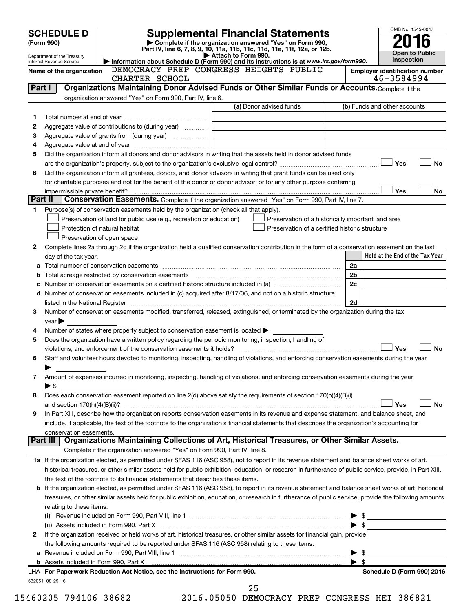|         | <b>SCHEDULE D</b>                                                                                                                                                           |                                                                                                        | <b>Supplemental Financial Statements</b>                                                                                                                   | OMB No. 1545-0047                                  |           |  |  |
|---------|-----------------------------------------------------------------------------------------------------------------------------------------------------------------------------|--------------------------------------------------------------------------------------------------------|------------------------------------------------------------------------------------------------------------------------------------------------------------|----------------------------------------------------|-----------|--|--|
|         | Complete if the organization answered "Yes" on Form 990,<br>(Form 990)                                                                                                      |                                                                                                        |                                                                                                                                                            |                                                    |           |  |  |
|         | Part IV, line 6, 7, 8, 9, 10, 11a, 11b, 11c, 11d, 11e, 11f, 12a, or 12b.<br><b>Open to Public</b><br>Attach to Form 990.<br>Department of the Treasury                      |                                                                                                        |                                                                                                                                                            |                                                    |           |  |  |
|         | Inspection<br>Information about Schedule D (Form 990) and its instructions is at www.irs.gov/form990.<br>Internal Revenue Service<br>DEMOCRACY PREP CONGRESS HEIGHTS PUBLIC |                                                                                                        |                                                                                                                                                            |                                                    |           |  |  |
|         | Name of the organization                                                                                                                                                    |                                                                                                        |                                                                                                                                                            | <b>Employer identification number</b>              |           |  |  |
|         |                                                                                                                                                                             | CHARTER SCHOOL                                                                                         | Organizations Maintaining Donor Advised Funds or Other Similar Funds or Accounts. Complete if the                                                          | 46-3584994                                         |           |  |  |
| Part I  |                                                                                                                                                                             |                                                                                                        |                                                                                                                                                            |                                                    |           |  |  |
|         |                                                                                                                                                                             | organization answered "Yes" on Form 990, Part IV, line 6.                                              | (a) Donor advised funds                                                                                                                                    | (b) Funds and other accounts                       |           |  |  |
|         |                                                                                                                                                                             |                                                                                                        |                                                                                                                                                            |                                                    |           |  |  |
| 1<br>2  |                                                                                                                                                                             | Aggregate value of contributions to (during year)                                                      |                                                                                                                                                            |                                                    |           |  |  |
| З       |                                                                                                                                                                             |                                                                                                        |                                                                                                                                                            |                                                    |           |  |  |
| 4       |                                                                                                                                                                             |                                                                                                        |                                                                                                                                                            |                                                    |           |  |  |
| 5       |                                                                                                                                                                             |                                                                                                        | Did the organization inform all donors and donor advisors in writing that the assets held in donor advised funds                                           |                                                    |           |  |  |
|         |                                                                                                                                                                             |                                                                                                        |                                                                                                                                                            | Yes                                                | <b>No</b> |  |  |
| 6       |                                                                                                                                                                             |                                                                                                        | Did the organization inform all grantees, donors, and donor advisors in writing that grant funds can be used only                                          |                                                    |           |  |  |
|         |                                                                                                                                                                             |                                                                                                        | for charitable purposes and not for the benefit of the donor or donor advisor, or for any other purpose conferring                                         |                                                    |           |  |  |
|         | impermissible private benefit?                                                                                                                                              |                                                                                                        |                                                                                                                                                            | Yes                                                | No        |  |  |
| Part II |                                                                                                                                                                             |                                                                                                        | Conservation Easements. Complete if the organization answered "Yes" on Form 990, Part IV, line 7.                                                          |                                                    |           |  |  |
| 1       |                                                                                                                                                                             | Purpose(s) of conservation easements held by the organization (check all that apply).                  |                                                                                                                                                            |                                                    |           |  |  |
|         |                                                                                                                                                                             | Preservation of land for public use (e.g., recreation or education)                                    |                                                                                                                                                            | Preservation of a historically important land area |           |  |  |
|         |                                                                                                                                                                             | Protection of natural habitat                                                                          | Preservation of a certified historic structure                                                                                                             |                                                    |           |  |  |
|         |                                                                                                                                                                             | Preservation of open space                                                                             |                                                                                                                                                            |                                                    |           |  |  |
| 2       |                                                                                                                                                                             |                                                                                                        | Complete lines 2a through 2d if the organization held a qualified conservation contribution in the form of a conservation easement on the last             |                                                    |           |  |  |
|         | day of the tax year.                                                                                                                                                        |                                                                                                        |                                                                                                                                                            | Held at the End of the Tax Year                    |           |  |  |
|         |                                                                                                                                                                             |                                                                                                        |                                                                                                                                                            | 2a                                                 |           |  |  |
|         |                                                                                                                                                                             |                                                                                                        |                                                                                                                                                            | 2b                                                 |           |  |  |
|         |                                                                                                                                                                             |                                                                                                        |                                                                                                                                                            | 2c                                                 |           |  |  |
|         |                                                                                                                                                                             |                                                                                                        | d Number of conservation easements included in (c) acquired after 8/17/06, and not on a historic structure                                                 |                                                    |           |  |  |
|         |                                                                                                                                                                             |                                                                                                        |                                                                                                                                                            | 2d                                                 |           |  |  |
| З       |                                                                                                                                                                             |                                                                                                        | Number of conservation easements modified, transferred, released, extinguished, or terminated by the organization during the tax                           |                                                    |           |  |  |
|         | $year \triangleright$                                                                                                                                                       |                                                                                                        |                                                                                                                                                            |                                                    |           |  |  |
| 4       |                                                                                                                                                                             | Number of states where property subject to conservation easement is located                            |                                                                                                                                                            |                                                    |           |  |  |
| 5       |                                                                                                                                                                             | Does the organization have a written policy regarding the periodic monitoring, inspection, handling of |                                                                                                                                                            |                                                    |           |  |  |
|         |                                                                                                                                                                             |                                                                                                        |                                                                                                                                                            | Yes                                                | <b>No</b> |  |  |
| 6       |                                                                                                                                                                             |                                                                                                        | Staff and volunteer hours devoted to monitoring, inspecting, handling of violations, and enforcing conservation easements during the year                  |                                                    |           |  |  |
|         |                                                                                                                                                                             |                                                                                                        |                                                                                                                                                            |                                                    |           |  |  |
| 7       |                                                                                                                                                                             |                                                                                                        | Amount of expenses incurred in monitoring, inspecting, handling of violations, and enforcing conservation easements during the year                        |                                                    |           |  |  |
|         | $\blacktriangleright$ \$                                                                                                                                                    |                                                                                                        |                                                                                                                                                            |                                                    |           |  |  |
| 8       |                                                                                                                                                                             |                                                                                                        | Does each conservation easement reported on line 2(d) above satisfy the requirements of section 170(h)(4)(B)(i)                                            |                                                    |           |  |  |
| 9       |                                                                                                                                                                             |                                                                                                        | In Part XIII, describe how the organization reports conservation easements in its revenue and expense statement, and balance sheet, and                    | Yes                                                | No        |  |  |
|         |                                                                                                                                                                             |                                                                                                        | include, if applicable, the text of the footnote to the organization's financial statements that describes the organization's accounting for               |                                                    |           |  |  |
|         | conservation easements.                                                                                                                                                     |                                                                                                        |                                                                                                                                                            |                                                    |           |  |  |
|         | Part III                                                                                                                                                                    |                                                                                                        | Organizations Maintaining Collections of Art, Historical Treasures, or Other Similar Assets.                                                               |                                                    |           |  |  |
|         |                                                                                                                                                                             | Complete if the organization answered "Yes" on Form 990, Part IV, line 8.                              |                                                                                                                                                            |                                                    |           |  |  |
|         |                                                                                                                                                                             |                                                                                                        | 1a If the organization elected, as permitted under SFAS 116 (ASC 958), not to report in its revenue statement and balance sheet works of art,              |                                                    |           |  |  |
|         |                                                                                                                                                                             |                                                                                                        | historical treasures, or other similar assets held for public exhibition, education, or research in furtherance of public service, provide, in Part XIII,  |                                                    |           |  |  |
|         |                                                                                                                                                                             | the text of the footnote to its financial statements that describes these items.                       |                                                                                                                                                            |                                                    |           |  |  |
|         |                                                                                                                                                                             |                                                                                                        | <b>b</b> If the organization elected, as permitted under SFAS 116 (ASC 958), to report in its revenue statement and balance sheet works of art, historical |                                                    |           |  |  |
|         |                                                                                                                                                                             |                                                                                                        | treasures, or other similar assets held for public exhibition, education, or research in furtherance of public service, provide the following amounts      |                                                    |           |  |  |
|         | relating to these items:                                                                                                                                                    |                                                                                                        |                                                                                                                                                            |                                                    |           |  |  |
|         |                                                                                                                                                                             |                                                                                                        |                                                                                                                                                            | \$                                                 |           |  |  |
|         | \$<br>(ii) Assets included in Form 990, Part X                                                                                                                              |                                                                                                        |                                                                                                                                                            |                                                    |           |  |  |
| 2       |                                                                                                                                                                             |                                                                                                        | If the organization received or held works of art, historical treasures, or other similar assets for financial gain, provide                               |                                                    |           |  |  |
|         |                                                                                                                                                                             | the following amounts required to be reported under SFAS 116 (ASC 958) relating to these items:        |                                                                                                                                                            |                                                    |           |  |  |
|         |                                                                                                                                                                             |                                                                                                        |                                                                                                                                                            | \$                                                 |           |  |  |
|         |                                                                                                                                                                             |                                                                                                        |                                                                                                                                                            | $\blacktriangleright$ s                            |           |  |  |
|         |                                                                                                                                                                             | LHA For Paperwork Reduction Act Notice, see the Instructions for Form 990.                             |                                                                                                                                                            | Schedule D (Form 990) 2016                         |           |  |  |
|         | 632051 08-29-16                                                                                                                                                             |                                                                                                        |                                                                                                                                                            |                                                    |           |  |  |
|         |                                                                                                                                                                             |                                                                                                        | 25                                                                                                                                                         |                                                    |           |  |  |

15460205 794106 38682 2016.05050 DEMOCRACY PREP CONGRESS HEI 386821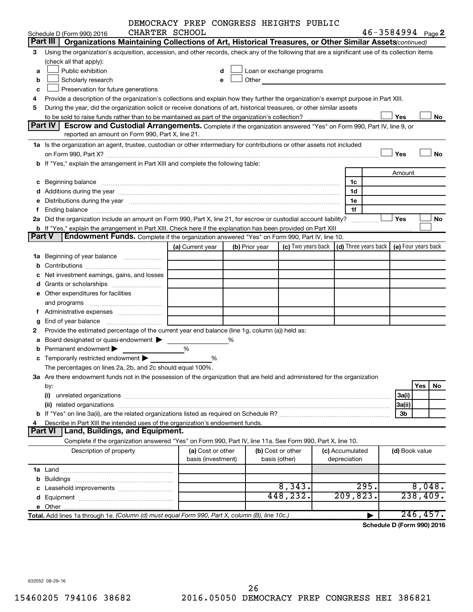|               |                                                                                                                                                                                                                               | DEMOCRACY PREP CONGRESS HEIGHTS PUBLIC |                    |                |                                                                                                                                                                                                                               |                 |                                                                  |           |
|---------------|-------------------------------------------------------------------------------------------------------------------------------------------------------------------------------------------------------------------------------|----------------------------------------|--------------------|----------------|-------------------------------------------------------------------------------------------------------------------------------------------------------------------------------------------------------------------------------|-----------------|------------------------------------------------------------------|-----------|
|               | Schedule D (Form 990) 2016                                                                                                                                                                                                    | CHARTER SCHOOL                         |                    |                |                                                                                                                                                                                                                               |                 | $46 - 3584994$ Page 2                                            |           |
|               | Part III<br>Organizations Maintaining Collections of Art, Historical Treasures, or Other Similar Assets (continued)                                                                                                           |                                        |                    |                |                                                                                                                                                                                                                               |                 |                                                                  |           |
| З             | Using the organization's acquisition, accession, and other records, check any of the following that are a significant use of its collection items                                                                             |                                        |                    |                |                                                                                                                                                                                                                               |                 |                                                                  |           |
|               | (check all that apply):                                                                                                                                                                                                       |                                        |                    |                |                                                                                                                                                                                                                               |                 |                                                                  |           |
| a             | Public exhibition                                                                                                                                                                                                             |                                        |                    |                | Loan or exchange programs                                                                                                                                                                                                     |                 |                                                                  |           |
| b             | Scholarly research                                                                                                                                                                                                            |                                        |                    |                | Other and the contract of the contract of the contract of the contract of the contract of the contract of the contract of the contract of the contract of the contract of the contract of the contract of the contract of the |                 |                                                                  |           |
| c             | Preservation for future generations                                                                                                                                                                                           |                                        |                    |                |                                                                                                                                                                                                                               |                 |                                                                  |           |
| 4             | Provide a description of the organization's collections and explain how they further the organization's exempt purpose in Part XIII.                                                                                          |                                        |                    |                |                                                                                                                                                                                                                               |                 |                                                                  |           |
| 5             | During the year, did the organization solicit or receive donations of art, historical treasures, or other similar assets                                                                                                      |                                        |                    |                |                                                                                                                                                                                                                               |                 |                                                                  |           |
|               |                                                                                                                                                                                                                               |                                        |                    |                |                                                                                                                                                                                                                               |                 | Yes                                                              | No        |
|               | Part IV<br><b>Escrow and Custodial Arrangements.</b> Complete if the organization answered "Yes" on Form 990, Part IV, line 9, or                                                                                             |                                        |                    |                |                                                                                                                                                                                                                               |                 |                                                                  |           |
|               | reported an amount on Form 990, Part X, line 21.                                                                                                                                                                              |                                        |                    |                |                                                                                                                                                                                                                               |                 |                                                                  |           |
|               | 1a Is the organization an agent, trustee, custodian or other intermediary for contributions or other assets not included                                                                                                      |                                        |                    |                |                                                                                                                                                                                                                               |                 |                                                                  |           |
|               |                                                                                                                                                                                                                               |                                        |                    |                |                                                                                                                                                                                                                               |                 | Yes                                                              | <b>No</b> |
|               | b If "Yes," explain the arrangement in Part XIII and complete the following table:                                                                                                                                            |                                        |                    |                |                                                                                                                                                                                                                               |                 |                                                                  |           |
|               |                                                                                                                                                                                                                               |                                        |                    |                |                                                                                                                                                                                                                               |                 | Amount                                                           |           |
|               |                                                                                                                                                                                                                               |                                        |                    |                |                                                                                                                                                                                                                               | 1c              |                                                                  |           |
|               |                                                                                                                                                                                                                               |                                        |                    |                |                                                                                                                                                                                                                               | 1d              |                                                                  |           |
|               | e Distributions during the year manufactured and continuum control of the control of the control of the state of the control of the control of the control of the control of the control of the control of the control of the |                                        |                    |                |                                                                                                                                                                                                                               | 1e              |                                                                  |           |
| f.            |                                                                                                                                                                                                                               |                                        |                    |                |                                                                                                                                                                                                                               | 1f              |                                                                  |           |
|               | 2a Did the organization include an amount on Form 990, Part X, line 21, for escrow or custodial account liability?                                                                                                            |                                        |                    |                |                                                                                                                                                                                                                               |                 | Yes                                                              | No        |
|               | <b>b</b> If "Yes," explain the arrangement in Part XIII. Check here if the explanation has been provided on Part XIII                                                                                                         |                                        |                    |                |                                                                                                                                                                                                                               |                 |                                                                  |           |
| <b>Part V</b> | <b>Endowment Funds.</b> Complete if the organization answered "Yes" on Form 990, Part IV, line 10.                                                                                                                            |                                        |                    |                |                                                                                                                                                                                                                               |                 |                                                                  |           |
|               |                                                                                                                                                                                                                               | (a) Current year                       |                    | (b) Prior year |                                                                                                                                                                                                                               |                 | (c) Two years back $ (d)$ Three years back $ e $ Four years back |           |
|               | <b>1a</b> Beginning of year balance <i>manumumum</i>                                                                                                                                                                          |                                        |                    |                |                                                                                                                                                                                                                               |                 |                                                                  |           |
|               |                                                                                                                                                                                                                               |                                        |                    |                |                                                                                                                                                                                                                               |                 |                                                                  |           |
|               |                                                                                                                                                                                                                               |                                        |                    |                |                                                                                                                                                                                                                               |                 |                                                                  |           |
| c             | Net investment earnings, gains, and losses                                                                                                                                                                                    |                                        |                    |                |                                                                                                                                                                                                                               |                 |                                                                  |           |
|               |                                                                                                                                                                                                                               |                                        |                    |                |                                                                                                                                                                                                                               |                 |                                                                  |           |
|               | e Other expenditures for facilities                                                                                                                                                                                           |                                        |                    |                |                                                                                                                                                                                                                               |                 |                                                                  |           |
|               | and programs                                                                                                                                                                                                                  |                                        |                    |                |                                                                                                                                                                                                                               |                 |                                                                  |           |
|               |                                                                                                                                                                                                                               |                                        |                    |                |                                                                                                                                                                                                                               |                 |                                                                  |           |
|               |                                                                                                                                                                                                                               |                                        |                    |                |                                                                                                                                                                                                                               |                 |                                                                  |           |
| 2             | Provide the estimated percentage of the current year end balance (line 1g, column (a)) held as:                                                                                                                               |                                        |                    |                |                                                                                                                                                                                                                               |                 |                                                                  |           |
| а             | Board designated or quasi-endowment                                                                                                                                                                                           |                                        | %                  |                |                                                                                                                                                                                                                               |                 |                                                                  |           |
|               | Permanent endowment                                                                                                                                                                                                           | %                                      |                    |                |                                                                                                                                                                                                                               |                 |                                                                  |           |
|               | <b>c</b> Temporarily restricted endowment $\blacktriangleright$                                                                                                                                                               |                                        | %                  |                |                                                                                                                                                                                                                               |                 |                                                                  |           |
|               | The percentages on lines 2a, 2b, and 2c should equal 100%.                                                                                                                                                                    |                                        |                    |                |                                                                                                                                                                                                                               |                 |                                                                  |           |
|               | 3a Are there endowment funds not in the possession of the organization that are held and administered for the organization                                                                                                    |                                        |                    |                |                                                                                                                                                                                                                               |                 |                                                                  |           |
|               | by:                                                                                                                                                                                                                           |                                        |                    |                |                                                                                                                                                                                                                               |                 |                                                                  | Yes<br>No |
|               | (i)                                                                                                                                                                                                                           |                                        |                    |                |                                                                                                                                                                                                                               |                 | 3a(i)                                                            |           |
|               |                                                                                                                                                                                                                               |                                        |                    |                |                                                                                                                                                                                                                               |                 | 3a(ii)                                                           |           |
|               |                                                                                                                                                                                                                               |                                        |                    |                |                                                                                                                                                                                                                               |                 | 3b                                                               |           |
| 4             | Describe in Part XIII the intended uses of the organization's endowment funds.                                                                                                                                                |                                        |                    |                |                                                                                                                                                                                                                               |                 |                                                                  |           |
|               | Land, Buildings, and Equipment.<br><b>Part VI</b>                                                                                                                                                                             |                                        |                    |                |                                                                                                                                                                                                                               |                 |                                                                  |           |
|               | Complete if the organization answered "Yes" on Form 990, Part IV, line 11a. See Form 990, Part X, line 10.                                                                                                                    |                                        |                    |                |                                                                                                                                                                                                                               |                 |                                                                  |           |
|               | Description of property                                                                                                                                                                                                       |                                        | (a) Cost or other  |                | (b) Cost or other                                                                                                                                                                                                             | (c) Accumulated | (d) Book value                                                   |           |
|               |                                                                                                                                                                                                                               |                                        | basis (investment) |                | basis (other)                                                                                                                                                                                                                 | depreciation    |                                                                  |           |
|               |                                                                                                                                                                                                                               |                                        |                    |                |                                                                                                                                                                                                                               |                 |                                                                  |           |
| b             |                                                                                                                                                                                                                               |                                        |                    |                |                                                                                                                                                                                                                               |                 |                                                                  |           |
|               |                                                                                                                                                                                                                               |                                        |                    |                | 8,343.                                                                                                                                                                                                                        | 295.            |                                                                  | 8,048.    |
|               |                                                                                                                                                                                                                               |                                        |                    |                | 448,232.                                                                                                                                                                                                                      | 209,823.        |                                                                  | 238,409.  |
|               |                                                                                                                                                                                                                               |                                        |                    |                |                                                                                                                                                                                                                               |                 |                                                                  |           |
|               | Total. Add lines 1a through 1e. (Column (d) must equal Form 990, Part X, column (B), line 10c.)                                                                                                                               |                                        |                    |                |                                                                                                                                                                                                                               |                 |                                                                  | 246, 457. |

**Schedule D (Form 990) 2016**

632052 08-29-16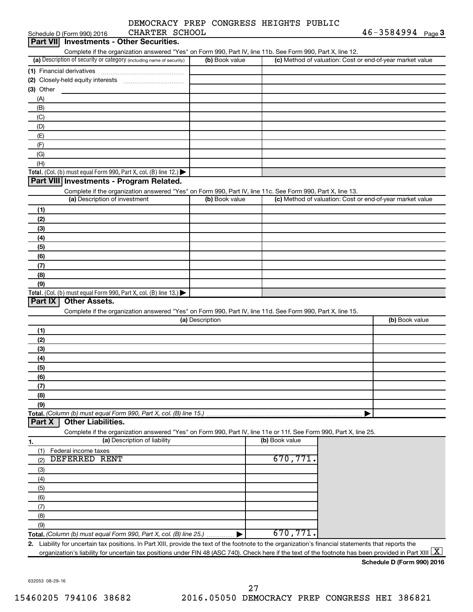| DEMOCRACY PREP CONGRESS HEIGHTS PUBLIC |                                    |  |  |
|----------------------------------------|------------------------------------|--|--|
| ---- - -- --                           | $\sim$ $\sim$ $\sim$ $\sim$ $\sim$ |  |  |

| Schedule D (Form 990) 2016<br>CHARTER SCHOOL                                                                                                                            |                 |                                                           | 46-3584994<br>Page 3 |
|-------------------------------------------------------------------------------------------------------------------------------------------------------------------------|-----------------|-----------------------------------------------------------|----------------------|
| Part VII Investments - Other Securities.                                                                                                                                |                 |                                                           |                      |
| Complete if the organization answered "Yes" on Form 990, Part IV, line 11b. See Form 990, Part X, line 12.                                                              |                 |                                                           |                      |
| (a) Description of security or category (including name of security)                                                                                                    | (b) Book value  | (c) Method of valuation: Cost or end-of-year market value |                      |
| (1) Financial derivatives                                                                                                                                               |                 |                                                           |                      |
| (2) Closely-held equity interests                                                                                                                                       |                 |                                                           |                      |
| (3) Other                                                                                                                                                               |                 |                                                           |                      |
| (A)                                                                                                                                                                     |                 |                                                           |                      |
| (B)                                                                                                                                                                     |                 |                                                           |                      |
| (C)                                                                                                                                                                     |                 |                                                           |                      |
| (D)                                                                                                                                                                     |                 |                                                           |                      |
| (E)                                                                                                                                                                     |                 |                                                           |                      |
| (F)                                                                                                                                                                     |                 |                                                           |                      |
| (G)                                                                                                                                                                     |                 |                                                           |                      |
| (H)                                                                                                                                                                     |                 |                                                           |                      |
| Total. (Col. (b) must equal Form 990, Part X, col. (B) line 12.) $\blacktriangleright$                                                                                  |                 |                                                           |                      |
| Part VIII Investments - Program Related.                                                                                                                                |                 |                                                           |                      |
| Complete if the organization answered "Yes" on Form 990, Part IV, line 11c. See Form 990, Part X, line 13.                                                              |                 |                                                           |                      |
| (a) Description of investment                                                                                                                                           | (b) Book value  | (c) Method of valuation: Cost or end-of-year market value |                      |
| (1)                                                                                                                                                                     |                 |                                                           |                      |
| (2)                                                                                                                                                                     |                 |                                                           |                      |
| (3)                                                                                                                                                                     |                 |                                                           |                      |
| (4)                                                                                                                                                                     |                 |                                                           |                      |
| (5)                                                                                                                                                                     |                 |                                                           |                      |
| (6)                                                                                                                                                                     |                 |                                                           |                      |
| (7)                                                                                                                                                                     |                 |                                                           |                      |
| (8)                                                                                                                                                                     |                 |                                                           |                      |
| (9)                                                                                                                                                                     |                 |                                                           |                      |
| Total. (Col. (b) must equal Form 990, Part X, col. (B) line $13$ .)                                                                                                     |                 |                                                           |                      |
| <b>Other Assets.</b><br>Part $ X $                                                                                                                                      |                 |                                                           |                      |
| Complete if the organization answered "Yes" on Form 990, Part IV, line 11d. See Form 990, Part X, line 15.                                                              |                 |                                                           |                      |
|                                                                                                                                                                         | (a) Description |                                                           | (b) Book value       |
| (1)                                                                                                                                                                     |                 |                                                           |                      |
| (2)                                                                                                                                                                     |                 |                                                           |                      |
| (3)                                                                                                                                                                     |                 |                                                           |                      |
| (4)                                                                                                                                                                     |                 |                                                           |                      |
| (5)                                                                                                                                                                     |                 |                                                           |                      |
| (6)                                                                                                                                                                     |                 |                                                           |                      |
| (7)                                                                                                                                                                     |                 |                                                           |                      |
| (8)                                                                                                                                                                     |                 |                                                           |                      |
| (9)                                                                                                                                                                     |                 |                                                           |                      |
| Total. (Column (b) must equal Form 990, Part X, col. (B) line 15.)                                                                                                      |                 |                                                           |                      |
| <b>Other Liabilities.</b><br>Part X                                                                                                                                     |                 |                                                           |                      |
| Complete if the organization answered "Yes" on Form 990, Part IV, line 11e or 11f. See Form 990, Part X, line 25.                                                       |                 |                                                           |                      |
| (a) Description of liability                                                                                                                                            |                 | (b) Book value                                            |                      |
| 1.                                                                                                                                                                      |                 |                                                           |                      |
| (1)<br>Federal income taxes<br><b>DEFERRED RENT</b>                                                                                                                     |                 | 670, 771.                                                 |                      |
| (2)                                                                                                                                                                     |                 |                                                           |                      |
| (3)                                                                                                                                                                     |                 |                                                           |                      |
| (4)                                                                                                                                                                     |                 |                                                           |                      |
| (5)                                                                                                                                                                     |                 |                                                           |                      |
| (6)                                                                                                                                                                     |                 |                                                           |                      |
| (7)                                                                                                                                                                     |                 |                                                           |                      |
| (8)                                                                                                                                                                     |                 |                                                           |                      |
| (9)                                                                                                                                                                     |                 |                                                           |                      |
| Total. (Column (b) must equal Form 990, Part X, col. (B) line 25.)                                                                                                      |                 | 670,771                                                   |                      |
| Liability for uncertain tax positions. In Part XIII, provide the text of the footnote to the organization's financial statements that reports the<br>2.                 |                 |                                                           |                      |
| organization's liability for uncertain tax positions under FIN 48 (ASC 740). Check here if the text of the footnote has been provided in Part XIII $\boxed{\mathrm{X}}$ |                 |                                                           |                      |

632053 08-29-16

**Schedule D (Form 990) 2016**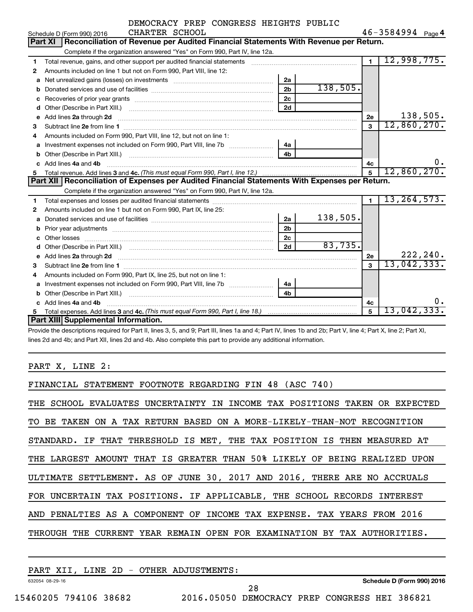|    | DEMOCRACY PREP CONGRESS HEIGHTS PUBLIC                                                                                                                                                                                             |                |          |                |                       |           |
|----|------------------------------------------------------------------------------------------------------------------------------------------------------------------------------------------------------------------------------------|----------------|----------|----------------|-----------------------|-----------|
|    | CHARTER SCHOOL<br>Schedule D (Form 990) 2016                                                                                                                                                                                       |                |          |                | $46 - 3584994$ Page 4 |           |
|    | Part XI   Reconciliation of Revenue per Audited Financial Statements With Revenue per Return.                                                                                                                                      |                |          |                |                       |           |
|    | Complete if the organization answered "Yes" on Form 990, Part IV, line 12a.                                                                                                                                                        |                |          |                |                       |           |
| 1  | Total revenue, gains, and other support per audited financial statements [11] [11] Total revenue, gains, and other support per audited financial statements                                                                        |                |          | $\overline{1}$ | 12,998,775.           |           |
| 2  | Amounts included on line 1 but not on Form 990, Part VIII, line 12:                                                                                                                                                                |                |          |                |                       |           |
| a  |                                                                                                                                                                                                                                    | 2a             |          |                |                       |           |
|    |                                                                                                                                                                                                                                    | 2 <sub>b</sub> | 138,505. |                |                       |           |
| с  |                                                                                                                                                                                                                                    | 2c             |          |                |                       |           |
| d  |                                                                                                                                                                                                                                    | 2d             |          |                |                       |           |
| e  | Add lines 2a through 2d                                                                                                                                                                                                            |                |          | 2е             |                       | 138,505.  |
| 3  |                                                                                                                                                                                                                                    |                |          | 3              | 12,860,270.           |           |
| 4  | Amounts included on Form 990, Part VIII, line 12, but not on line 1:                                                                                                                                                               |                |          |                |                       |           |
| a  |                                                                                                                                                                                                                                    | 4a             |          |                |                       |           |
| b  |                                                                                                                                                                                                                                    | 4 <sub>h</sub> |          |                |                       |           |
|    | c Add lines 4a and 4b                                                                                                                                                                                                              |                |          | 4c             |                       | 0.        |
| 5  |                                                                                                                                                                                                                                    |                |          |                | 12,860,270.           |           |
|    | Part XII   Reconciliation of Expenses per Audited Financial Statements With Expenses per Return.                                                                                                                                   |                |          |                |                       |           |
|    | Complete if the organization answered "Yes" on Form 990, Part IV, line 12a.                                                                                                                                                        |                |          |                |                       |           |
| 1  |                                                                                                                                                                                                                                    |                |          | $\blacksquare$ | 13, 264, 573.         |           |
| 2  | Amounts included on line 1 but not on Form 990, Part IX, line 25:                                                                                                                                                                  |                |          |                |                       |           |
| a  |                                                                                                                                                                                                                                    | 2a             | 138,505. |                |                       |           |
|    |                                                                                                                                                                                                                                    | 2 <sub>b</sub> |          |                |                       |           |
| C. |                                                                                                                                                                                                                                    | 2c             |          |                |                       |           |
| d  |                                                                                                                                                                                                                                    | 2d             | 83,735.  |                |                       |           |
| e  | Add lines 2a through 2d <b>manufactures</b> in the contract of the contract of the contract of the contract of the contract of the contract of the contract of the contract of the contract of the contract of the contract of the |                |          | 2е             |                       | 222, 240. |
| 3  |                                                                                                                                                                                                                                    |                |          | $\mathbf{a}$   | 13,042,333.           |           |
| 4  | Amounts included on Form 990, Part IX, line 25, but not on line 1:                                                                                                                                                                 |                |          |                |                       |           |
| a  | Investment expenses not included on Form 990, Part VIII, line 7b [                                                                                                                                                                 | 4a             |          |                |                       |           |
|    |                                                                                                                                                                                                                                    | 4 <sub>b</sub> |          |                |                       |           |
|    | Add lines 4a and 4b                                                                                                                                                                                                                |                |          | 4c             |                       |           |
| 5  |                                                                                                                                                                                                                                    |                |          | 5              | 13,042,333.           |           |
|    | Part XIII Supplemental Information.                                                                                                                                                                                                |                |          |                |                       |           |

Provide the descriptions required for Part II, lines 3, 5, and 9; Part III, lines 1a and 4; Part IV, lines 1b and 2b; Part V, line 4; Part X, line 2; Part XI, lines 2d and 4b; and Part XII, lines 2d and 4b. Also complete this part to provide any additional information.

PART X, LINE 2:

| FINANCIAL STATEMENT FOOTNOTE REGARDING FIN 48 (ASC 740)                    |
|----------------------------------------------------------------------------|
| THE SCHOOL EVALUATES UNCERTAINTY IN INCOME TAX POSITIONS TAKEN OR EXPECTED |
| TO BE TAKEN ON A TAX RETURN BASED ON A MORE-LIKELY-THAN-NOT RECOGNITION    |
| STANDARD. IF THAT THRESHOLD IS MET, THE TAX POSITION IS THEN MEASURED AT   |
| THE LARGEST AMOUNT THAT IS GREATER THAN 50% LIKELY OF BEING REALIZED UPON  |
| ULTIMATE SETTLEMENT. AS OF JUNE 30, 2017 AND 2016, THERE ARE NO ACCRUALS   |
| FOR UNCERTAIN TAX POSITIONS. IF APPLICABLE, THE SCHOOL RECORDS INTEREST    |
| AND PENALTIES AS A COMPONENT OF INCOME TAX EXPENSE. TAX YEARS FROM 2016    |
| THROUGH THE CURRENT YEAR REMAIN OPEN FOR EXAMINATION BY TAX AUTHORITIES.   |
|                                                                            |

| 2D<br>LINE<br>XII<br>PART | OTHER<br><b>ADJUSTMENTS:</b><br>$\sim$ |                            |
|---------------------------|----------------------------------------|----------------------------|
| 632054 08-29-16           |                                        | Schedule D (Form 990) 2016 |
|                           |                                        | 20                         |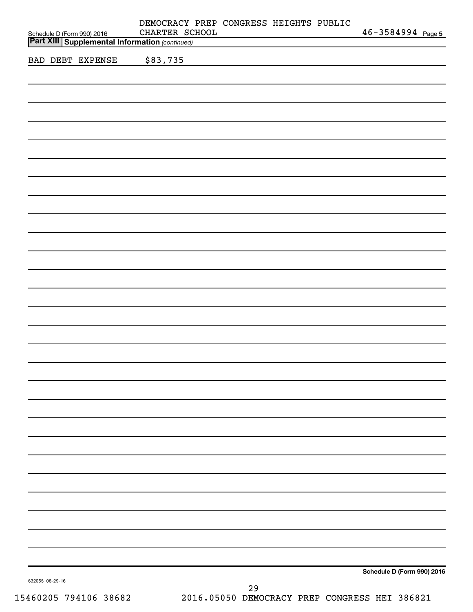| Schedule D (Form 990) 2016<br><b>Part XIII Supplemental Information (continued)</b> | DEMOCRACY PREP CONGRESS HEIGHTS PUBLIC<br>CHARTER SCHOOL |          |  | $46 - 3584994$ Page 5      |  |
|-------------------------------------------------------------------------------------|----------------------------------------------------------|----------|--|----------------------------|--|
|                                                                                     |                                                          |          |  |                            |  |
| <b>BAD DEBT EXPENSE</b>                                                             | \$83,735                                                 |          |  |                            |  |
|                                                                                     |                                                          |          |  |                            |  |
|                                                                                     |                                                          |          |  |                            |  |
|                                                                                     |                                                          |          |  |                            |  |
|                                                                                     |                                                          |          |  |                            |  |
|                                                                                     |                                                          |          |  |                            |  |
|                                                                                     |                                                          |          |  |                            |  |
|                                                                                     |                                                          |          |  |                            |  |
|                                                                                     |                                                          |          |  |                            |  |
|                                                                                     |                                                          |          |  |                            |  |
|                                                                                     |                                                          |          |  |                            |  |
|                                                                                     |                                                          |          |  |                            |  |
|                                                                                     |                                                          |          |  |                            |  |
|                                                                                     |                                                          |          |  |                            |  |
|                                                                                     |                                                          |          |  |                            |  |
|                                                                                     |                                                          |          |  |                            |  |
|                                                                                     |                                                          |          |  |                            |  |
|                                                                                     |                                                          |          |  |                            |  |
|                                                                                     |                                                          |          |  |                            |  |
|                                                                                     |                                                          |          |  |                            |  |
|                                                                                     |                                                          |          |  |                            |  |
|                                                                                     |                                                          |          |  |                            |  |
|                                                                                     |                                                          |          |  |                            |  |
|                                                                                     |                                                          |          |  |                            |  |
|                                                                                     |                                                          |          |  |                            |  |
|                                                                                     |                                                          |          |  |                            |  |
|                                                                                     |                                                          |          |  |                            |  |
|                                                                                     |                                                          |          |  |                            |  |
|                                                                                     |                                                          |          |  |                            |  |
|                                                                                     |                                                          |          |  |                            |  |
|                                                                                     |                                                          |          |  |                            |  |
|                                                                                     |                                                          |          |  |                            |  |
|                                                                                     |                                                          |          |  |                            |  |
|                                                                                     |                                                          |          |  |                            |  |
|                                                                                     |                                                          |          |  |                            |  |
|                                                                                     |                                                          |          |  |                            |  |
|                                                                                     |                                                          |          |  |                            |  |
|                                                                                     |                                                          |          |  |                            |  |
|                                                                                     |                                                          |          |  |                            |  |
|                                                                                     |                                                          |          |  |                            |  |
|                                                                                     |                                                          |          |  |                            |  |
|                                                                                     |                                                          |          |  |                            |  |
|                                                                                     |                                                          |          |  |                            |  |
| 632055 08-29-16                                                                     |                                                          |          |  | Schedule D (Form 990) 2016 |  |
|                                                                                     |                                                          | $\Omega$ |  |                            |  |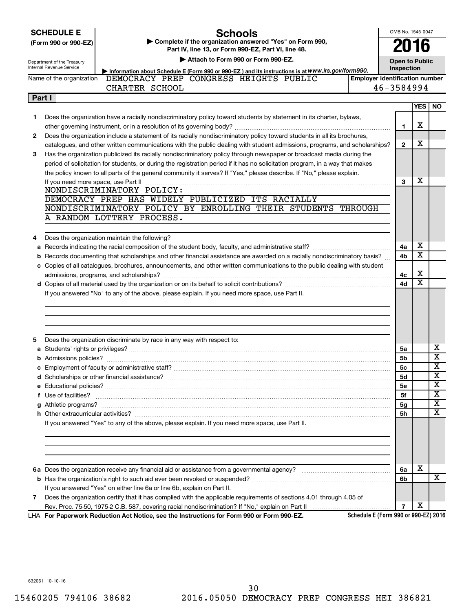|        | <b>SCHEDULE E</b><br><b>Schools</b>                                                                                                                                                                                                                    | OMB No. 1545-0047                     |                       |                         |
|--------|--------------------------------------------------------------------------------------------------------------------------------------------------------------------------------------------------------------------------------------------------------|---------------------------------------|-----------------------|-------------------------|
|        | Complete if the organization answered "Yes" on Form 990,<br>(Form 990 or 990-EZ)<br>Part IV, line 13, or Form 990-EZ, Part VI, line 48.                                                                                                                |                                       | 16                    |                         |
|        | Attach to Form 990 or Form 990-EZ.                                                                                                                                                                                                                     |                                       |                       |                         |
|        | Department of the Treasury<br>Internal Revenue Service                                                                                                                                                                                                 | <b>Open to Public</b><br>Inspection   |                       |                         |
|        | Information about Schedule E (Form 990 or 990-EZ) and its instructions is at WWW.irs.gov/form990.<br>DEMOCRACY PREP CONGRESS HEIGHTS PUBLIC<br>Name of the organization                                                                                | <b>Employer identification number</b> |                       |                         |
|        | CHARTER SCHOOL                                                                                                                                                                                                                                         | 46-3584994                            |                       |                         |
| Part I |                                                                                                                                                                                                                                                        |                                       |                       |                         |
|        |                                                                                                                                                                                                                                                        |                                       | <b>YES</b>            | <b>NO</b>               |
| 1      | Does the organization have a racially nondiscriminatory policy toward students by statement in its charter, bylaws,                                                                                                                                    |                                       |                       |                         |
|        |                                                                                                                                                                                                                                                        | 1                                     | х                     |                         |
| 2      | Does the organization include a statement of its racially nondiscriminatory policy toward students in all its brochures,                                                                                                                               |                                       |                       |                         |
|        | catalogues, and other written communications with the public dealing with student admissions, programs, and scholarships?                                                                                                                              | 2                                     | x                     |                         |
| 3      | Has the organization publicized its racially nondiscriminatory policy through newspaper or broadcast media during the                                                                                                                                  |                                       |                       |                         |
|        | period of solicitation for students, or during the registration period if it has no solicitation program, in a way that makes                                                                                                                          |                                       |                       |                         |
|        | the policy known to all parts of the general community it serves? If "Yes," please describe. If "No," please explain.                                                                                                                                  |                                       |                       |                         |
|        | If you need more space, use Part II measured and contain an according to the state of the state of the space,                                                                                                                                          | 3                                     | х                     |                         |
|        | NONDISCRIMINATORY POLICY:                                                                                                                                                                                                                              |                                       |                       |                         |
|        | DEMOCRACY PREP HAS WIDELY PUBLICIZED ITS RACIALLY                                                                                                                                                                                                      |                                       |                       |                         |
|        | NONDISCRIMINATORY POLICY BY ENROLLING THEIR STUDENTS THROUGH                                                                                                                                                                                           |                                       |                       |                         |
|        | A RANDOM LOTTERY PROCESS.                                                                                                                                                                                                                              |                                       |                       |                         |
|        |                                                                                                                                                                                                                                                        |                                       |                       |                         |
| 4      | Does the organization maintain the following?                                                                                                                                                                                                          |                                       | х                     |                         |
|        |                                                                                                                                                                                                                                                        | 4a                                    | $\overline{\text{x}}$ |                         |
|        | b Records documenting that scholarships and other financial assistance are awarded on a racially nondiscriminatory basis?<br>c Copies of all catalogues, brochures, announcements, and other written communications to the public dealing with student | 4b                                    |                       |                         |
|        |                                                                                                                                                                                                                                                        | 4с                                    | х                     |                         |
|        |                                                                                                                                                                                                                                                        | 4d                                    | $\overline{\text{x}}$ |                         |
|        | If you answered "No" to any of the above, please explain. If you need more space, use Part II.                                                                                                                                                         |                                       |                       |                         |
|        |                                                                                                                                                                                                                                                        |                                       |                       |                         |
|        |                                                                                                                                                                                                                                                        |                                       |                       |                         |
|        |                                                                                                                                                                                                                                                        |                                       |                       |                         |
|        |                                                                                                                                                                                                                                                        |                                       |                       |                         |
| 5      | Does the organization discriminate by race in any way with respect to:                                                                                                                                                                                 |                                       |                       |                         |
|        |                                                                                                                                                                                                                                                        | 5a                                    |                       | x                       |
|        |                                                                                                                                                                                                                                                        | 5b                                    |                       | $\overline{\mathbf{x}}$ |
|        | c Employment of faculty or administrative staff?                                                                                                                                                                                                       | 5c                                    |                       | $\overline{\text{x}}$   |
|        |                                                                                                                                                                                                                                                        | 5d                                    |                       | х                       |
|        |                                                                                                                                                                                                                                                        | 5е                                    |                       | $\overline{\mathbf{x}}$ |
|        | f Use of facilities?                                                                                                                                                                                                                                   | 5f                                    |                       | $\overline{\mathbf{X}}$ |
|        |                                                                                                                                                                                                                                                        | 5g                                    |                       | $\overline{\mathbf{x}}$ |
|        |                                                                                                                                                                                                                                                        | 5h                                    |                       | X                       |
|        | If you answered "Yes" to any of the above, please explain. If you need more space, use Part II.                                                                                                                                                        |                                       |                       |                         |
|        |                                                                                                                                                                                                                                                        |                                       |                       |                         |
|        |                                                                                                                                                                                                                                                        |                                       |                       |                         |
|        |                                                                                                                                                                                                                                                        |                                       |                       |                         |
|        |                                                                                                                                                                                                                                                        | 6a                                    | х                     |                         |
|        |                                                                                                                                                                                                                                                        | 6b                                    |                       | X                       |
|        | If you answered "Yes" on either line 6a or line 6b, explain on Part II.                                                                                                                                                                                |                                       |                       |                         |
| 7      | Does the organization certify that it has complied with the applicable requirements of sections 4.01 through 4.05 of                                                                                                                                   |                                       |                       |                         |
|        |                                                                                                                                                                                                                                                        | $\overline{7}$                        | х                     |                         |

**For Paperwork Reduction Act Notice, see the Instructions for Form 990 or Form 990-EZ.** LHA

**Schedule E (Form 990 or 990-EZ) 2016**

632061 10-10-16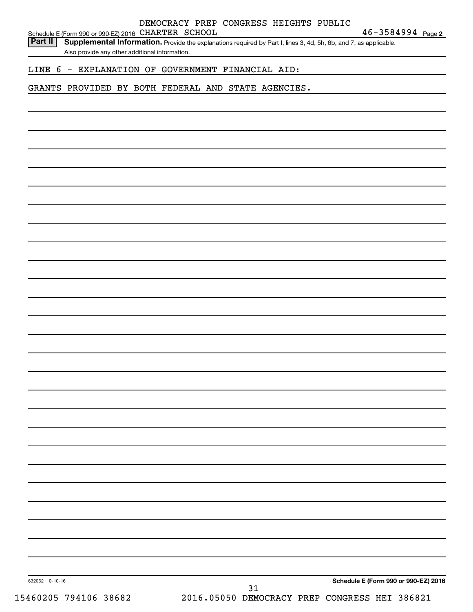|    | $46 - 3584994$ Page 2                                                                                                                                                                                                                                                                                                           |
|----|---------------------------------------------------------------------------------------------------------------------------------------------------------------------------------------------------------------------------------------------------------------------------------------------------------------------------------|
|    |                                                                                                                                                                                                                                                                                                                                 |
|    |                                                                                                                                                                                                                                                                                                                                 |
|    |                                                                                                                                                                                                                                                                                                                                 |
|    |                                                                                                                                                                                                                                                                                                                                 |
|    |                                                                                                                                                                                                                                                                                                                                 |
|    |                                                                                                                                                                                                                                                                                                                                 |
|    |                                                                                                                                                                                                                                                                                                                                 |
|    |                                                                                                                                                                                                                                                                                                                                 |
|    |                                                                                                                                                                                                                                                                                                                                 |
|    |                                                                                                                                                                                                                                                                                                                                 |
|    |                                                                                                                                                                                                                                                                                                                                 |
|    |                                                                                                                                                                                                                                                                                                                                 |
|    |                                                                                                                                                                                                                                                                                                                                 |
|    |                                                                                                                                                                                                                                                                                                                                 |
|    |                                                                                                                                                                                                                                                                                                                                 |
|    |                                                                                                                                                                                                                                                                                                                                 |
|    |                                                                                                                                                                                                                                                                                                                                 |
|    |                                                                                                                                                                                                                                                                                                                                 |
|    |                                                                                                                                                                                                                                                                                                                                 |
|    |                                                                                                                                                                                                                                                                                                                                 |
|    |                                                                                                                                                                                                                                                                                                                                 |
|    |                                                                                                                                                                                                                                                                                                                                 |
|    |                                                                                                                                                                                                                                                                                                                                 |
|    |                                                                                                                                                                                                                                                                                                                                 |
|    |                                                                                                                                                                                                                                                                                                                                 |
|    |                                                                                                                                                                                                                                                                                                                                 |
|    |                                                                                                                                                                                                                                                                                                                                 |
|    |                                                                                                                                                                                                                                                                                                                                 |
|    |                                                                                                                                                                                                                                                                                                                                 |
|    |                                                                                                                                                                                                                                                                                                                                 |
|    |                                                                                                                                                                                                                                                                                                                                 |
|    |                                                                                                                                                                                                                                                                                                                                 |
|    |                                                                                                                                                                                                                                                                                                                                 |
|    | Schedule E (Form 990 or 990-EZ) 2016                                                                                                                                                                                                                                                                                            |
| 31 |                                                                                                                                                                                                                                                                                                                                 |
|    | Schedule E (Form 990 or 990-EZ) 2016 CHARTER SCHOOL<br>Supplemental Information. Provide the explanations required by Part I, lines 3, 4d, 5h, 6b, and 7, as applicable.<br>Also provide any other additional information.<br>- EXPLANATION OF GOVERNMENT FINANCIAL AID:<br>GRANTS PROVIDED BY BOTH FEDERAL AND STATE AGENCIES. |